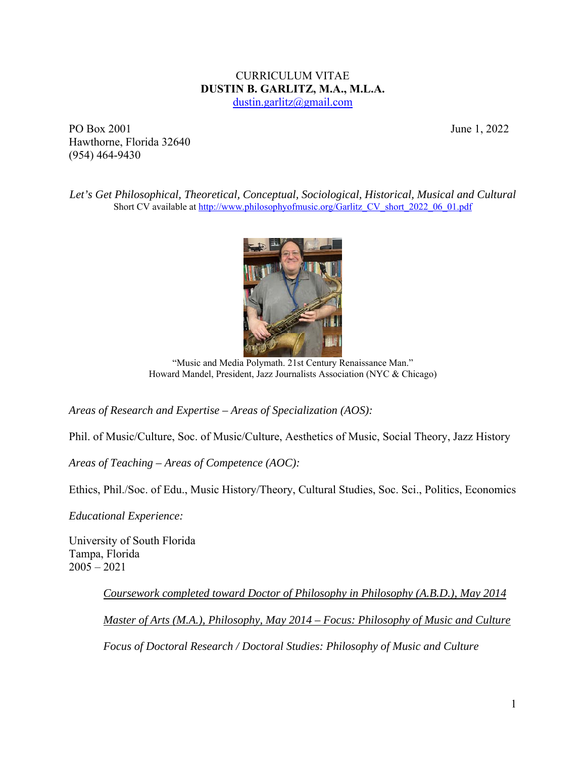# CURRICULUM VITAE **DUSTIN B. GARLITZ, M.A., M.L.A.**

dustin.garlitz@gmail.com

PO Box 2001 June 1, 2022 Hawthorne, Florida 32640 (954) 464-9430

*Let's Get Philosophical, Theoretical, Conceptual, Sociological, Historical, Musical and Cultural*  Short CV available at http://www.philosophyofmusic.org/Garlitz\_CV\_short\_2022\_06\_01.pdf



"Music and Media Polymath. 21st Century Renaissance Man." Howard Mandel, President, Jazz Journalists Association (NYC & Chicago)

*Areas of Research and Expertise – Areas of Specialization (AOS):* 

Phil. of Music/Culture, Soc. of Music/Culture, Aesthetics of Music, Social Theory, Jazz History

*Areas of Teaching – Areas of Competence (AOC):* 

Ethics, Phil./Soc. of Edu., Music History/Theory, Cultural Studies, Soc. Sci., Politics, Economics

*Educational Experience:*

University of South Florida Tampa, Florida 2005 – 2021

> *Coursework completed toward Doctor of Philosophy in Philosophy (A.B.D.), May 2014 Master of Arts (M.A.), Philosophy, May 2014 – Focus: Philosophy of Music and Culture Focus of Doctoral Research / Doctoral Studies: Philosophy of Music and Culture*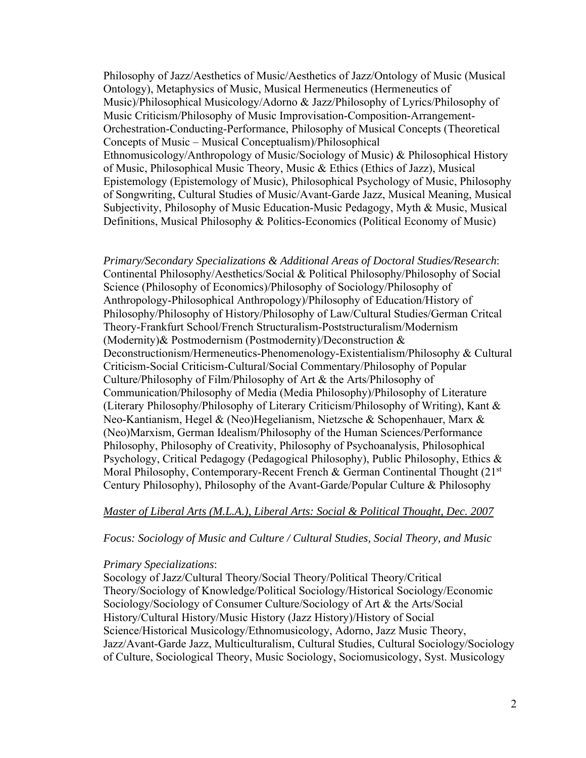Philosophy of Jazz/Aesthetics of Music/Aesthetics of Jazz/Ontology of Music (Musical Ontology), Metaphysics of Music, Musical Hermeneutics (Hermeneutics of Music)/Philosophical Musicology/Adorno & Jazz/Philosophy of Lyrics/Philosophy of Music Criticism/Philosophy of Music Improvisation-Composition-Arrangement-Orchestration-Conducting-Performance, Philosophy of Musical Concepts (Theoretical Concepts of Music – Musical Conceptualism)/Philosophical Ethnomusicology/Anthropology of Music/Sociology of Music) & Philosophical History of Music, Philosophical Music Theory, Music & Ethics (Ethics of Jazz), Musical Epistemology (Epistemology of Music), Philosophical Psychology of Music, Philosophy of Songwriting, Cultural Studies of Music/Avant-Garde Jazz, Musical Meaning, Musical Subjectivity, Philosophy of Music Education-Music Pedagogy, Myth & Music, Musical Definitions, Musical Philosophy & Politics-Economics (Political Economy of Music)

*Primary/Secondary Specializations & Additional Areas of Doctoral Studies/Research*: Continental Philosophy/Aesthetics/Social & Political Philosophy/Philosophy of Social Science (Philosophy of Economics)/Philosophy of Sociology/Philosophy of Anthropology-Philosophical Anthropology)/Philosophy of Education/History of Philosophy/Philosophy of History/Philosophy of Law/Cultural Studies/German Critcal Theory-Frankfurt School/French Structuralism-Poststructuralism/Modernism (Modernity)& Postmodernism (Postmodernity)/Deconstruction & Deconstructionism/Hermeneutics-Phenomenology-Existentialism/Philosophy & Cultural Criticism-Social Criticism-Cultural/Social Commentary/Philosophy of Popular Culture/Philosophy of Film/Philosophy of Art & the Arts/Philosophy of Communication/Philosophy of Media (Media Philosophy)/Philosophy of Literature (Literary Philosophy/Philosophy of Literary Criticism/Philosophy of Writing), Kant & Neo-Kantianism, Hegel & (Neo)Hegelianism, Nietzsche & Schopenhauer, Marx & (Neo)Marxism, German Idealism/Philosophy of the Human Sciences/Performance Philosophy, Philosophy of Creativity, Philosophy of Psychoanalysis, Philosophical Psychology, Critical Pedagogy (Pedagogical Philosophy), Public Philosophy, Ethics & Moral Philosophy, Contemporary-Recent French & German Continental Thought (21<sup>st</sup>) Century Philosophy), Philosophy of the Avant-Garde/Popular Culture & Philosophy

### *Master of Liberal Arts (M.L.A.), Liberal Arts: Social & Political Thought, Dec. 2007*

### *Focus: Sociology of Music and Culture / Cultural Studies, Social Theory, and Music*

### *Primary Specializations*:

Socology of Jazz/Cultural Theory/Social Theory/Political Theory/Critical Theory/Sociology of Knowledge/Political Sociology/Historical Sociology/Economic Sociology/Sociology of Consumer Culture/Sociology of Art & the Arts/Social History/Cultural History/Music History (Jazz History)/History of Social Science/Historical Musicology/Ethnomusicology, Adorno, Jazz Music Theory, Jazz/Avant-Garde Jazz, Multiculturalism, Cultural Studies, Cultural Sociology/Sociology of Culture, Sociological Theory, Music Sociology, Sociomusicology, Syst. Musicology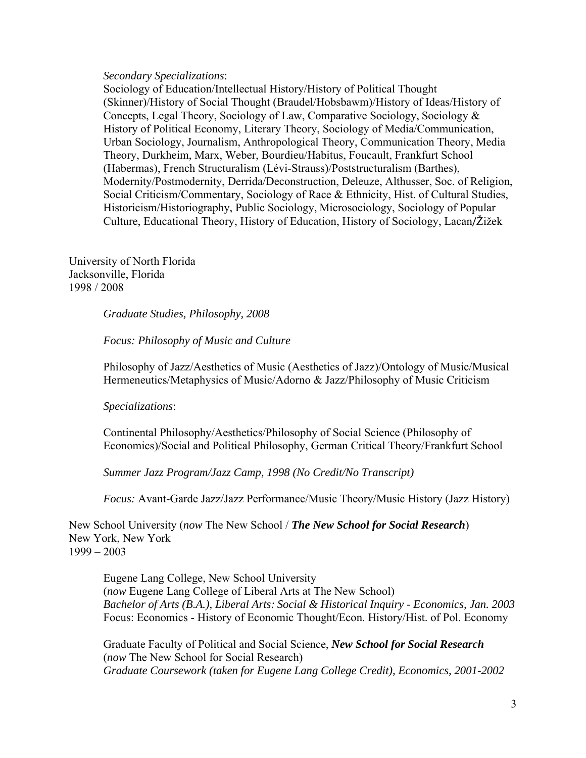#### *Secondary Specializations*:

Sociology of Education/Intellectual History/History of Political Thought (Skinner)/History of Social Thought (Braudel/Hobsbawm)/History of Ideas/History of Concepts, Legal Theory, Sociology of Law, Comparative Sociology, Sociology & History of Political Economy, Literary Theory, Sociology of Media/Communication, Urban Sociology, Journalism, Anthropological Theory, Communication Theory, Media Theory, Durkheim, Marx, Weber, Bourdieu/Habitus, Foucault, Frankfurt School (Habermas), French Structuralism (Lévi-Strauss)/Poststructuralism (Barthes), Modernity/Postmodernity, Derrida/Deconstruction, Deleuze, Althusser, Soc. of Religion, Social Criticism/Commentary, Sociology of Race & Ethnicity, Hist. of Cultural Studies, Historicism/Historiography, Public Sociology, Microsociology, Sociology of Popular Culture, Educational Theory, History of Education, History of Sociology, Lacan/Žižek

University of North Florida Jacksonville, Florida 1998 / 2008

*Graduate Studies, Philosophy, 2008* 

*Focus: Philosophy of Music and Culture* 

Philosophy of Jazz/Aesthetics of Music (Aesthetics of Jazz)/Ontology of Music/Musical Hermeneutics/Metaphysics of Music/Adorno & Jazz/Philosophy of Music Criticism

#### *Specializations*:

Continental Philosophy/Aesthetics/Philosophy of Social Science (Philosophy of Economics)/Social and Political Philosophy, German Critical Theory/Frankfurt School

*Summer Jazz Program/Jazz Camp, 1998 (No Credit/No Transcript)* 

*Focus:* Avant-Garde Jazz/Jazz Performance/Music Theory/Music History (Jazz History)

New School University (*now* The New School / *The New School for Social Research*) New York, New York 1999 – 2003

Eugene Lang College, New School University (*now* Eugene Lang College of Liberal Arts at The New School) *Bachelor of Arts (B.A.), Liberal Arts: Social & Historical Inquiry - Economics, Jan. 2003*  Focus: Economics - History of Economic Thought/Econ. History/Hist. of Pol. Economy

Graduate Faculty of Political and Social Science, *New School for Social Research* (*now* The New School for Social Research) *Graduate Coursework (taken for Eugene Lang College Credit), Economics, 2001-2002*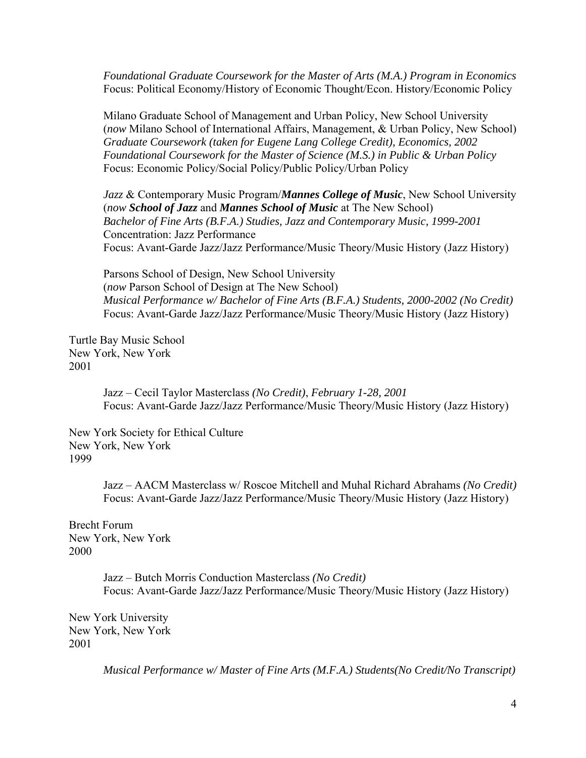*Foundational Graduate Coursework for the Master of Arts (M.A.) Program in Economics*  Focus: Political Economy/History of Economic Thought/Econ. History/Economic Policy

Milano Graduate School of Management and Urban Policy, New School University (*now* Milano School of International Affairs, Management, & Urban Policy, New School) *Graduate Coursework (taken for Eugene Lang College Credit), Economics, 2002 Foundational Coursework for the Master of Science (M.S.) in Public & Urban Policy*  Focus: Economic Policy/Social Policy/Public Policy/Urban Policy

*Jazz* & Contemporary Music Program/*Mannes College of Music*, New School University (*now School of Jazz* and *Mannes School of Music* at The New School) *Bachelor of Fine Arts (B.F.A.) Studies, Jazz and Contemporary Music, 1999-2001*  Concentration: Jazz Performance Focus: Avant-Garde Jazz/Jazz Performance/Music Theory/Music History (Jazz History)

Parsons School of Design, New School University (*now* Parson School of Design at The New School) *Musical Performance w/ Bachelor of Fine Arts (B.F.A.) Students, 2000-2002 (No Credit)*  Focus: Avant-Garde Jazz/Jazz Performance/Music Theory/Music History (Jazz History)

Turtle Bay Music School New York, New York 2001

> Jazz – Cecil Taylor Masterclass *(No Credit)*, *February 1-28, 2001* Focus: Avant-Garde Jazz/Jazz Performance/Music Theory/Music History (Jazz History)

New York Society for Ethical Culture New York, New York 1999

> Jazz – AACM Masterclass w/ Roscoe Mitchell and Muhal Richard Abrahams *(No Credit)* Focus: Avant-Garde Jazz/Jazz Performance/Music Theory/Music History (Jazz History)

Brecht Forum New York, New York 2000

> Jazz – Butch Morris Conduction Masterclass *(No Credit)* Focus: Avant-Garde Jazz/Jazz Performance/Music Theory/Music History (Jazz History)

New York University New York, New York 2001

*Musical Performance w/ Master of Fine Arts (M.F.A.) Students(No Credit/No Transcript)*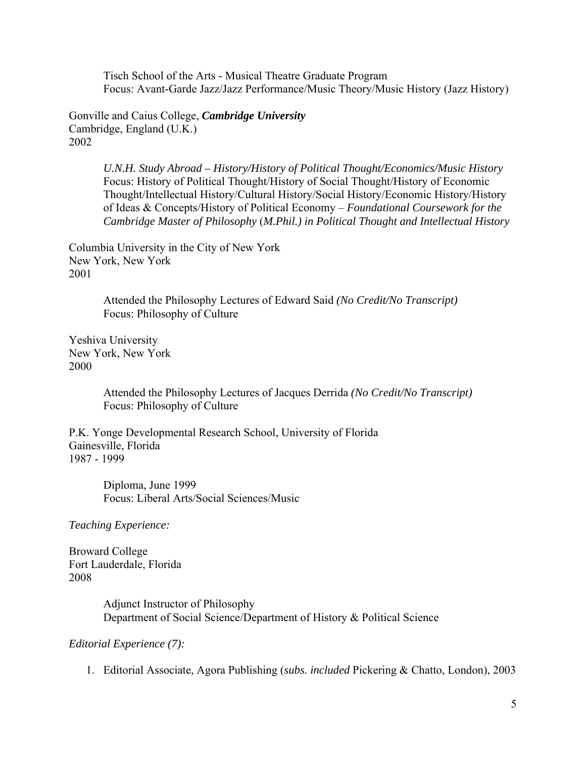Tisch School of the Arts - Musical Theatre Graduate Program Focus: Avant-Garde Jazz/Jazz Performance/Music Theory/Music History (Jazz History)

Gonville and Caius College, *Cambridge University* Cambridge, England (U.K.) 2002

> *U.N.H. Study Abroad – History/History of Political Thought/Economics/Music History*  Focus: History of Political Thought/History of Social Thought/History of Economic Thought/Intellectual History/Cultural History/Social History/Economic History/History of Ideas & Concepts/History of Political Economy – *Foundational Coursework for the Cambridge Master of Philosophy* (*M.Phil.) in Political Thought and Intellectual History*

Columbia University in the City of New York New York, New York 2001

> Attended the Philosophy Lectures of Edward Said *(No Credit/No Transcript)* Focus: Philosophy of Culture

Yeshiva University New York, New York 2000

> Attended the Philosophy Lectures of Jacques Derrida *(No Credit/No Transcript)* Focus: Philosophy of Culture

P.K. Yonge Developmental Research School, University of Florida Gainesville, Florida 1987 - 1999

> Diploma, June 1999 Focus: Liberal Arts/Social Sciences/Music

*Teaching Experience:* 

Broward College Fort Lauderdale, Florida 2008

> Adjunct Instructor of Philosophy Department of Social Science/Department of History & Political Science

*Editorial Experience (7):* 

1. Editorial Associate, Agora Publishing (*subs. included* Pickering & Chatto, London), 2003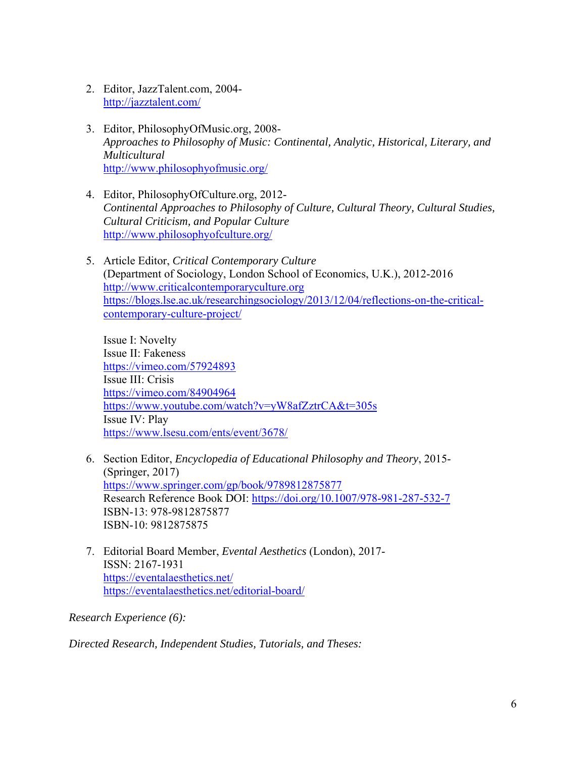- 2. Editor, JazzTalent.com, 2004 http://jazztalent.com/
- 3. Editor, PhilosophyOfMusic.org, 2008- *Approaches to Philosophy of Music: Continental, Analytic, Historical, Literary, and Multicultural*  http://www.philosophyofmusic.org/
- 4. Editor, PhilosophyOfCulture.org, 2012- *Continental Approaches to Philosophy of Culture, Cultural Theory, Cultural Studies, Cultural Criticism, and Popular Culture*  http://www.philosophyofculture.org/
- 5. Article Editor, *Critical Contemporary Culture* (Department of Sociology, London School of Economics, U.K.), 2012-2016 http://www.criticalcontemporaryculture.org https://blogs.lse.ac.uk/researchingsociology/2013/12/04/reflections-on-the-criticalcontemporary-culture-project/

Issue I: Novelty Issue II: Fakeness https://vimeo.com/57924893 Issue III: Crisis https://vimeo.com/84904964 https://www.youtube.com/watch?v=yW8afZztrCA&t=305s Issue IV: Play https://www.lsesu.com/ents/event/3678/

- 6. Section Editor, *Encyclopedia of Educational Philosophy and Theory*, 2015- (Springer, 2017) https://www.springer.com/gp/book/9789812875877 Research Reference Book DOI: https://doi.org/10.1007/978-981-287-532-7 ISBN-13: 978-9812875877 ISBN-10: 9812875875
- 7. Editorial Board Member, *Evental Aesthetics* (London), 2017- ISSN: 2167-1931 https://eventalaesthetics.net/ https://eventalaesthetics.net/editorial-board/

*Research Experience (6):* 

*Directed Research, Independent Studies, Tutorials, and Theses:*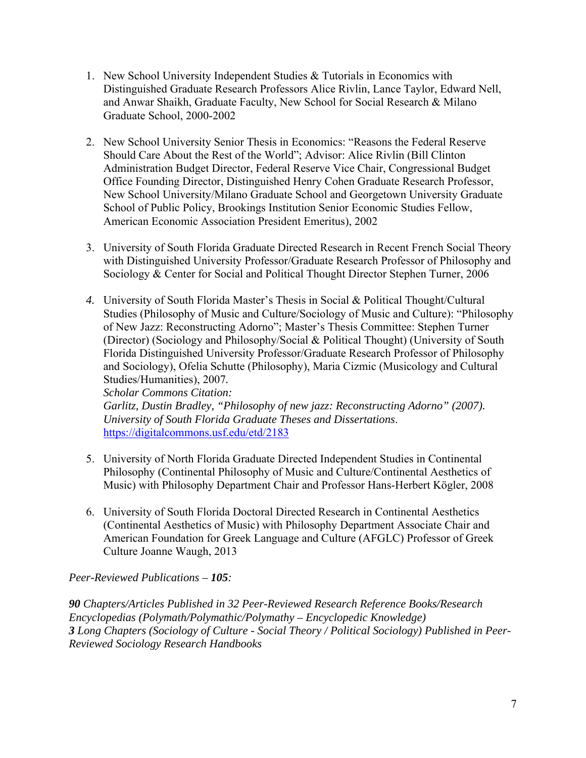- 1. New School University Independent Studies & Tutorials in Economics with Distinguished Graduate Research Professors Alice Rivlin, Lance Taylor, Edward Nell, and Anwar Shaikh, Graduate Faculty, New School for Social Research & Milano Graduate School, 2000-2002
- 2. New School University Senior Thesis in Economics: "Reasons the Federal Reserve Should Care About the Rest of the World"; Advisor: Alice Rivlin (Bill Clinton Administration Budget Director, Federal Reserve Vice Chair, Congressional Budget Office Founding Director, Distinguished Henry Cohen Graduate Research Professor, New School University/Milano Graduate School and Georgetown University Graduate School of Public Policy, Brookings Institution Senior Economic Studies Fellow, American Economic Association President Emeritus), 2002
- 3. University of South Florida Graduate Directed Research in Recent French Social Theory with Distinguished University Professor/Graduate Research Professor of Philosophy and Sociology & Center for Social and Political Thought Director Stephen Turner, 2006
- *4.* University of South Florida Master's Thesis in Social & Political Thought/Cultural Studies (Philosophy of Music and Culture/Sociology of Music and Culture): "Philosophy of New Jazz: Reconstructing Adorno"; Master's Thesis Committee: Stephen Turner (Director) (Sociology and Philosophy/Social & Political Thought) (University of South Florida Distinguished University Professor/Graduate Research Professor of Philosophy and Sociology), Ofelia Schutte (Philosophy), Maria Cizmic (Musicology and Cultural Studies/Humanities), 2007*.*

*Scholar Commons Citation: Garlitz, Dustin Bradley, "Philosophy of new jazz: Reconstructing Adorno" (2007). University of South Florida Graduate Theses and Dissertations*. https://digitalcommons.usf.edu/etd/2183

- 5. University of North Florida Graduate Directed Independent Studies in Continental Philosophy (Continental Philosophy of Music and Culture/Continental Aesthetics of Music) with Philosophy Department Chair and Professor Hans-Herbert Kögler, 2008
- 6. University of South Florida Doctoral Directed Research in Continental Aesthetics (Continental Aesthetics of Music) with Philosophy Department Associate Chair and American Foundation for Greek Language and Culture (AFGLC) Professor of Greek Culture Joanne Waugh, 2013

*Peer-Reviewed Publications – 105:* 

*90 Chapters/Articles Published in 32 Peer-Reviewed Research Reference Books/Research Encyclopedias (Polymath/Polymathic/Polymathy – Encyclopedic Knowledge) 3 Long Chapters (Sociology of Culture - Social Theory / Political Sociology) Published in Peer-Reviewed Sociology Research Handbooks*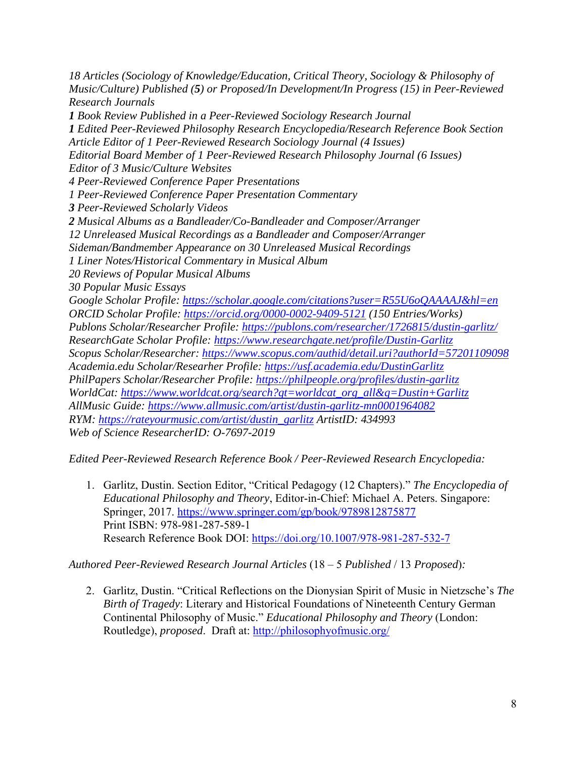*18 Articles (Sociology of Knowledge/Education, Critical Theory, Sociology & Philosophy of Music/Culture) Published (5) or Proposed/In Development/In Progress (15) in Peer-Reviewed Research Journals 1 Book Review Published in a Peer-Reviewed Sociology Research Journal 1 Edited Peer-Reviewed Philosophy Research Encyclopedia/Research Reference Book Section Article Editor of 1 Peer-Reviewed Research Sociology Journal (4 Issues) Editorial Board Member of 1 Peer-Reviewed Research Philosophy Journal (6 Issues) Editor of 3 Music/Culture Websites 4 Peer-Reviewed Conference Paper Presentations 1 Peer-Reviewed Conference Paper Presentation Commentary 3 Peer-Reviewed Scholarly Videos 2 Musical Albums as a Bandleader/Co-Bandleader and Composer/Arranger 12 Unreleased Musical Recordings as a Bandleader and Composer/Arranger Sideman/Bandmember Appearance on 30 Unreleased Musical Recordings 1 Liner Notes/Historical Commentary in Musical Album 20 Reviews of Popular Musical Albums 30 Popular Music Essays Google Scholar Profile: https://scholar.google.com/citations?user=R55U6oQAAAAJ&hl=en ORCID Scholar Profile: https://orcid.org/0000-0002-9409-5121 (150 Entries/Works) Publons Scholar/Researcher Profile: https://publons.com/researcher/1726815/dustin-garlitz/ ResearchGate Scholar Profile: https://www.researchgate.net/profile/Dustin-Garlitz Scopus Scholar/Researcher: https://www.scopus.com/authid/detail.uri?authorId=57201109098 Academia.edu Scholar/Researher Profile: https://usf.academia.edu/DustinGarlitz PhilPapers Scholar/Researcher Profile: https://philpeople.org/profiles/dustin-garlitz WorldCat: https://www.worldcat.org/search?qt=worldcat\_org\_all&q=Dustin+Garlitz AllMusic Guide: https://www.allmusic.com/artist/dustin-garlitz-mn0001964082 RYM: https://rateyourmusic.com/artist/dustin\_garlitz ArtistID: 434993 Web of Science ResearcherID: O-7697-2019* 

*Edited Peer-Reviewed Research Reference Book / Peer-Reviewed Research Encyclopedia:* 

1. Garlitz, Dustin. Section Editor, "Critical Pedagogy (12 Chapters)." *The Encyclopedia of Educational Philosophy and Theory*, Editor-in-Chief: Michael A. Peters. Singapore: Springer, 2017. https://www.springer.com/gp/book/9789812875877 Print ISBN: 978-981-287-589-1 Research Reference Book DOI: https://doi.org/10.1007/978-981-287-532-7

# *Authored Peer-Reviewed Research Journal Articles* (18 – 5 *Published* / 13 *Proposed*)*:*

2. Garlitz, Dustin. "Critical Reflections on the Dionysian Spirit of Music in Nietzsche's *The Birth of Tragedy*: Literary and Historical Foundations of Nineteenth Century German Continental Philosophy of Music." *Educational Philosophy and Theory* (London: Routledge), *proposed*. Draft at: http://philosophyofmusic.org/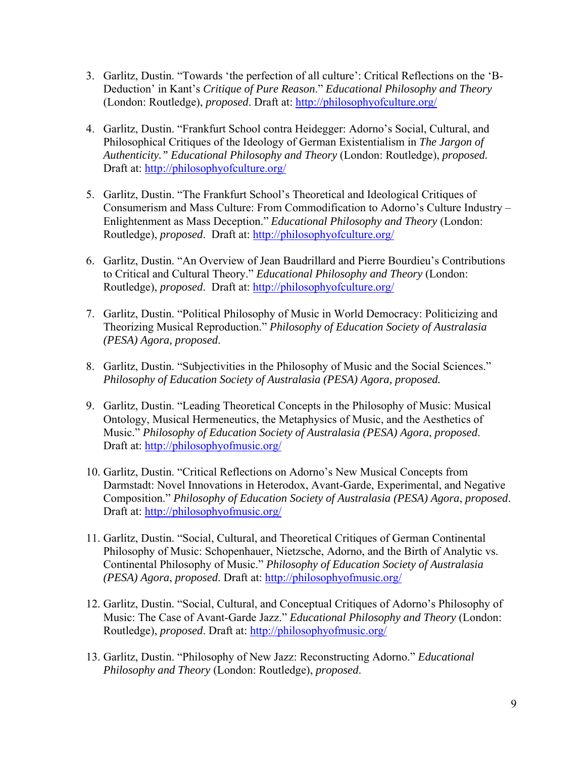- 3. Garlitz, Dustin. "Towards 'the perfection of all culture': Critical Reflections on the 'B-Deduction' in Kant's *Critique of Pure Reason*." *Educational Philosophy and Theory* (London: Routledge), *proposed*. Draft at: http://philosophyofculture.org/
- 4. Garlitz, Dustin. "Frankfurt School contra Heidegger: Adorno's Social, Cultural, and Philosophical Critiques of the Ideology of German Existentialism in *The Jargon of Authenticity." Educational Philosophy and Theory* (London: Routledge), *proposed.* Draft at: http://philosophyofculture.org/
- 5. Garlitz, Dustin. "The Frankfurt School's Theoretical and Ideological Critiques of Consumerism and Mass Culture: From Commodification to Adorno's Culture Industry – Enlightenment as Mass Deception." *Educational Philosophy and Theory* (London: Routledge), *proposed*. Draft at: http://philosophyofculture.org/
- 6. Garlitz, Dustin. "An Overview of Jean Baudrillard and Pierre Bourdieu's Contributions to Critical and Cultural Theory." *Educational Philosophy and Theory* (London: Routledge), *proposed*. Draft at: http://philosophyofculture.org/
- 7. Garlitz, Dustin. "Political Philosophy of Music in World Democracy: Politicizing and Theorizing Musical Reproduction." *Philosophy of Education Society of Australasia (PESA) Agora, proposed*.
- 8. Garlitz, Dustin. "Subjectivities in the Philosophy of Music and the Social Sciences." *Philosophy of Education Society of Australasia (PESA) Agora, proposed.*
- 9. Garlitz, Dustin. "Leading Theoretical Concepts in the Philosophy of Music: Musical Ontology, Musical Hermeneutics, the Metaphysics of Music, and the Aesthetics of Music." *Philosophy of Education Society of Australasia (PESA) Agora*, *proposed*. Draft at: http://philosophyofmusic.org/
- 10. Garlitz, Dustin. "Critical Reflections on Adorno's New Musical Concepts from Darmstadt: Novel Innovations in Heterodox, Avant-Garde, Experimental, and Negative Composition." *Philosophy of Education Society of Australasia (PESA) Agora*, *proposed*. Draft at: http://philosophyofmusic.org/
- 11. Garlitz, Dustin. "Social, Cultural, and Theoretical Critiques of German Continental Philosophy of Music: Schopenhauer, Nietzsche, Adorno, and the Birth of Analytic vs. Continental Philosophy of Music." *Philosophy of Education Society of Australasia (PESA) Agora*, *proposed*. Draft at: http://philosophyofmusic.org/
- 12. Garlitz, Dustin. "Social, Cultural, and Conceptual Critiques of Adorno's Philosophy of Music: The Case of Avant-Garde Jazz." *Educational Philosophy and Theory* (London: Routledge), *proposed*. Draft at: http://philosophyofmusic.org/
- 13. Garlitz, Dustin. "Philosophy of New Jazz: Reconstructing Adorno." *Educational Philosophy and Theory* (London: Routledge), *proposed*.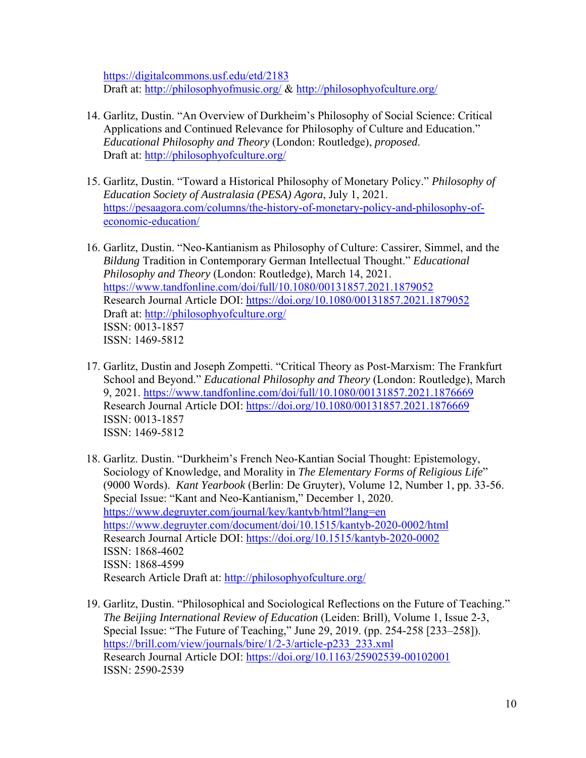https://digitalcommons.usf.edu/etd/2183 Draft at: http://philosophyofmusic.org/ & http://philosophyofculture.org/

- 14. Garlitz, Dustin. "An Overview of Durkheim's Philosophy of Social Science: Critical Applications and Continued Relevance for Philosophy of Culture and Education." *Educational Philosophy and Theory* (London: Routledge), *proposed*. Draft at: http://philosophyofculture.org/
- 15. Garlitz, Dustin. "Toward a Historical Philosophy of Monetary Policy." *Philosophy of Education Society of Australasia (PESA) Agora*, July 1, 2021. https://pesaagora.com/columns/the-history-of-monetary-policy-and-philosophy-ofeconomic-education/
- 16. Garlitz, Dustin. "Neo-Kantianism as Philosophy of Culture: Cassirer, Simmel, and the *Bildung* Tradition in Contemporary German Intellectual Thought." *Educational Philosophy and Theory* (London: Routledge), March 14, 2021. https://www.tandfonline.com/doi/full/10.1080/00131857.2021.1879052 Research Journal Article DOI: https://doi.org/10.1080/00131857.2021.1879052 Draft at: http://philosophyofculture.org/ ISSN: 0013-1857 ISSN: 1469-5812
- 17. Garlitz, Dustin and Joseph Zompetti. "Critical Theory as Post-Marxism: The Frankfurt School and Beyond." *Educational Philosophy and Theory* (London: Routledge), March 9, 2021. https://www.tandfonline.com/doi/full/10.1080/00131857.2021.1876669 Research Journal Article DOI: https://doi.org/10.1080/00131857.2021.1876669 ISSN: 0013-1857 ISSN: 1469-5812
- 18. Garlitz. Dustin. "Durkheim's French Neo-Kantian Social Thought: Epistemology, Sociology of Knowledge, and Morality in *The Elementary Forms of Religious Life*" (9000 Words). *Kant Yearbook* (Berlin: De Gruyter), Volume 12, Number 1, pp. 33-56. Special Issue: "Kant and Neo-Kantianism," December 1, 2020. https://www.degruyter.com/journal/key/kantyb/html?lang=en https://www.degruyter.com/document/doi/10.1515/kantyb-2020-0002/html Research Journal Article DOI: https://doi.org/10.1515/kantyb-2020-0002 ISSN: 1868-4602 ISSN: 1868-4599 Research Article Draft at: http://philosophyofculture.org/
- 19. Garlitz, Dustin. "Philosophical and Sociological Reflections on the Future of Teaching." *The Beijing International Review of Education* (Leiden: Brill), Volume 1, Issue 2-3, Special Issue: "The Future of Teaching," June 29, 2019. (pp. 254-258 [233–258]). https://brill.com/view/journals/bire/1/2-3/article-p233\_233.xml Research Journal Article DOI: https://doi.org/10.1163/25902539-00102001 ISSN: 2590-2539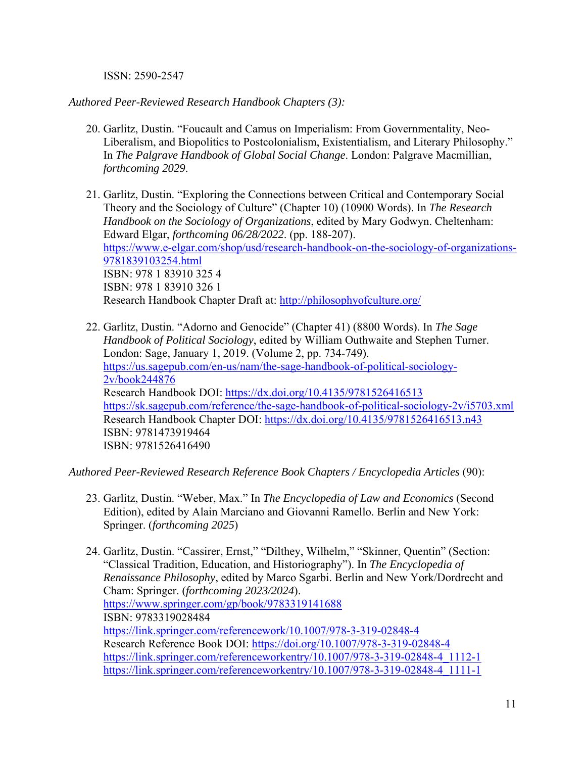ISSN: 2590-2547

*Authored Peer-Reviewed Research Handbook Chapters (3):* 

- 20. Garlitz, Dustin. "Foucault and Camus on Imperialism: From Governmentality, Neo-Liberalism, and Biopolitics to Postcolonialism, Existentialism, and Literary Philosophy." In *The Palgrave Handbook of Global Social Change*. London: Palgrave Macmillian, *forthcoming 2029*.
- 21. Garlitz, Dustin. "Exploring the Connections between Critical and Contemporary Social Theory and the Sociology of Culture" (Chapter 10) (10900 Words). In *The Research Handbook on the Sociology of Organizations*, edited by Mary Godwyn. Cheltenham: Edward Elgar, *forthcoming 06/28/2022*. (pp. 188-207). https://www.e-elgar.com/shop/usd/research-handbook-on-the-sociology-of-organizations-9781839103254.html ISBN: 978 1 83910 325 4 ISBN: 978 1 83910 326 1 Research Handbook Chapter Draft at: http://philosophyofculture.org/
- 22. Garlitz, Dustin. "Adorno and Genocide" (Chapter 41) (8800 Words). In *The Sage Handbook of Political Sociology*, edited by William Outhwaite and Stephen Turner. London: Sage, January 1, 2019. (Volume 2, pp. 734-749). https://us.sagepub.com/en-us/nam/the-sage-handbook-of-political-sociology-2v/book244876 Research Handbook DOI: https://dx.doi.org/10.4135/9781526416513 https://sk.sagepub.com/reference/the-sage-handbook-of-political-sociology-2v/i5703.xml Research Handbook Chapter DOI: https://dx.doi.org/10.4135/9781526416513.n43 ISBN: 9781473919464 ISBN: 9781526416490

*Authored Peer-Reviewed Research Reference Book Chapters / Encyclopedia Articles* (90):

- 23. Garlitz, Dustin. "Weber, Max." In *The Encyclopedia of Law and Economics* (Second Edition), edited by Alain Marciano and Giovanni Ramello. Berlin and New York: Springer. (*forthcoming 2025*)
- 24. Garlitz, Dustin. "Cassirer, Ernst," "Dilthey, Wilhelm," "Skinner, Quentin" (Section: "Classical Tradition, Education, and Historiography"). In *The Encyclopedia of Renaissance Philosophy*, edited by Marco Sgarbi. Berlin and New York/Dordrecht and Cham: Springer. (*forthcoming 2023/2024*). https://www.springer.com/gp/book/9783319141688 ISBN: 9783319028484 https://link.springer.com/referencework/10.1007/978-3-319-02848-4 Research Reference Book DOI: https://doi.org/10.1007/978-3-319-02848-4 https://link.springer.com/referenceworkentry/10.1007/978-3-319-02848-4\_1112-1 https://link.springer.com/referenceworkentry/10.1007/978-3-319-02848-4\_1111-1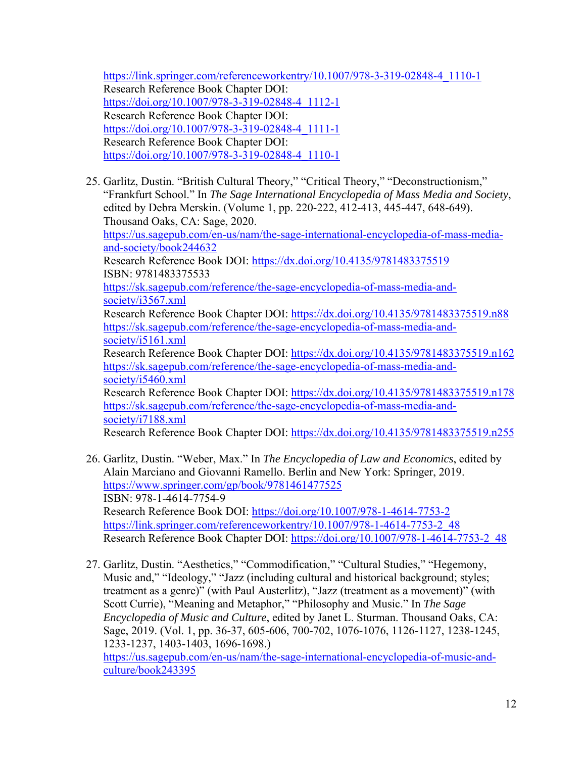https://link.springer.com/referenceworkentry/10.1007/978-3-319-02848-4\_1110-1 Research Reference Book Chapter DOI: https://doi.org/10.1007/978-3-319-02848-4\_1112-1 Research Reference Book Chapter DOI: https://doi.org/10.1007/978-3-319-02848-4\_1111-1 Research Reference Book Chapter DOI: https://doi.org/10.1007/978-3-319-02848-4\_1110-1

25. Garlitz, Dustin. "British Cultural Theory," "Critical Theory," "Deconstructionism," "Frankfurt School." In *The Sage International Encyclopedia of Mass Media and Society*, edited by Debra Merskin. (Volume 1, pp. 220-222, 412-413, 445-447, 648-649). Thousand Oaks, CA: Sage, 2020. https://us.sagepub.com/en-us/nam/the-sage-international-encyclopedia-of-mass-media-

and-society/book244632 Research Reference Book DOI: https://dx.doi.org/10.4135/9781483375519 ISBN: 9781483375533 https://sk.sagepub.com/reference/the-sage-encyclopedia-of-mass-media-andsociety/i3567.xml Research Reference Book Chapter DOI: https://dx.doi.org/10.4135/9781483375519.n88 https://sk.sagepub.com/reference/the-sage-encyclopedia-of-mass-media-andsociety/i5161.xml Research Reference Book Chapter DOI: https://dx.doi.org/10.4135/9781483375519.n162 https://sk.sagepub.com/reference/the-sage-encyclopedia-of-mass-media-and-

society/i5460.xml

Research Reference Book Chapter DOI: https://dx.doi.org/10.4135/9781483375519.n178 https://sk.sagepub.com/reference/the-sage-encyclopedia-of-mass-media-andsociety/i7188.xml

Research Reference Book Chapter DOI: https://dx.doi.org/10.4135/9781483375519.n255

- 26. Garlitz, Dustin. "Weber, Max." In *The Encyclopedia of Law and Economics*, edited by Alain Marciano and Giovanni Ramello. Berlin and New York: Springer, 2019. https://www.springer.com/gp/book/9781461477525 ISBN: 978-1-4614-7754-9 Research Reference Book DOI: https://doi.org/10.1007/978-1-4614-7753-2 https://link.springer.com/referenceworkentry/10.1007/978-1-4614-7753-2\_48 Research Reference Book Chapter DOI: https://doi.org/10.1007/978-1-4614-7753-2\_48
- 27. Garlitz, Dustin. "Aesthetics," "Commodification," "Cultural Studies," "Hegemony, Music and," "Ideology," "Jazz (including cultural and historical background; styles; treatment as a genre)" (with Paul Austerlitz), "Jazz (treatment as a movement)" (with Scott Currie), "Meaning and Metaphor," "Philosophy and Music." In *The Sage Encyclopedia of Music and Culture*, edited by Janet L. Sturman. Thousand Oaks, CA: Sage, 2019. (Vol. 1, pp. 36-37, 605-606, 700-702, 1076-1076, 1126-1127, 1238-1245, 1233-1237, 1403-1403, 1696-1698.)

https://us.sagepub.com/en-us/nam/the-sage-international-encyclopedia-of-music-andculture/book243395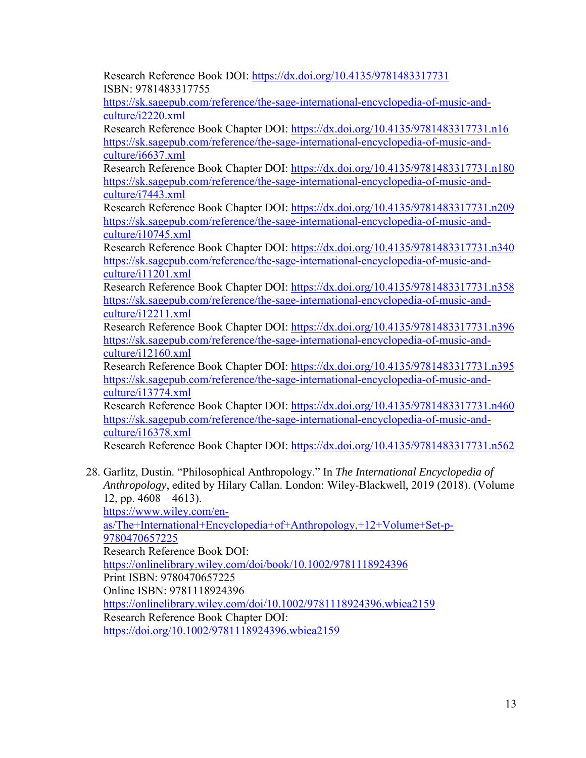Research Reference Book DOI: https://dx.doi.org/10.4135/9781483317731 ISBN: 9781483317755

https://sk.sagepub.com/reference/the-sage-international-encyclopedia-of-music-andculture/i2220.xml

Research Reference Book Chapter DOI: https://dx.doi.org/10.4135/9781483317731.n16 https://sk.sagepub.com/reference/the-sage-international-encyclopedia-of-music-andculture/i6637.xml

Research Reference Book Chapter DOI: https://dx.doi.org/10.4135/9781483317731.n180 https://sk.sagepub.com/reference/the-sage-international-encyclopedia-of-music-andculture/i7443.xml

Research Reference Book Chapter DOI: https://dx.doi.org/10.4135/9781483317731.n209 https://sk.sagepub.com/reference/the-sage-international-encyclopedia-of-music-andculture/i10745.xml

Research Reference Book Chapter DOI: https://dx.doi.org/10.4135/9781483317731.n340 https://sk.sagepub.com/reference/the-sage-international-encyclopedia-of-music-andculture/i11201.xml

Research Reference Book Chapter DOI: https://dx.doi.org/10.4135/9781483317731.n358 https://sk.sagepub.com/reference/the-sage-international-encyclopedia-of-music-andculture/i12211.xml

Research Reference Book Chapter DOI: https://dx.doi.org/10.4135/9781483317731.n396 https://sk.sagepub.com/reference/the-sage-international-encyclopedia-of-music-andculture/i12160.xml

Research Reference Book Chapter DOI: https://dx.doi.org/10.4135/9781483317731.n395 https://sk.sagepub.com/reference/the-sage-international-encyclopedia-of-music-andculture/i13774.xml

Research Reference Book Chapter DOI: https://dx.doi.org/10.4135/9781483317731.n460 https://sk.sagepub.com/reference/the-sage-international-encyclopedia-of-music-andculture/i16378.xml

Research Reference Book Chapter DOI: https://dx.doi.org/10.4135/9781483317731.n562

28. Garlitz, Dustin. "Philosophical Anthropology." In *The International Encyclopedia of Anthropology*, edited by Hilary Callan. London: Wiley-Blackwell, 2019 (2018). (Volume 12, pp.  $4608 - 4613$ ).

https://www.wiley.com/en-

as/The+International+Encyclopedia+of+Anthropology,+12+Volume+Set-p-9780470657225

Research Reference Book DOI:

https://onlinelibrary.wiley.com/doi/book/10.1002/9781118924396

Print ISBN: 9780470657225

Online ISBN: 9781118924396

https://onlinelibrary.wiley.com/doi/10.1002/9781118924396.wbiea2159 Research Reference Book Chapter DOI:

https://doi.org/10.1002/9781118924396.wbiea2159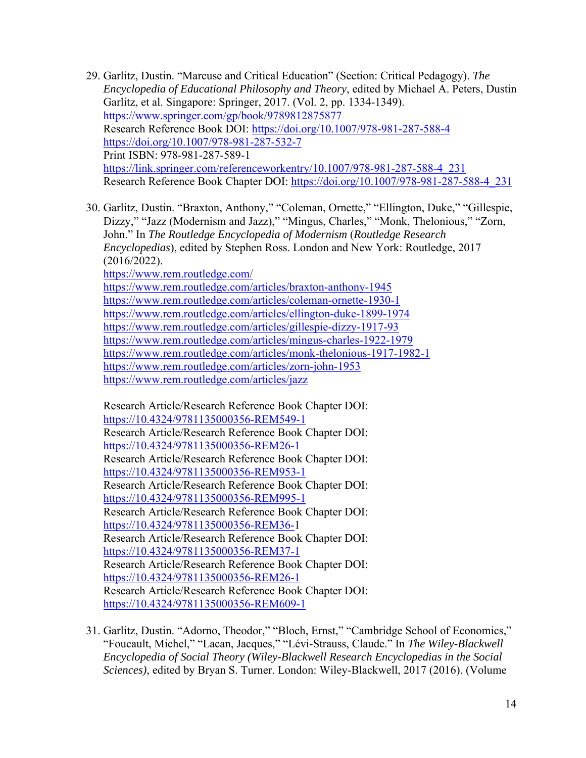- 29. Garlitz, Dustin. "Marcuse and Critical Education" (Section: Critical Pedagogy). *The Encyclopedia of Educational Philosophy and Theory*, edited by Michael A. Peters, Dustin Garlitz, et al. Singapore: Springer, 2017. (Vol. 2, pp. 1334-1349). https://www.springer.com/gp/book/9789812875877 Research Reference Book DOI: https://doi.org/10.1007/978-981-287-588-4 https://doi.org/10.1007/978-981-287-532-7 Print ISBN: 978-981-287-589-1 https://link.springer.com/referenceworkentry/10.1007/978-981-287-588-4\_231 Research Reference Book Chapter DOI: https://doi.org/10.1007/978-981-287-588-4\_231
- 30. Garlitz, Dustin. "Braxton, Anthony," "Coleman, Ornette," "Ellington, Duke," "Gillespie, Dizzy," "Jazz (Modernism and Jazz)," "Mingus, Charles," "Monk, Thelonious," "Zorn, John." In *The Routledge Encyclopedia of Modernism* (*Routledge Research Encyclopedias*), edited by Stephen Ross. London and New York: Routledge, 2017 (2016/2022).

https://www.rem.routledge.com/

https://www.rem.routledge.com/articles/braxton-anthony-1945 https://www.rem.routledge.com/articles/coleman-ornette-1930-1 https://www.rem.routledge.com/articles/ellington-duke-1899-1974 https://www.rem.routledge.com/articles/gillespie-dizzy-1917-93 https://www.rem.routledge.com/articles/mingus-charles-1922-1979 https://www.rem.routledge.com/articles/monk-thelonious-1917-1982-1 https://www.rem.routledge.com/articles/zorn-john-1953 https://www.rem.routledge.com/articles/jazz

Research Article/Research Reference Book Chapter DOI: https://10.4324/9781135000356-REM549-1 Research Article/Research Reference Book Chapter DOI: https://10.4324/9781135000356-REM26-1 Research Article/Research Reference Book Chapter DOI: https://10.4324/9781135000356-REM953-1 Research Article/Research Reference Book Chapter DOI: https://10.4324/9781135000356-REM995-1 Research Article/Research Reference Book Chapter DOI: https://10.4324/9781135000356-REM36-1 Research Article/Research Reference Book Chapter DOI: https://10.4324/9781135000356-REM37-1 Research Article/Research Reference Book Chapter DOI: https://10.4324/9781135000356-REM26-1 Research Article/Research Reference Book Chapter DOI: https://10.4324/9781135000356-REM609-1

31. Garlitz, Dustin. "Adorno, Theodor," "Bloch, Ernst," "Cambridge School of Economics," "Foucault, Michel," "Lacan, Jacques," "Lévi-Strauss, Claude." In *The Wiley-Blackwell Encyclopedia of Social Theory (Wiley-Blackwell Research Encyclopedias in the Social Sciences)*, edited by Bryan S. Turner. London: Wiley-Blackwell, 2017 (2016). (Volume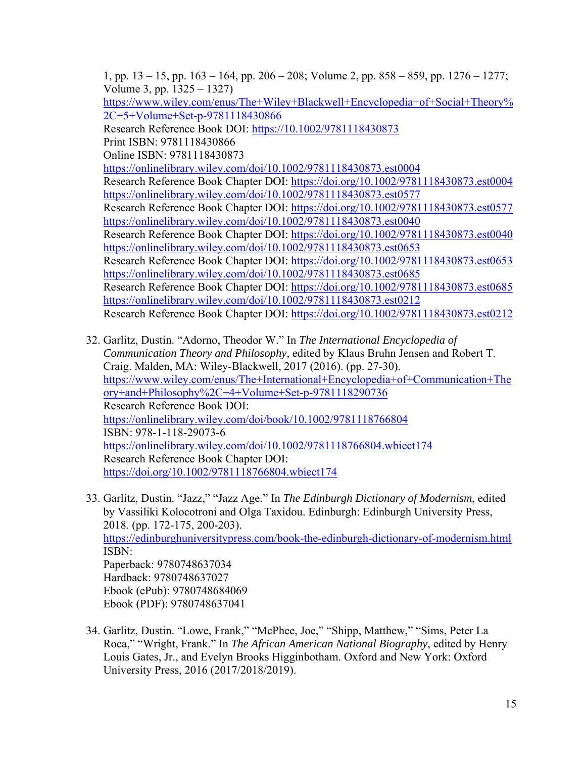1, pp. 13 – 15, pp. 163 – 164, pp. 206 – 208; Volume 2, pp. 858 – 859, pp. 1276 – 1277; Volume 3, pp. 1325 – 1327)

https://www.wiley.com/enus/The+Wiley+Blackwell+Encyclopedia+of+Social+Theory% 2C+5+Volume+Set-p-9781118430866

Research Reference Book DOI: https://10.1002/9781118430873 Print ISBN: 9781118430866

Online ISBN: 9781118430873

https://onlinelibrary.wiley.com/doi/10.1002/9781118430873.est0004 Research Reference Book Chapter DOI: https://doi.org/10.1002/9781118430873.est0004 https://onlinelibrary.wiley.com/doi/10.1002/9781118430873.est0577 Research Reference Book Chapter DOI: https://doi.org/10.1002/9781118430873.est0577 https://onlinelibrary.wiley.com/doi/10.1002/9781118430873.est0040 Research Reference Book Chapter DOI: https://doi.org/10.1002/9781118430873.est0040 https://onlinelibrary.wiley.com/doi/10.1002/9781118430873.est0653 Research Reference Book Chapter DOI: https://doi.org/10.1002/9781118430873.est0653 https://onlinelibrary.wiley.com/doi/10.1002/9781118430873.est0685 Research Reference Book Chapter DOI: https://doi.org/10.1002/9781118430873.est0685 https://onlinelibrary.wiley.com/doi/10.1002/9781118430873.est0212 Research Reference Book Chapter DOI: https://doi.org/10.1002/9781118430873.est0212

- 32. Garlitz, Dustin. "Adorno, Theodor W." In *The International Encyclopedia of Communication Theory and Philosophy*, edited by Klaus Bruhn Jensen and Robert T. Craig. Malden, MA: Wiley-Blackwell, 2017 (2016). (pp. 27-30). https://www.wiley.com/enus/The+International+Encyclopedia+of+Communication+The ory+and+Philosophy%2C+4+Volume+Set-p-9781118290736 Research Reference Book DOI: https://onlinelibrary.wiley.com/doi/book/10.1002/9781118766804 ISBN: 978-1-118-29073-6 https://onlinelibrary.wiley.com/doi/10.1002/9781118766804.wbiect174 Research Reference Book Chapter DOI: https://doi.org/10.1002/9781118766804.wbiect174
- 33. Garlitz, Dustin. "Jazz," "Jazz Age." In *The Edinburgh Dictionary of Modernism*, edited by Vassiliki Kolocotroni and Olga Taxidou. Edinburgh: Edinburgh University Press, 2018. (pp. 172-175, 200-203). https://edinburghuniversitypress.com/book-the-edinburgh-dictionary-of-modernism.html ISBN: Paperback: 9780748637034 Hardback: 9780748637027 Ebook (ePub): 9780748684069 Ebook (PDF): 9780748637041
- 34. Garlitz, Dustin. "Lowe, Frank," "McPhee, Joe," "Shipp, Matthew," "Sims, Peter La Roca," "Wright, Frank." In *The African American National Biography*, edited by Henry Louis Gates, Jr., and Evelyn Brooks Higginbotham. Oxford and New York: Oxford University Press, 2016 (2017/2018/2019).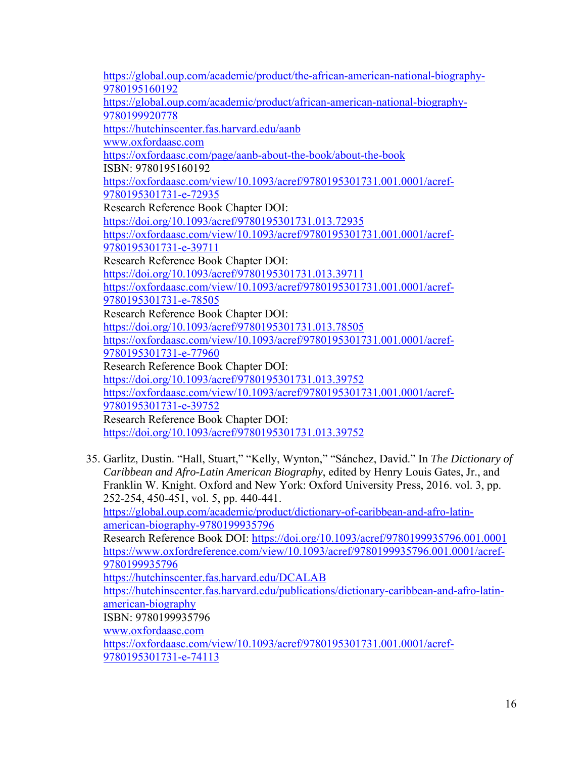https://global.oup.com/academic/product/the-african-american-national-biography-9780195160192 https://global.oup.com/academic/product/african-american-national-biography-9780199920778 https://hutchinscenter.fas.harvard.edu/aanb www.oxfordaasc.com https://oxfordaasc.com/page/aanb-about-the-book/about-the-book ISBN: 9780195160192 https://oxfordaasc.com/view/10.1093/acref/9780195301731.001.0001/acref-9780195301731-e-72935 Research Reference Book Chapter DOI: https://doi.org/10.1093/acref/9780195301731.013.72935 https://oxfordaasc.com/view/10.1093/acref/9780195301731.001.0001/acref-9780195301731-e-39711 Research Reference Book Chapter DOI: https://doi.org/10.1093/acref/9780195301731.013.39711 https://oxfordaasc.com/view/10.1093/acref/9780195301731.001.0001/acref-9780195301731-e-78505 Research Reference Book Chapter DOI: https://doi.org/10.1093/acref/9780195301731.013.78505 https://oxfordaasc.com/view/10.1093/acref/9780195301731.001.0001/acref-9780195301731-e-77960 Research Reference Book Chapter DOI: https://doi.org/10.1093/acref/9780195301731.013.39752 https://oxfordaasc.com/view/10.1093/acref/9780195301731.001.0001/acref-9780195301731-e-39752 Research Reference Book Chapter DOI: https://doi.org/10.1093/acref/9780195301731.013.39752

35. Garlitz, Dustin. "Hall, Stuart," "Kelly, Wynton," "Sánchez, David." In *The Dictionary of Caribbean and Afro-Latin American Biography*, edited by Henry Louis Gates, Jr., and Franklin W. Knight. Oxford and New York: Oxford University Press, 2016. vol. 3, pp. 252-254, 450-451, vol. 5, pp. 440-441.

https://global.oup.com/academic/product/dictionary-of-caribbean-and-afro-latinamerican-biography-9780199935796

Research Reference Book DOI: https://doi.org/10.1093/acref/9780199935796.001.0001 https://www.oxfordreference.com/view/10.1093/acref/9780199935796.001.0001/acref-9780199935796

https://hutchinscenter.fas.harvard.edu/DCALAB

https://hutchinscenter.fas.harvard.edu/publications/dictionary-caribbean-and-afro-latinamerican-biography

ISBN: 9780199935796

www.oxfordaasc.com

https://oxfordaasc.com/view/10.1093/acref/9780195301731.001.0001/acref-9780195301731-e-74113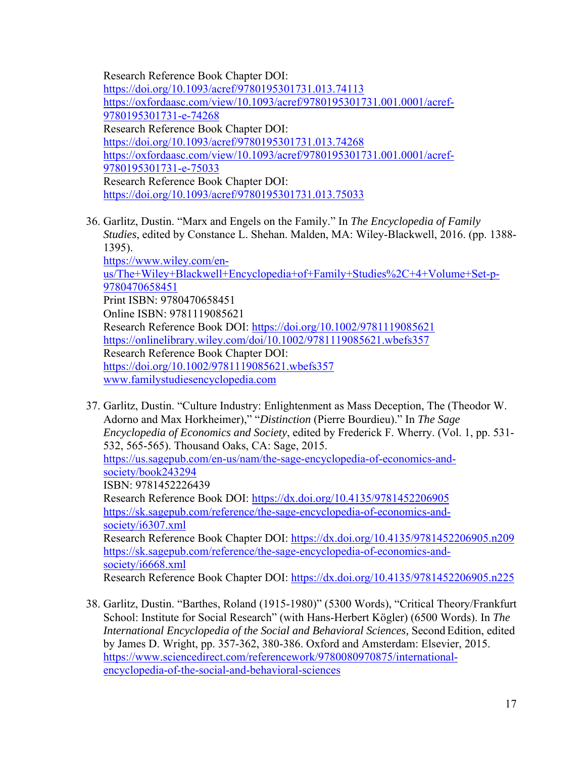Research Reference Book Chapter DOI: https://doi.org/10.1093/acref/9780195301731.013.74113 https://oxfordaasc.com/view/10.1093/acref/9780195301731.001.0001/acref-9780195301731-e-74268 Research Reference Book Chapter DOI: https://doi.org/10.1093/acref/9780195301731.013.74268 https://oxfordaasc.com/view/10.1093/acref/9780195301731.001.0001/acref-9780195301731-e-75033 Research Reference Book Chapter DOI: https://doi.org/10.1093/acref/9780195301731.013.75033

- 36. Garlitz, Dustin. "Marx and Engels on the Family." In *The Encyclopedia of Family Studies*, edited by Constance L. Shehan. Malden, MA: Wiley-Blackwell, 2016. (pp. 1388- 1395). https://www.wiley.com/enus/The+Wiley+Blackwell+Encyclopedia+of+Family+Studies%2C+4+Volume+Set-p-9780470658451 Print ISBN: 9780470658451 Online ISBN: 9781119085621 Research Reference Book DOI: https://doi.org/10.1002/9781119085621 https://onlinelibrary.wiley.com/doi/10.1002/9781119085621.wbefs357 Research Reference Book Chapter DOI: https://doi.org/10.1002/9781119085621.wbefs357 www.familystudiesencyclopedia.com
- 37. Garlitz, Dustin. "Culture Industry: Enlightenment as Mass Deception, The (Theodor W. Adorno and Max Horkheimer)," "*Distinction* (Pierre Bourdieu)." In *The Sage Encyclopedia of Economics and Society*, edited by Frederick F. Wherry. (Vol. 1, pp. 531- 532, 565-565). Thousand Oaks, CA: Sage, 2015. https://us.sagepub.com/en-us/nam/the-sage-encyclopedia-of-economics-andsociety/book243294 ISBN: 9781452226439 Research Reference Book DOI: https://dx.doi.org/10.4135/9781452206905 https://sk.sagepub.com/reference/the-sage-encyclopedia-of-economics-andsociety/i6307.xml Research Reference Book Chapter DOI: https://dx.doi.org/10.4135/9781452206905.n209 https://sk.sagepub.com/reference/the-sage-encyclopedia-of-economics-andsociety/i6668.xml Research Reference Book Chapter DOI: https://dx.doi.org/10.4135/9781452206905.n225
- 38. Garlitz, Dustin. "Barthes, Roland (1915-1980)" (5300 Words), "Critical Theory/Frankfurt School: Institute for Social Research" (with Hans-Herbert Kögler) (6500 Words). In *The International Encyclopedia of the Social and Behavioral Sciences,* Second Edition, edited by James D. Wright, pp. 357-362, 380-386. Oxford and Amsterdam: Elsevier, 2015. https://www.sciencedirect.com/referencework/9780080970875/internationalencyclopedia-of-the-social-and-behavioral-sciences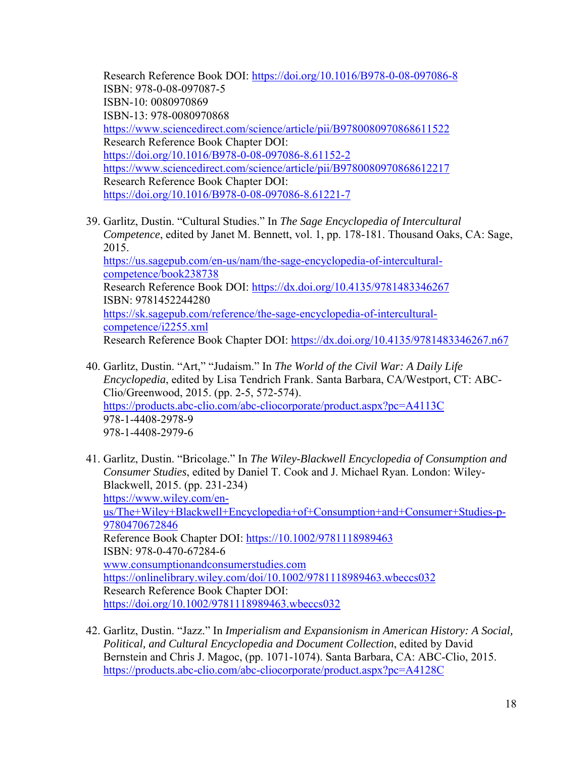Research Reference Book DOI: https://doi.org/10.1016/B978-0-08-097086-8 ISBN: 978-0-08-097087-5 ISBN-10: 0080970869 ISBN-13: 978-0080970868 https://www.sciencedirect.com/science/article/pii/B9780080970868611522 Research Reference Book Chapter DOI: https://doi.org/10.1016/B978-0-08-097086-8.61152-2 https://www.sciencedirect.com/science/article/pii/B9780080970868612217 Research Reference Book Chapter DOI: https://doi.org/10.1016/B978-0-08-097086-8.61221-7

- 39. Garlitz, Dustin. "Cultural Studies." In *The Sage Encyclopedia of Intercultural Competence*, edited by Janet M. Bennett, vol. 1, pp. 178-181. Thousand Oaks, CA: Sage, 2015. https://us.sagepub.com/en-us/nam/the-sage-encyclopedia-of-interculturalcompetence/book238738 Research Reference Book DOI: https://dx.doi.org/10.4135/9781483346267 ISBN: 9781452244280 https://sk.sagepub.com/reference/the-sage-encyclopedia-of-interculturalcompetence/i2255.xml Research Reference Book Chapter DOI: https://dx.doi.org/10.4135/9781483346267.n67
- 40. Garlitz, Dustin. "Art," "Judaism." In *The World of the Civil War: A Daily Life Encyclopedia*, edited by Lisa Tendrich Frank. Santa Barbara, CA/Westport, CT: ABC-Clio/Greenwood, 2015. (pp. 2-5, 572-574). https://products.abc-clio.com/abc-cliocorporate/product.aspx?pc=A4113C 978-1-4408-2978-9 978-1-4408-2979-6
- 41. Garlitz, Dustin. "Bricolage." In *The Wiley-Blackwell Encyclopedia of Consumption and Consumer Studies*, edited by Daniel T. Cook and J. Michael Ryan. London: Wiley-Blackwell, 2015. (pp. 231-234) https://www.wiley.com/enus/The+Wiley+Blackwell+Encyclopedia+of+Consumption+and+Consumer+Studies-p-9780470672846 Reference Book Chapter DOI: https://10.1002/9781118989463 ISBN: 978-0-470-67284-6 www.consumptionandconsumerstudies.com https://onlinelibrary.wiley.com/doi/10.1002/9781118989463.wbeccs032 Research Reference Book Chapter DOI: https://doi.org/10.1002/9781118989463.wbeccs032
- 42. Garlitz, Dustin. "Jazz." In *Imperialism and Expansionism in American History: A Social, Political, and Cultural Encyclopedia and Document Collection*, edited by David Bernstein and Chris J. Magoc, (pp. 1071-1074). Santa Barbara, CA: ABC-Clio, 2015. https://products.abc-clio.com/abc-cliocorporate/product.aspx?pc=A4128C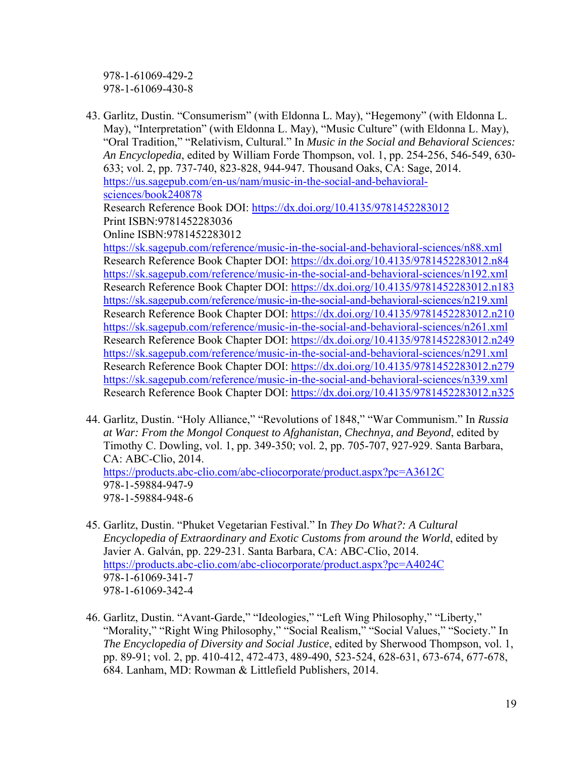978-1-61069-429-2 978-1-61069-430-8

- 43. Garlitz, Dustin. "Consumerism" (with Eldonna L. May), "Hegemony" (with Eldonna L. May), "Interpretation" (with Eldonna L. May), "Music Culture" (with Eldonna L. May), "Oral Tradition," "Relativism, Cultural." In *Music in the Social and Behavioral Sciences: An Encyclopedia*, edited by William Forde Thompson, vol. 1, pp. 254-256, 546-549, 630- 633; vol. 2, pp. 737-740, 823-828, 944-947. Thousand Oaks, CA: Sage, 2014. https://us.sagepub.com/en-us/nam/music-in-the-social-and-behavioralsciences/book240878 Research Reference Book DOI: https://dx.doi.org/10.4135/9781452283012 Print ISBN:9781452283036 Online ISBN:9781452283012 https://sk.sagepub.com/reference/music-in-the-social-and-behavioral-sciences/n88.xml Research Reference Book Chapter DOI: https://dx.doi.org/10.4135/9781452283012.n84 https://sk.sagepub.com/reference/music-in-the-social-and-behavioral-sciences/n192.xml Research Reference Book Chapter DOI: https://dx.doi.org/10.4135/9781452283012.n183 https://sk.sagepub.com/reference/music-in-the-social-and-behavioral-sciences/n219.xml Research Reference Book Chapter DOI: https://dx.doi.org/10.4135/9781452283012.n210 https://sk.sagepub.com/reference/music-in-the-social-and-behavioral-sciences/n261.xml Research Reference Book Chapter DOI: https://dx.doi.org/10.4135/9781452283012.n249 https://sk.sagepub.com/reference/music-in-the-social-and-behavioral-sciences/n291.xml Research Reference Book Chapter DOI: https://dx.doi.org/10.4135/9781452283012.n279 https://sk.sagepub.com/reference/music-in-the-social-and-behavioral-sciences/n339.xml Research Reference Book Chapter DOI: https://dx.doi.org/10.4135/9781452283012.n325
- 44. Garlitz, Dustin. "Holy Alliance," "Revolutions of 1848," "War Communism." In *Russia at War: From the Mongol Conquest to Afghanistan, Chechnya, and Beyond*, edited by Timothy C. Dowling, vol. 1, pp. 349-350; vol. 2, pp. 705-707, 927-929. Santa Barbara, CA: ABC-Clio, 2014. https://products.abc-clio.com/abc-cliocorporate/product.aspx?pc=A3612C 978-1-59884-947-9 978-1-59884-948-6
- 45. Garlitz, Dustin. "Phuket Vegetarian Festival." In *They Do What?: A Cultural Encyclopedia of Extraordinary and Exotic Customs from around the World*, edited by Javier A. Galván, pp. 229-231. Santa Barbara, CA: ABC-Clio, 2014. https://products.abc-clio.com/abc-cliocorporate/product.aspx?pc=A4024C 978-1-61069-341-7 978-1-61069-342-4
- 46. Garlitz, Dustin. "Avant-Garde," "Ideologies," "Left Wing Philosophy," "Liberty," "Morality," "Right Wing Philosophy," "Social Realism," "Social Values," "Society." In *The Encyclopedia of Diversity and Social Justice*, edited by Sherwood Thompson, vol. 1, pp. 89-91; vol. 2, pp. 410-412, 472-473, 489-490, 523-524, 628-631, 673-674, 677-678, 684. Lanham, MD: Rowman & Littlefield Publishers, 2014.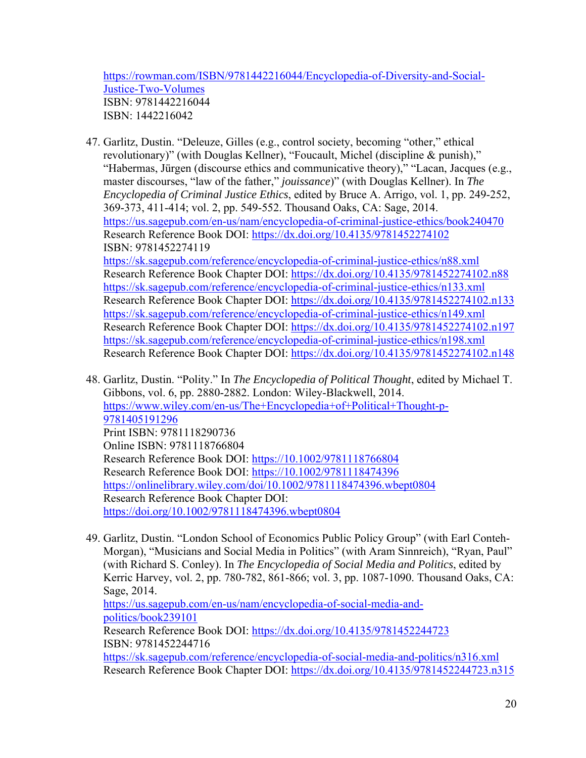https://rowman.com/ISBN/9781442216044/Encyclopedia-of-Diversity-and-Social-Justice-Two-Volumes ISBN: 9781442216044 ISBN: 1442216042

- 47. Garlitz, Dustin. "Deleuze, Gilles (e.g., control society, becoming "other," ethical revolutionary)" (with Douglas Kellner), "Foucault, Michel (discipline & punish)," "Habermas, Jürgen (discourse ethics and communicative theory)," "Lacan, Jacques (e.g., master discourses, "law of the father," *jouissance*)" (with Douglas Kellner). In *The Encyclopedia of Criminal Justice Ethics*, edited by Bruce A. Arrigo, vol. 1, pp. 249-252, 369-373, 411-414; vol. 2, pp. 549-552. Thousand Oaks, CA: Sage, 2014. https://us.sagepub.com/en-us/nam/encyclopedia-of-criminal-justice-ethics/book240470 Research Reference Book DOI: https://dx.doi.org/10.4135/9781452274102 ISBN: 9781452274119 https://sk.sagepub.com/reference/encyclopedia-of-criminal-justice-ethics/n88.xml Research Reference Book Chapter DOI: https://dx.doi.org/10.4135/9781452274102.n88 https://sk.sagepub.com/reference/encyclopedia-of-criminal-justice-ethics/n133.xml Research Reference Book Chapter DOI: https://dx.doi.org/10.4135/9781452274102.n133 https://sk.sagepub.com/reference/encyclopedia-of-criminal-justice-ethics/n149.xml Research Reference Book Chapter DOI: https://dx.doi.org/10.4135/9781452274102.n197 https://sk.sagepub.com/reference/encyclopedia-of-criminal-justice-ethics/n198.xml Research Reference Book Chapter DOI: https://dx.doi.org/10.4135/9781452274102.n148
- 48. Garlitz, Dustin. "Polity." In *The Encyclopedia of Political Thought*, edited by Michael T. Gibbons, vol. 6, pp. 2880-2882. London: Wiley-Blackwell, 2014. https://www.wiley.com/en-us/The+Encyclopedia+of+Political+Thought-p-9781405191296 Print ISBN: 9781118290736 Online ISBN: 9781118766804 Research Reference Book DOI: https://10.1002/9781118766804 Research Reference Book DOI: https://10.1002/9781118474396 https://onlinelibrary.wiley.com/doi/10.1002/9781118474396.wbept0804 Research Reference Book Chapter DOI: https://doi.org/10.1002/9781118474396.wbept0804
- 49. Garlitz, Dustin. "London School of Economics Public Policy Group" (with Earl Conteh-Morgan), "Musicians and Social Media in Politics" (with Aram Sinnreich), "Ryan, Paul" (with Richard S. Conley). In *The Encyclopedia of Social Media and Politics*, edited by Kerric Harvey, vol. 2, pp. 780-782, 861-866; vol. 3, pp. 1087-1090. Thousand Oaks, CA: Sage, 2014. https://us.sagepub.com/en-us/nam/encyclopedia-of-social-media-andpolitics/book239101 Research Reference Book DOI: https://dx.doi.org/10.4135/9781452244723 ISBN: 9781452244716 https://sk.sagepub.com/reference/encyclopedia-of-social-media-and-politics/n316.xml

Research Reference Book Chapter DOI: https://dx.doi.org/10.4135/9781452244723.n315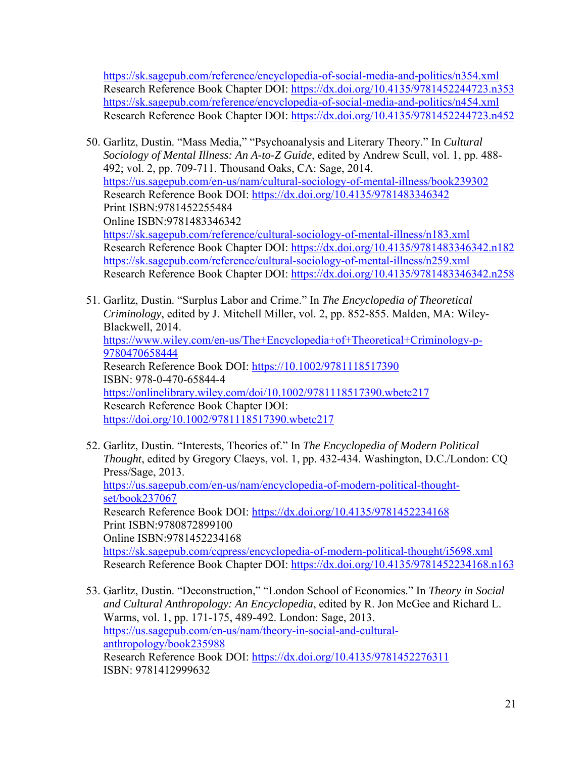https://sk.sagepub.com/reference/encyclopedia-of-social-media-and-politics/n354.xml Research Reference Book Chapter DOI: https://dx.doi.org/10.4135/9781452244723.n353 https://sk.sagepub.com/reference/encyclopedia-of-social-media-and-politics/n454.xml Research Reference Book Chapter DOI: https://dx.doi.org/10.4135/9781452244723.n452

50. Garlitz, Dustin. "Mass Media," "Psychoanalysis and Literary Theory." In *Cultural Sociology of Mental Illness: An A-to-Z Guide*, edited by Andrew Scull, vol. 1, pp. 488- 492; vol. 2, pp. 709-711. Thousand Oaks, CA: Sage, 2014. https://us.sagepub.com/en-us/nam/cultural-sociology-of-mental-illness/book239302 Research Reference Book DOI: https://dx.doi.org/10.4135/9781483346342 Print ISBN:9781452255484 Online ISBN:9781483346342 https://sk.sagepub.com/reference/cultural-sociology-of-mental-illness/n183.xml Research Reference Book Chapter DOI: https://dx.doi.org/10.4135/9781483346342.n182 https://sk.sagepub.com/reference/cultural-sociology-of-mental-illness/n259.xml Research Reference Book Chapter DOI: https://dx.doi.org/10.4135/9781483346342.n258

51. Garlitz, Dustin. "Surplus Labor and Crime." In *The Encyclopedia of Theoretical Criminology*, edited by J. Mitchell Miller, vol. 2, pp. 852-855. Malden, MA: Wiley-Blackwell, 2014. https://www.wiley.com/en-us/The+Encyclopedia+of+Theoretical+Criminology-p-9780470658444 Research Reference Book DOI: https://10.1002/9781118517390 ISBN: 978-0-470-65844-4 https://onlinelibrary.wiley.com/doi/10.1002/9781118517390.wbetc217 Research Reference Book Chapter DOI: https://doi.org/10.1002/9781118517390.wbetc217

- 52. Garlitz, Dustin. "Interests, Theories of." In *The Encyclopedia of Modern Political Thought*, edited by Gregory Claeys, vol. 1, pp. 432-434. Washington, D.C./London: CQ Press/Sage, 2013. https://us.sagepub.com/en-us/nam/encyclopedia-of-modern-political-thoughtset/book237067 Research Reference Book DOI: https://dx.doi.org/10.4135/9781452234168 Print ISBN:9780872899100 Online ISBN:9781452234168 https://sk.sagepub.com/cqpress/encyclopedia-of-modern-political-thought/i5698.xml Research Reference Book Chapter DOI: https://dx.doi.org/10.4135/9781452234168.n163
- 53. Garlitz, Dustin. "Deconstruction," "London School of Economics." In *Theory in Social and Cultural Anthropology: An Encyclopedia*, edited by R. Jon McGee and Richard L. Warms, vol. 1, pp. 171-175, 489-492. London: Sage, 2013. https://us.sagepub.com/en-us/nam/theory-in-social-and-culturalanthropology/book235988 Research Reference Book DOI: https://dx.doi.org/10.4135/9781452276311 ISBN: 9781412999632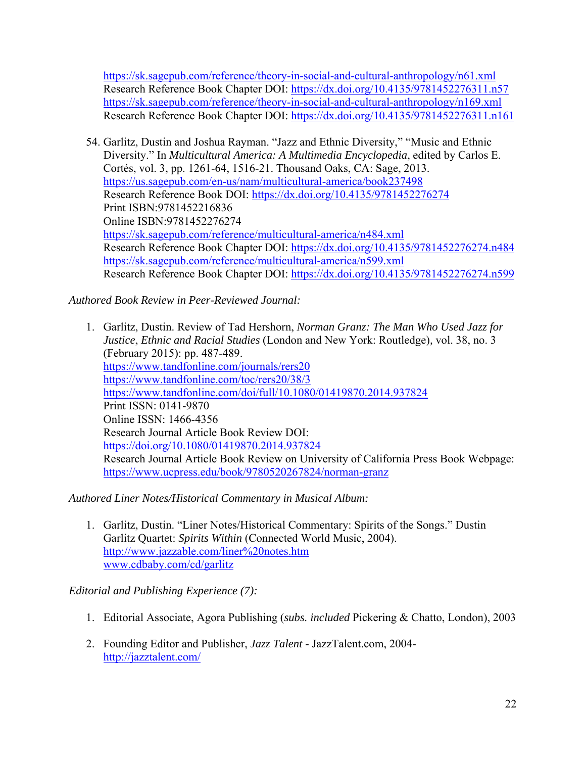https://sk.sagepub.com/reference/theory-in-social-and-cultural-anthropology/n61.xml Research Reference Book Chapter DOI: https://dx.doi.org/10.4135/9781452276311.n57 https://sk.sagepub.com/reference/theory-in-social-and-cultural-anthropology/n169.xml Research Reference Book Chapter DOI: https://dx.doi.org/10.4135/9781452276311.n161

54. Garlitz, Dustin and Joshua Rayman. "Jazz and Ethnic Diversity," "Music and Ethnic Diversity." In *Multicultural America: A Multimedia Encyclopedia*, edited by Carlos E. Cortés, vol. 3, pp. 1261-64, 1516-21. Thousand Oaks, CA: Sage, 2013. https://us.sagepub.com/en-us/nam/multicultural-america/book237498 Research Reference Book DOI: https://dx.doi.org/10.4135/9781452276274 Print ISBN:9781452216836 Online ISBN:9781452276274 https://sk.sagepub.com/reference/multicultural-america/n484.xml Research Reference Book Chapter DOI: https://dx.doi.org/10.4135/9781452276274.n484 https://sk.sagepub.com/reference/multicultural-america/n599.xml Research Reference Book Chapter DOI: https://dx.doi.org/10.4135/9781452276274.n599

*Authored Book Review in Peer-Reviewed Journal:* 

1. Garlitz, Dustin. Review of Tad Hershorn, *Norman Granz: The Man Who Used Jazz for Justice*, *Ethnic and Racial Studies* (London and New York: Routledge)*,* vol. 38, no. 3 (February 2015): pp. 487-489. https://www.tandfonline.com/journals/rers20 https://www.tandfonline.com/toc/rers20/38/3 https://www.tandfonline.com/doi/full/10.1080/01419870.2014.937824 Print ISSN: 0141-9870 Online ISSN: 1466-4356 Research Journal Article Book Review DOI: https://doi.org/10.1080/01419870.2014.937824 Research Journal Article Book Review on University of California Press Book Webpage: https://www.ucpress.edu/book/9780520267824/norman-granz

*Authored Liner Notes/Historical Commentary in Musical Album:* 

1. Garlitz, Dustin. "Liner Notes/Historical Commentary: Spirits of the Songs." Dustin Garlitz Quartet: *Spirits Within* (Connected World Music, 2004). http://www.jazzable.com/liner%20notes.htm www.cdbaby.com/cd/garlitz

*Editorial and Publishing Experience (7):* 

- 1. Editorial Associate, Agora Publishing (*subs. included* Pickering & Chatto, London), 2003
- 2. Founding Editor and Publisher, *Jazz Talent* JazzTalent.com, 2004 http://jazztalent.com/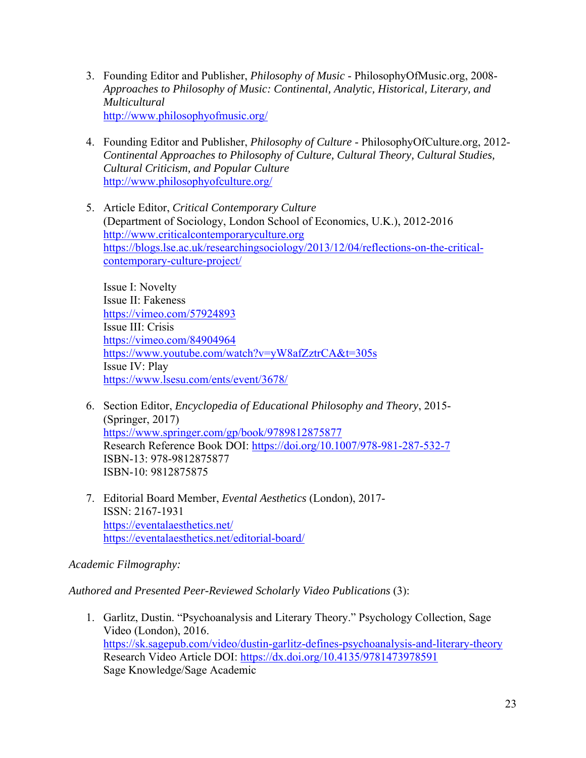- 3. Founding Editor and Publisher, *Philosophy of Music* PhilosophyOfMusic.org, 2008- *Approaches to Philosophy of Music: Continental, Analytic, Historical, Literary, and Multicultural*  http://www.philosophyofmusic.org/
- 4. Founding Editor and Publisher, *Philosophy of Culture* PhilosophyOfCulture.org, 2012- *Continental Approaches to Philosophy of Culture, Cultural Theory, Cultural Studies, Cultural Criticism, and Popular Culture*  http://www.philosophyofculture.org/
- 5. Article Editor, *Critical Contemporary Culture* (Department of Sociology, London School of Economics, U.K.), 2012-2016 http://www.criticalcontemporaryculture.org https://blogs.lse.ac.uk/researchingsociology/2013/12/04/reflections-on-the-criticalcontemporary-culture-project/

Issue I: Novelty Issue II: Fakeness https://vimeo.com/57924893 Issue III: Crisis https://vimeo.com/84904964 https://www.youtube.com/watch?v=yW8afZztrCA&t=305s Issue IV: Play https://www.lsesu.com/ents/event/3678/

- 6. Section Editor, *Encyclopedia of Educational Philosophy and Theory*, 2015- (Springer, 2017) https://www.springer.com/gp/book/9789812875877 Research Reference Book DOI: https://doi.org/10.1007/978-981-287-532-7 ISBN-13: 978-9812875877 ISBN-10: 9812875875
- 7. Editorial Board Member, *Evental Aesthetics* (London), 2017- ISSN: 2167-1931 https://eventalaesthetics.net/ https://eventalaesthetics.net/editorial-board/

# *Academic Filmography:*

*Authored and Presented Peer-Reviewed Scholarly Video Publications* (3):

1. Garlitz, Dustin. "Psychoanalysis and Literary Theory." Psychology Collection, Sage Video (London), 2016. https://sk.sagepub.com/video/dustin-garlitz-defines-psychoanalysis-and-literary-theory Research Video Article DOI: https://dx.doi.org/10.4135/9781473978591 Sage Knowledge/Sage Academic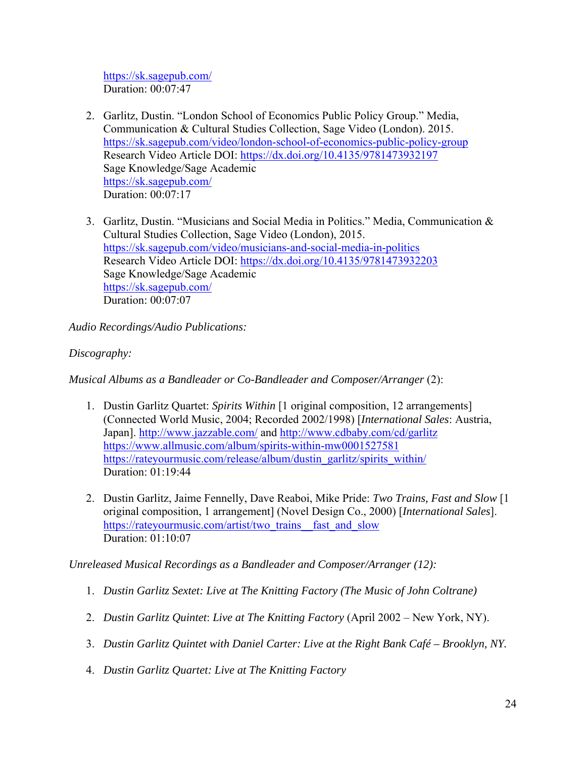https://sk.sagepub.com/ Duration: 00:07:47

- 2. Garlitz, Dustin. "London School of Economics Public Policy Group." Media, Communication & Cultural Studies Collection, Sage Video (London). 2015. https://sk.sagepub.com/video/london-school-of-economics-public-policy-group Research Video Article DOI: https://dx.doi.org/10.4135/9781473932197 Sage Knowledge/Sage Academic https://sk.sagepub.com/ Duration: 00:07:17
- 3. Garlitz, Dustin. "Musicians and Social Media in Politics." Media, Communication & Cultural Studies Collection, Sage Video (London), 2015. https://sk.sagepub.com/video/musicians-and-social-media-in-politics Research Video Article DOI: https://dx.doi.org/10.4135/9781473932203 Sage Knowledge/Sage Academic https://sk.sagepub.com/ Duration: 00:07:07

*Audio Recordings/Audio Publications:* 

# *Discography:*

*Musical Albums as a Bandleader or Co-Bandleader and Composer/Arranger* (2):

- 1. Dustin Garlitz Quartet: *Spirits Within* [1 original composition, 12 arrangements] (Connected World Music, 2004; Recorded 2002/1998) [*International Sales*: Austria, Japan]. http://www.jazzable.com/ and http://www.cdbaby.com/cd/garlitz https://www.allmusic.com/album/spirits-within-mw0001527581 https://rateyourmusic.com/release/album/dustin\_garlitz/spirits\_within/ Duration: 01:19:44
- 2. Dustin Garlitz, Jaime Fennelly, Dave Reaboi, Mike Pride: *Two Trains, Fast and Slow* [1 original composition, 1 arrangement] (Novel Design Co., 2000) [*International Sales*]. https://rateyourmusic.com/artist/two\_trains\_fast\_and\_slow Duration: 01:10:07

*Unreleased Musical Recordings as a Bandleader and Composer/Arranger (12):* 

- 1. *Dustin Garlitz Sextet: Live at The Knitting Factory (The Music of John Coltrane)*
- 2. *Dustin Garlitz Quintet*: *Live at The Knitting Factory* (April 2002 New York, NY).
- 3. *Dustin Garlitz Quintet with Daniel Carter: Live at the Right Bank Café Brooklyn, NY.*
- 4. *Dustin Garlitz Quartet: Live at The Knitting Factory*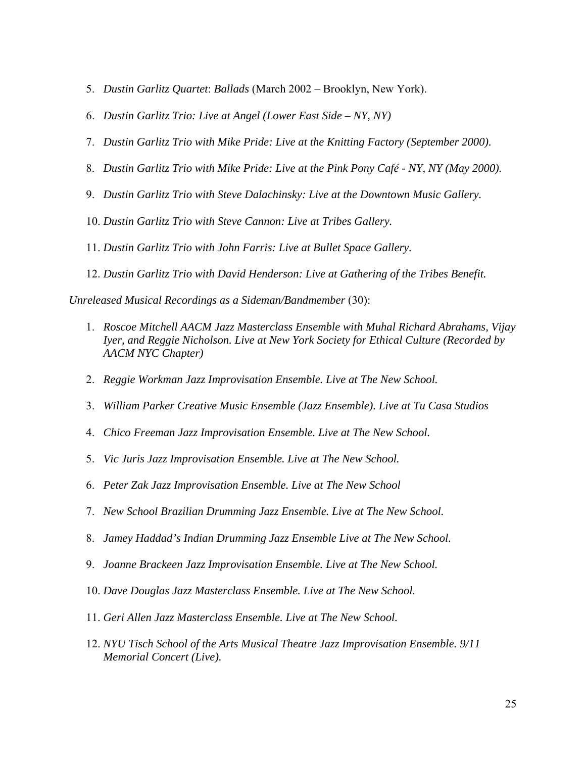- 5. *Dustin Garlitz Quartet*: *Ballads* (March 2002 Brooklyn, New York).
- 6. *Dustin Garlitz Trio: Live at Angel (Lower East Side NY, NY)*
- 7. *Dustin Garlitz Trio with Mike Pride: Live at the Knitting Factory (September 2000).*
- 8. *Dustin Garlitz Trio with Mike Pride: Live at the Pink Pony Café NY, NY (May 2000).*
- 9. *Dustin Garlitz Trio with Steve Dalachinsky: Live at the Downtown Music Gallery.*
- 10. *Dustin Garlitz Trio with Steve Cannon: Live at Tribes Gallery.*
- 11. *Dustin Garlitz Trio with John Farris: Live at Bullet Space Gallery.*
- 12. *Dustin Garlitz Trio with David Henderson: Live at Gathering of the Tribes Benefit.*

*Unreleased Musical Recordings as a Sideman/Bandmember* (30):

- 1. *Roscoe Mitchell AACM Jazz Masterclass Ensemble with Muhal Richard Abrahams, Vijay Iyer, and Reggie Nicholson. Live at New York Society for Ethical Culture (Recorded by AACM NYC Chapter)*
- 2. *Reggie Workman Jazz Improvisation Ensemble. Live at The New School.*
- 3. *William Parker Creative Music Ensemble (Jazz Ensemble). Live at Tu Casa Studios*
- 4. *Chico Freeman Jazz Improvisation Ensemble. Live at The New School.*
- 5. *Vic Juris Jazz Improvisation Ensemble. Live at The New School.*
- 6. *Peter Zak Jazz Improvisation Ensemble. Live at The New School*
- 7. *New School Brazilian Drumming Jazz Ensemble. Live at The New School.*
- 8. *Jamey Haddad's Indian Drumming Jazz Ensemble Live at The New School.*
- 9. *Joanne Brackeen Jazz Improvisation Ensemble. Live at The New School.*
- 10. *Dave Douglas Jazz Masterclass Ensemble. Live at The New School.*
- 11. *Geri Allen Jazz Masterclass Ensemble. Live at The New School.*
- 12. *NYU Tisch School of the Arts Musical Theatre Jazz Improvisation Ensemble. 9/11 Memorial Concert (Live).*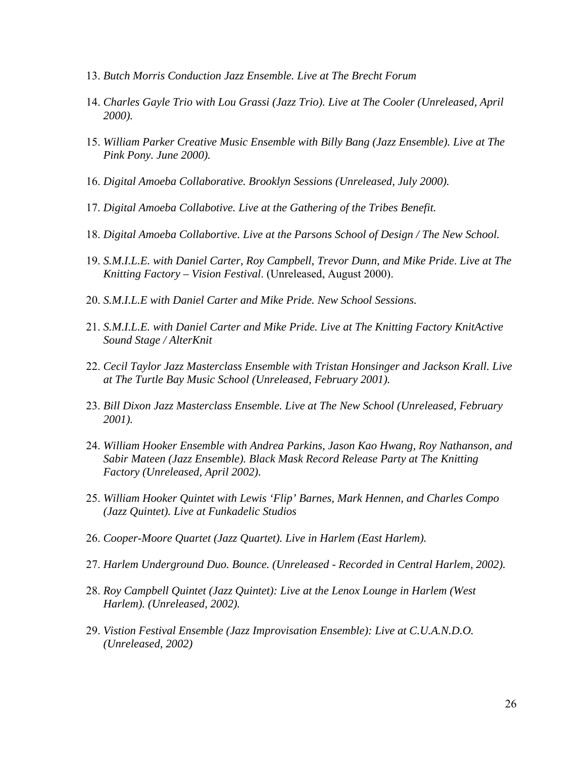- 13. *Butch Morris Conduction Jazz Ensemble. Live at The Brecht Forum*
- 14. *Charles Gayle Trio with Lou Grassi (Jazz Trio). Live at The Cooler (Unreleased, April 2000).*
- 15. *William Parker Creative Music Ensemble with Billy Bang (Jazz Ensemble). Live at The Pink Pony. June 2000).*
- 16. *Digital Amoeba Collaborative. Brooklyn Sessions (Unreleased, July 2000).*
- 17. *Digital Amoeba Collabotive. Live at the Gathering of the Tribes Benefit.*
- 18. *Digital Amoeba Collabortive. Live at the Parsons School of Design / The New School.*
- 19. *S.M.I.L.E. with Daniel Carter, Roy Campbell, Trevor Dunn, and Mike Pride*. *Live at The Knitting Factory – Vision Festival*. (Unreleased, August 2000).
- 20. *S.M.I.L.E with Daniel Carter and Mike Pride. New School Sessions.*
- 21. *S.M.I.L.E. with Daniel Carter and Mike Pride. Live at The Knitting Factory KnitActive Sound Stage / AlterKnit*
- 22. *Cecil Taylor Jazz Masterclass Ensemble with Tristan Honsinger and Jackson Krall. Live at The Turtle Bay Music School (Unreleased, February 2001).*
- 23. *Bill Dixon Jazz Masterclass Ensemble. Live at The New School (Unreleased, February 2001).*
- 24. *William Hooker Ensemble with Andrea Parkins, Jason Kao Hwang, Roy Nathanson, and Sabir Mateen (Jazz Ensemble). Black Mask Record Release Party at The Knitting Factory (Unreleased, April 2002).*
- 25. *William Hooker Quintet with Lewis 'Flip' Barnes, Mark Hennen, and Charles Compo (Jazz Quintet). Live at Funkadelic Studios*
- 26. *Cooper-Moore Quartet (Jazz Quartet). Live in Harlem (East Harlem).*
- 27. *Harlem Underground Duo. Bounce. (Unreleased Recorded in Central Harlem, 2002).*
- 28. *Roy Campbell Quintet (Jazz Quintet): Live at the Lenox Lounge in Harlem (West Harlem). (Unreleased, 2002).*
- 29. *Vistion Festival Ensemble (Jazz Improvisation Ensemble): Live at C.U.A.N.D.O. (Unreleased, 2002)*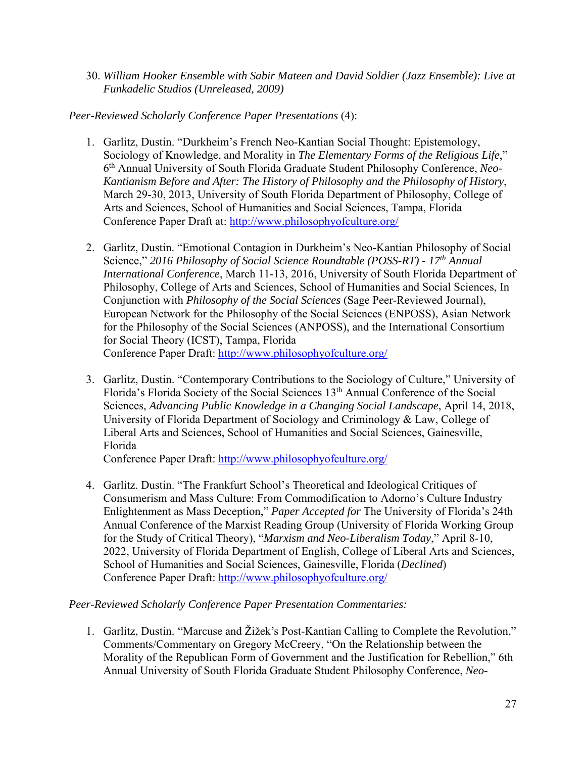30. *William Hooker Ensemble with Sabir Mateen and David Soldier (Jazz Ensemble): Live at Funkadelic Studios (Unreleased, 2009)* 

# *Peer-Reviewed Scholarly Conference Paper Presentations* (4):

- 1. Garlitz, Dustin. "Durkheim's French Neo-Kantian Social Thought: Epistemology, Sociology of Knowledge, and Morality in *The Elementary Forms of the Religious Life*," 6th Annual University of South Florida Graduate Student Philosophy Conference, *Neo-Kantianism Before and After: The History of Philosophy and the Philosophy of History*, March 29-30, 2013, University of South Florida Department of Philosophy, College of Arts and Sciences, School of Humanities and Social Sciences, Tampa, Florida Conference Paper Draft at: http://www.philosophyofculture.org/
- 2. Garlitz, Dustin. "Emotional Contagion in Durkheim's Neo-Kantian Philosophy of Social Science," 2016 Philosophy of Social Science Roundtable (POSS-RT) - 17<sup>th</sup> Annual *International Conference*, March 11-13, 2016, University of South Florida Department of Philosophy, College of Arts and Sciences, School of Humanities and Social Sciences, In Conjunction with *Philosophy of the Social Sciences* (Sage Peer-Reviewed Journal), European Network for the Philosophy of the Social Sciences (ENPOSS), Asian Network for the Philosophy of the Social Sciences (ANPOSS), and the International Consortium for Social Theory (ICST), Tampa, Florida Conference Paper Draft: http://www.philosophyofculture.org/
- 3. Garlitz, Dustin. "Contemporary Contributions to the Sociology of Culture," University of Florida's Florida Society of the Social Sciences 13th Annual Conference of the Social Sciences, *Advancing Public Knowledge in a Changing Social Landscape*, April 14, 2018, University of Florida Department of Sociology and Criminology & Law, College of Liberal Arts and Sciences, School of Humanities and Social Sciences, Gainesville, Florida

Conference Paper Draft: http://www.philosophyofculture.org/

4. Garlitz. Dustin. "The Frankfurt School's Theoretical and Ideological Critiques of Consumerism and Mass Culture: From Commodification to Adorno's Culture Industry – Enlightenment as Mass Deception," *Paper Accepted for* The University of Florida's 24th Annual Conference of the Marxist Reading Group (University of Florida Working Group for the Study of Critical Theory), "*Marxism and Neo-Liberalism Today*," April 8-10, 2022, University of Florida Department of English, College of Liberal Arts and Sciences, School of Humanities and Social Sciences, Gainesville, Florida (*Declined*) Conference Paper Draft: http://www.philosophyofculture.org/

### *Peer-Reviewed Scholarly Conference Paper Presentation Commentaries:*

1. Garlitz, Dustin. "Marcuse and Žižek's Post-Kantian Calling to Complete the Revolution," Comments/Commentary on Gregory McCreery, "On the Relationship between the Morality of the Republican Form of Government and the Justification for Rebellion," 6th Annual University of South Florida Graduate Student Philosophy Conference, *Neo-*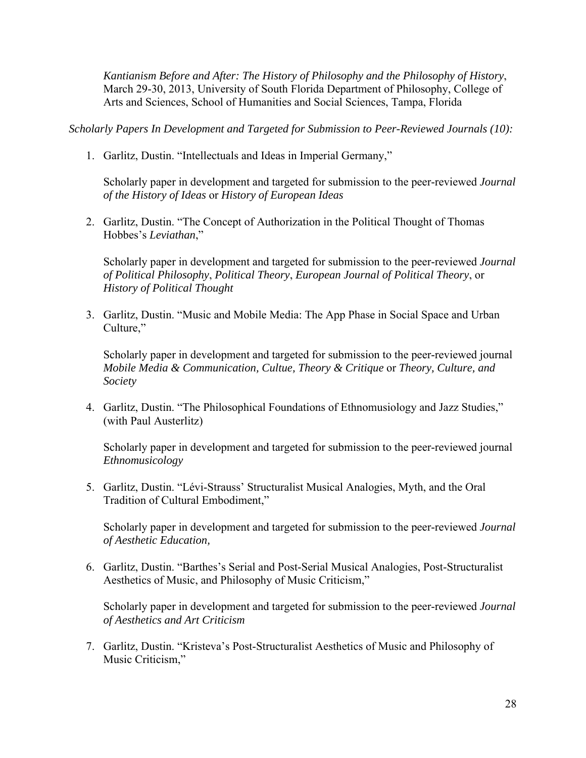*Kantianism Before and After: The History of Philosophy and the Philosophy of History*, March 29-30, 2013, University of South Florida Department of Philosophy, College of Arts and Sciences, School of Humanities and Social Sciences, Tampa, Florida

*Scholarly Papers In Development and Targeted for Submission to Peer-Reviewed Journals (10):* 

1. Garlitz, Dustin. "Intellectuals and Ideas in Imperial Germany,"

Scholarly paper in development and targeted for submission to the peer-reviewed *Journal of the History of Ideas* or *History of European Ideas* 

2. Garlitz, Dustin. "The Concept of Authorization in the Political Thought of Thomas Hobbes's *Leviathan*,"

Scholarly paper in development and targeted for submission to the peer-reviewed *Journal of Political Philosophy*, *Political Theory*, *European Journal of Political Theory*, or *History of Political Thought* 

3. Garlitz, Dustin. "Music and Mobile Media: The App Phase in Social Space and Urban Culture,"

Scholarly paper in development and targeted for submission to the peer-reviewed journal *Mobile Media & Communication, Cultue, Theory & Critique* or *Theory, Culture, and Society*

4. Garlitz, Dustin. "The Philosophical Foundations of Ethnomusiology and Jazz Studies," (with Paul Austerlitz)

Scholarly paper in development and targeted for submission to the peer-reviewed journal *Ethnomusicology*

5. Garlitz, Dustin. "Lévi-Strauss' Structuralist Musical Analogies, Myth, and the Oral Tradition of Cultural Embodiment,"

Scholarly paper in development and targeted for submission to the peer-reviewed *Journal of Aesthetic Education,* 

6. Garlitz, Dustin. "Barthes's Serial and Post-Serial Musical Analogies, Post-Structuralist Aesthetics of Music, and Philosophy of Music Criticism,"

Scholarly paper in development and targeted for submission to the peer-reviewed *Journal of Aesthetics and Art Criticism*

7. Garlitz, Dustin. "Kristeva's Post-Structuralist Aesthetics of Music and Philosophy of Music Criticism,"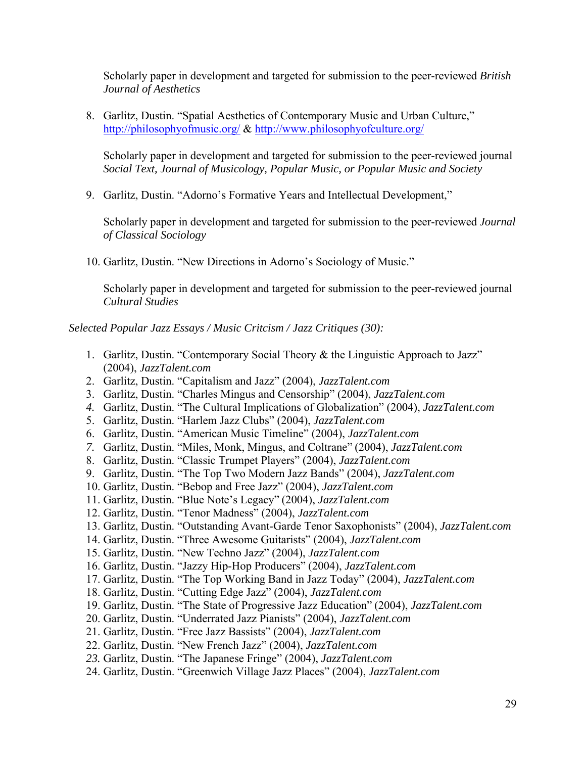Scholarly paper in development and targeted for submission to the peer-reviewed *British Journal of Aesthetics*

8. Garlitz, Dustin. "Spatial Aesthetics of Contemporary Music and Urban Culture," http://philosophyofmusic.org/ & http://www.philosophyofculture.org/

Scholarly paper in development and targeted for submission to the peer-reviewed journal *Social Text, Journal of Musicology, Popular Music, or Popular Music and Society* 

9. Garlitz, Dustin. "Adorno's Formative Years and Intellectual Development,"

Scholarly paper in development and targeted for submission to the peer-reviewed *Journal of Classical Sociology* 

10. Garlitz, Dustin. "New Directions in Adorno's Sociology of Music."

Scholarly paper in development and targeted for submission to the peer-reviewed journal *Cultural Studies* 

*Selected Popular Jazz Essays / Music Critcism / Jazz Critiques (30):* 

- 1. Garlitz, Dustin. "Contemporary Social Theory & the Linguistic Approach to Jazz" (2004), *JazzTalent.com*
- 2. Garlitz, Dustin. "Capitalism and Jazz" (2004), *JazzTalent.com*
- 3. Garlitz, Dustin. "Charles Mingus and Censorship" (2004), *JazzTalent.com*
- *4.* Garlitz, Dustin. "The Cultural Implications of Globalization" (2004), *JazzTalent.com*
- 5. Garlitz, Dustin. "Harlem Jazz Clubs" (2004), *JazzTalent.com*
- 6. Garlitz, Dustin. "American Music Timeline" (2004), *JazzTalent.com*
- *7.* Garlitz, Dustin. "Miles, Monk, Mingus, and Coltrane" (2004), *JazzTalent.com*
- 8. Garlitz, Dustin. "Classic Trumpet Players" (2004), *JazzTalent.com*
- 9. Garlitz, Dustin. "The Top Two Modern Jazz Bands" (2004), *JazzTalent.com*
- 10. Garlitz, Dustin. "Bebop and Free Jazz" (2004), *JazzTalent.com*
- 11. Garlitz, Dustin. "Blue Note's Legacy" (2004), *JazzTalent.com*
- 12. Garlitz, Dustin. "Tenor Madness" (2004), *JazzTalent.com*
- 13. Garlitz, Dustin. "Outstanding Avant-Garde Tenor Saxophonists" (2004), *JazzTalent.com*
- 14. Garlitz, Dustin. "Three Awesome Guitarists" (2004), *JazzTalent.com*
- 15. Garlitz, Dustin. "New Techno Jazz" (2004), *JazzTalent.com*
- 16. Garlitz, Dustin. "Jazzy Hip-Hop Producers" (2004), *JazzTalent.com*
- 17. Garlitz, Dustin. "The Top Working Band in Jazz Today" (2004), *JazzTalent.com*
- 18. Garlitz, Dustin. "Cutting Edge Jazz" (2004), *JazzTalent.com*
- 19. Garlitz, Dustin. "The State of Progressive Jazz Education" (2004), *JazzTalent.com*
- 20. Garlitz, Dustin. "Underrated Jazz Pianists" (2004), *JazzTalent.com*
- 21. Garlitz, Dustin. "Free Jazz Bassists" (2004), *JazzTalent.com*
- 22. Garlitz, Dustin. "New French Jazz" (2004), *JazzTalent.com*
- *23.* Garlitz, Dustin. "The Japanese Fringe" (2004), *JazzTalent.com*
- 24. Garlitz, Dustin. "Greenwich Village Jazz Places" (2004), *JazzTalent.com*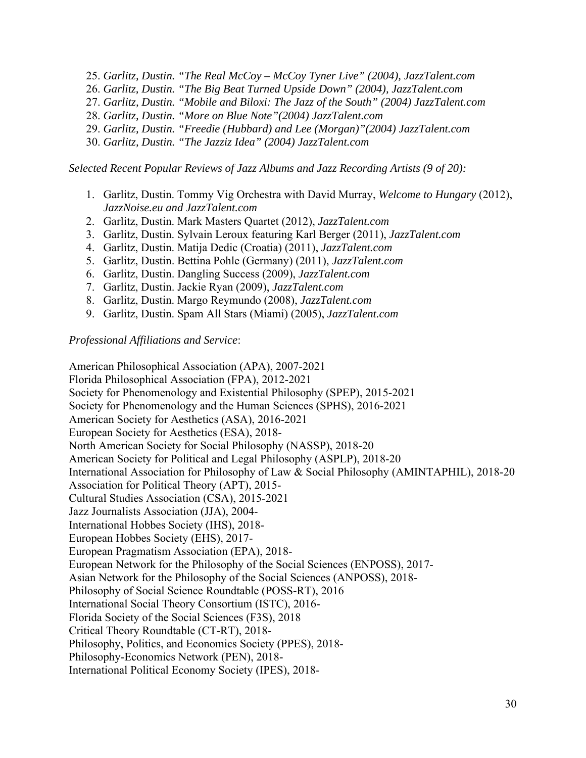- 25. *Garlitz, Dustin. "The Real McCoy McCoy Tyner Live" (2004), JazzTalent.com*
- 26. *Garlitz, Dustin. "The Big Beat Turned Upside Down" (2004), JazzTalent.com*
- 27. *Garlitz, Dustin. "Mobile and Biloxi: The Jazz of the South" (2004) JazzTalent.com*
- 28. *Garlitz, Dustin. "More on Blue Note"(2004) JazzTalent.com*
- 29. *Garlitz, Dustin. "Freedie (Hubbard) and Lee (Morgan)"(2004) JazzTalent.com*
- 30. *Garlitz, Dustin. "The Jazziz Idea" (2004) JazzTalent.com*

*Selected Recent Popular Reviews of Jazz Albums and Jazz Recording Artists (9 of 20):* 

- 1. Garlitz, Dustin. Tommy Vig Orchestra with David Murray, *Welcome to Hungary* (2012), *JazzNoise.eu and JazzTalent.com*
- 2. Garlitz, Dustin. Mark Masters Quartet (2012), *JazzTalent.com*
- 3. Garlitz, Dustin. Sylvain Leroux featuring Karl Berger (2011), *JazzTalent.com*
- 4. Garlitz, Dustin. Matija Dedic (Croatia) (2011), *JazzTalent.com*
- 5. Garlitz, Dustin. Bettina Pohle (Germany) (2011), *JazzTalent.com*
- 6. Garlitz, Dustin. Dangling Success (2009), *JazzTalent.com*
- 7. Garlitz, Dustin. Jackie Ryan (2009), *JazzTalent.com*
- 8. Garlitz, Dustin. Margo Reymundo (2008), *JazzTalent.com*
- 9. Garlitz, Dustin. Spam All Stars (Miami) (2005), *JazzTalent.com*

*Professional Affiliations and Service*:

American Philosophical Association (APA), 2007-2021 Florida Philosophical Association (FPA), 2012-2021 Society for Phenomenology and Existential Philosophy (SPEP), 2015-2021 Society for Phenomenology and the Human Sciences (SPHS), 2016-2021 American Society for Aesthetics (ASA), 2016-2021 European Society for Aesthetics (ESA), 2018- North American Society for Social Philosophy (NASSP), 2018-20 American Society for Political and Legal Philosophy (ASPLP), 2018-20 International Association for Philosophy of Law & Social Philosophy (AMINTAPHIL), 2018-20 Association for Political Theory (APT), 2015- Cultural Studies Association (CSA), 2015-2021 Jazz Journalists Association (JJA), 2004- International Hobbes Society (IHS), 2018- European Hobbes Society (EHS), 2017- European Pragmatism Association (EPA), 2018- European Network for the Philosophy of the Social Sciences (ENPOSS), 2017- Asian Network for the Philosophy of the Social Sciences (ANPOSS), 2018- Philosophy of Social Science Roundtable (POSS-RT), 2016 International Social Theory Consortium (ISTC), 2016- Florida Society of the Social Sciences (F3S), 2018 Critical Theory Roundtable (CT-RT), 2018- Philosophy, Politics, and Economics Society (PPES), 2018- Philosophy-Economics Network (PEN), 2018- International Political Economy Society (IPES), 2018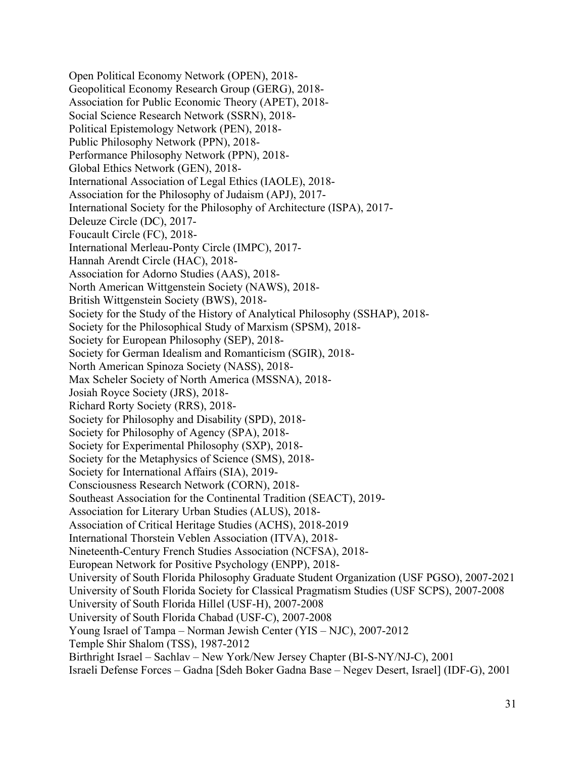Open Political Economy Network (OPEN), 2018- Geopolitical Economy Research Group (GERG), 2018- Association for Public Economic Theory (APET), 2018- Social Science Research Network (SSRN), 2018- Political Epistemology Network (PEN), 2018- Public Philosophy Network (PPN), 2018- Performance Philosophy Network (PPN), 2018- Global Ethics Network (GEN), 2018- International Association of Legal Ethics (IAOLE), 2018- Association for the Philosophy of Judaism (APJ), 2017- International Society for the Philosophy of Architecture (ISPA), 2017- Deleuze Circle (DC), 2017- Foucault Circle (FC), 2018- International Merleau-Ponty Circle (IMPC), 2017- Hannah Arendt Circle (HAC), 2018- Association for Adorno Studies (AAS), 2018- North American Wittgenstein Society (NAWS), 2018- British Wittgenstein Society (BWS), 2018- Society for the Study of the History of Analytical Philosophy (SSHAP), 2018- Society for the Philosophical Study of Marxism (SPSM), 2018- Society for European Philosophy (SEP), 2018- Society for German Idealism and Romanticism (SGIR), 2018- North American Spinoza Society (NASS), 2018- Max Scheler Society of North America (MSSNA), 2018- Josiah Royce Society (JRS), 2018- Richard Rorty Society (RRS), 2018- Society for Philosophy and Disability (SPD), 2018- Society for Philosophy of Agency (SPA), 2018- Society for Experimental Philosophy (SXP), 2018- Society for the Metaphysics of Science (SMS), 2018- Society for International Affairs (SIA), 2019- Consciousness Research Network (CORN), 2018- Southeast Association for the Continental Tradition (SEACT), 2019- Association for Literary Urban Studies (ALUS), 2018- Association of Critical Heritage Studies (ACHS), 2018-2019 International Thorstein Veblen Association (ITVA), 2018- Nineteenth-Century French Studies Association (NCFSA), 2018- European Network for Positive Psychology (ENPP), 2018- University of South Florida Philosophy Graduate Student Organization (USF PGSO), 2007-2021 University of South Florida Society for Classical Pragmatism Studies (USF SCPS), 2007-2008 University of South Florida Hillel (USF-H), 2007-2008 University of South Florida Chabad (USF-C), 2007-2008 Young Israel of Tampa – Norman Jewish Center (YIS – NJC), 2007-2012 Temple Shir Shalom (TSS), 1987-2012 Birthright Israel – Sachlav – New York/New Jersey Chapter (BI-S-NY/NJ-C), 2001

Israeli Defense Forces – Gadna [Sdeh Boker Gadna Base – Negev Desert, Israel] (IDF-G), 2001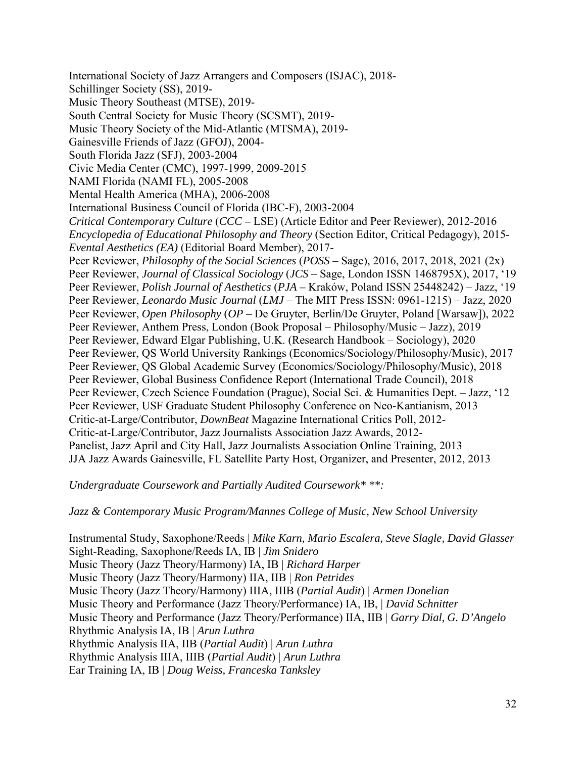International Society of Jazz Arrangers and Composers (ISJAC), 2018- Schillinger Society (SS), 2019- Music Theory Southeast (MTSE), 2019- South Central Society for Music Theory (SCSMT), 2019- Music Theory Society of the Mid-Atlantic (MTSMA), 2019- Gainesville Friends of Jazz (GFOJ), 2004- South Florida Jazz (SFJ), 2003-2004 Civic Media Center (CMC), 1997-1999, 2009-2015 NAMI Florida (NAMI FL), 2005-2008 Mental Health America (MHA), 2006-2008 International Business Council of Florida (IBC-F), 2003-2004 *Critical Contemporary Culture* (*CCC –* LSE) (Article Editor and Peer Reviewer), 2012-2016 *Encyclopedia of Educational Philosophy and Theory* (Section Editor, Critical Pedagogy), 2015- *Evental Aesthetics (EA)* (Editorial Board Member), 2017- Peer Reviewer, *Philosophy of the Social Sciences* (*POSS –* Sage), 2016, 2017, 2018, 2021 (2x) Peer Reviewer, *Journal of Classical Sociology* (*JCS* – Sage, London ISSN 1468795X), 2017, '19 Peer Reviewer, *Polish Journal of Aesthetics* (*PJA –* Kraków, Poland ISSN 25448242) – Jazz, '19 Peer Reviewer, *Leonardo Music Journal* (*LMJ* – The MIT Press ISSN: 0961-1215) – Jazz, 2020 Peer Reviewer, *Open Philosophy* (*OP* – De Gruyter, Berlin/De Gruyter, Poland [Warsaw]), 2022 Peer Reviewer, Anthem Press, London (Book Proposal – Philosophy/Music – Jazz), 2019 Peer Reviewer, Edward Elgar Publishing, U.K. (Research Handbook – Sociology), 2020 Peer Reviewer, QS World University Rankings (Economics/Sociology/Philosophy/Music), 2017 Peer Reviewer, QS Global Academic Survey (Economics/Sociology/Philosophy/Music), 2018 Peer Reviewer, Global Business Confidence Report (International Trade Council), 2018 Peer Reviewer, Czech Science Foundation (Prague), Social Sci. & Humanities Dept. – Jazz, '12 Peer Reviewer, USF Graduate Student Philosophy Conference on Neo-Kantianism, 2013 Critic-at-Large/Contributor, *DownBeat* Magazine International Critics Poll, 2012- Critic-at-Large/Contributor, Jazz Journalists Association Jazz Awards, 2012- Panelist, Jazz April and City Hall, Jazz Journalists Association Online Training, 2013 JJA Jazz Awards Gainesville, FL Satellite Party Host, Organizer, and Presenter, 2012, 2013

*Undergraduate Coursework and Partially Audited Coursework\* \*\*:* 

*Jazz & Contemporary Music Program/Mannes College of Music, New School University* 

Instrumental Study, Saxophone/Reeds | *Mike Karn, Mario Escalera, Steve Slagle, David Glasser* Sight-Reading, Saxophone/Reeds IA, IB | *Jim Snidero* Music Theory (Jazz Theory/Harmony) IA, IB | *Richard Harper* Music Theory (Jazz Theory/Harmony) IIA, IIB | *Ron Petrides* Music Theory (Jazz Theory/Harmony) IIIA, IIIB (*Partial Audit*) | *Armen Donelian* Music Theory and Performance (Jazz Theory/Performance) IA, IB, | *David Schnitter*  Music Theory and Performance (Jazz Theory/Performance) IIA, IIB | *Garry Dial, G. D'Angelo*  Rhythmic Analysis IA, IB | *Arun Luthra* Rhythmic Analysis IIA, IIB (*Partial Audit*) | *Arun Luthra* Rhythmic Analysis IIIA, IIIB (*Partial Audit*) | *Arun Luthra* Ear Training IA, IB | *Doug Weiss, Franceska Tanksley*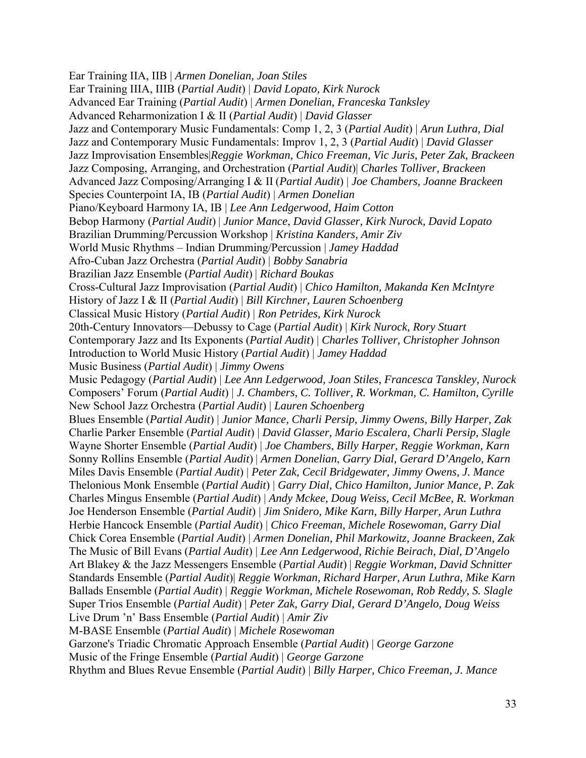Ear Training IIA, IIB | *Armen Donelian, Joan Stiles* Ear Training IIIA, IIIB (*Partial Audit*) | *David Lopato, Kirk Nurock*  Advanced Ear Training (*Partial Audit*) | *Armen Donelian, Franceska Tanksley*  Advanced Reharmonization I & II (*Partial Audit*) | *David Glasser* Jazz and Contemporary Music Fundamentals: Comp 1, 2, 3 (*Partial Audit*) | *Arun Luthra, Dial* Jazz and Contemporary Music Fundamentals: Improv 1, 2, 3 (*Partial Audit*) | *David Glasser* Jazz Improvisation Ensembles|*Reggie Workman, Chico Freeman, Vic Juris, Peter Zak, Brackeen* Jazz Composing, Arranging, and Orchestration (*Partial Audit*)| *Charles Tolliver, Brackeen* Advanced Jazz Composing/Arranging I & II (*Partial Audit*) | *Joe Chambers, Joanne Brackeen* Species Counterpoint IA, IB (*Partial Audit*) | *Armen Donelian* Piano/Keyboard Harmony IA, IB | *Lee Ann Ledgerwood, Haim Cotton* Bebop Harmony (*Partial Audit*) | *Junior Mance*, *David Glasser, Kirk Nurock, David Lopato* Brazilian Drumming/Percussion Workshop | *Kristina Kanders, Amir Ziv* World Music Rhythms – Indian Drumming/Percussion | *Jamey Haddad* Afro-Cuban Jazz Orchestra (*Partial Audit*) | *Bobby Sanabria* Brazilian Jazz Ensemble (*Partial Audit*) | *Richard Boukas* Cross-Cultural Jazz Improvisation (*Partial Audit*) | *Chico Hamilton, Makanda Ken McIntyre* History of Jazz I & II (*Partial Audit*) | *Bill Kirchner, Lauren Schoenberg* Classical Music History (*Partial Audit*) | *Ron Petrides, Kirk Nurock* 20th-Century Innovators—Debussy to Cage (*Partial Audit*) | *Kirk Nurock, Rory Stuart*  Contemporary Jazz and Its Exponents (*Partial Audit*) | *Charles Tolliver, Christopher Johnson* Introduction to World Music History (*Partial Audit*) | *Jamey Haddad* Music Business (*Partial Audit*) | *Jimmy Owens* Music Pedagogy (*Partial Audit*) | *Lee Ann Ledgerwood, Joan Stiles, Francesca Tanskley, Nurock*  Composers' Forum (*Partial Audit*) | *J. Chambers, C. Tolliver, R. Workman, C. Hamilton, Cyrille* New School Jazz Orchestra (*Partial Audit*) | *Lauren Schoenberg* Blues Ensemble (*Partial Audit*) | *Junior Mance, Charli Persip, Jimmy Owens, Billy Harper, Zak*  Charlie Parker Ensemble (*Partial Audit*) | *David Glasser, Mario Escalera, Charli Persip, Slagle*  Wayne Shorter Ensemble (*Partial Audit*) | *Joe Chambers*, *Billy Harper, Reggie Workman, Karn* Sonny Rollins Ensemble (*Partial Audit*) | *Armen Donelian*, *Garry Dial, Gerard D'Angelo, Karn* Miles Davis Ensemble (*Partial Audit*) | *Peter Zak, Cecil Bridgewater, Jimmy Owens, J. Mance*  Thelonious Monk Ensemble (*Partial Audit*) | *Garry Dial, Chico Hamilton, Junior Mance, P. Zak* Charles Mingus Ensemble (*Partial Audit*) | *Andy Mckee, Doug Weiss, Cecil McBee, R. Workman*  Joe Henderson Ensemble (*Partial Audit*) | *Jim Snidero, Mike Karn, Billy Harper, Arun Luthra*  Herbie Hancock Ensemble (*Partial Audit*) | *Chico Freeman, Michele Rosewoman, Garry Dial* Chick Corea Ensemble (*Partial Audit*) | *Armen Donelian, Phil Markowitz, Joanne Brackeen, Zak*  The Music of Bill Evans (*Partial Audit*) | *Lee Ann Ledgerwood, Richie Beirach, Dial, D'Angelo*  Art Blakey & the Jazz Messengers Ensemble (*Partial Audit*) | *Reggie Workman, David Schnitter* Standards Ensemble (*Partial Audit*)| *Reggie Workman, Richard Harper, Arun Luthra, Mike Karn*  Ballads Ensemble (*Partial Audit*) | *Reggie Workman, Michele Rosewoman, Rob Reddy, S. Slagle* Super Trios Ensemble (*Partial Audit*) | *Peter Zak, Garry Dial, Gerard D'Angelo, Doug Weiss* Live Drum 'n' Bass Ensemble (*Partial Audit*) | *Amir Ziv* M-BASE Ensemble (*Partial Audit*) | *Michele Rosewoman* Garzone's Triadic Chromatic Approach Ensemble (*Partial Audit*) | *George Garzone* Music of the Fringe Ensemble (*Partial Audit*) | *George Garzone* 

Rhythm and Blues Revue Ensemble (*Partial Audit*) | *Billy Harper, Chico Freeman, J. Mance*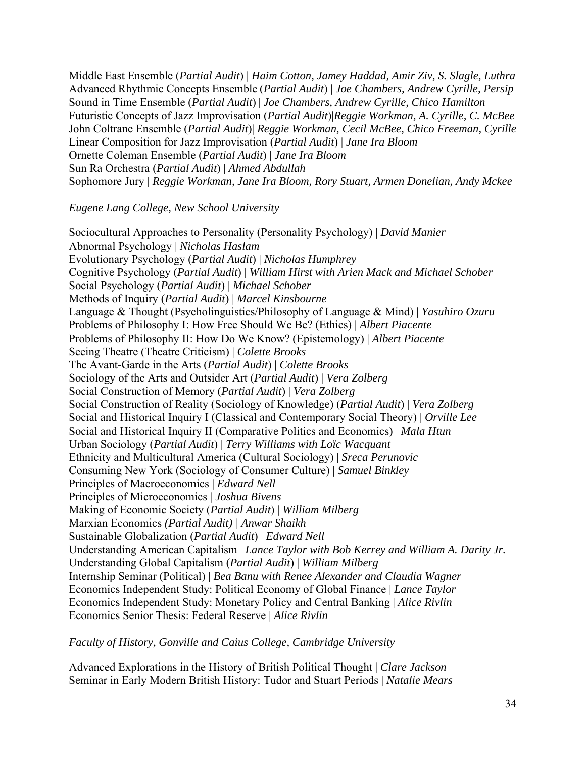Middle East Ensemble (*Partial Audit*) | *Haim Cotton, Jamey Haddad, Amir Ziv, S. Slagle, Luthra*  Advanced Rhythmic Concepts Ensemble (*Partial Audit*) | *Joe Chambers, Andrew Cyrille, Persip*  Sound in Time Ensemble (*Partial Audit*) | *Joe Chambers, Andrew Cyrille, Chico Hamilton* Futuristic Concepts of Jazz Improvisation (*Partial Audit*)|*Reggie Workman, A. Cyrille, C. McBee*  John Coltrane Ensemble (*Partial Audit*)| *Reggie Workman, Cecil McBee, Chico Freeman, Cyrille*  Linear Composition for Jazz Improvisation (*Partial Audit*) | *Jane Ira Bloom* Ornette Coleman Ensemble (*Partial Audit*) | *Jane Ira Bloom* Sun Ra Orchestra (*Partial Audit*) | *Ahmed Abdullah* Sophomore Jury | *Reggie Workman, Jane Ira Bloom, Rory Stuart, Armen Donelian, Andy Mckee*

### *Eugene Lang College, New School University*

Sociocultural Approaches to Personality (Personality Psychology) | *David Manier* Abnormal Psychology | *Nicholas Haslam* Evolutionary Psychology (*Partial Audit*) | *Nicholas Humphrey* Cognitive Psychology (*Partial Audit*) | *William Hirst with Arien Mack and Michael Schober* Social Psychology (*Partial Audit*) | *Michael Schober* Methods of Inquiry (*Partial Audit*) | *Marcel Kinsbourne* Language & Thought (Psycholinguistics/Philosophy of Language & Mind) | *Yasuhiro Ozuru* Problems of Philosophy I: How Free Should We Be? (Ethics) | *Albert Piacente* Problems of Philosophy II: How Do We Know? (Epistemology) | *Albert Piacente* Seeing Theatre (Theatre Criticism) | *Colette Brooks* The Avant-Garde in the Arts (*Partial Audit*) | *Colette Brooks* Sociology of the Arts and Outsider Art (*Partial Audit*) | *Vera Zolberg* Social Construction of Memory (*Partial Audit*) | *Vera Zolberg* Social Construction of Reality (Sociology of Knowledge) (*Partial Audit*) | *Vera Zolberg* Social and Historical Inquiry I (Classical and Contemporary Social Theory) | *Orville Lee* Social and Historical Inquiry II (Comparative Politics and Economics) | *Mala Htun* Urban Sociology (*Partial Audit*) | *Terry Williams with Loïc Wacquant* Ethnicity and Multicultural America (Cultural Sociology) | *Sreca Perunovic* Consuming New York (Sociology of Consumer Culture) | *Samuel Binkley* Principles of Macroeconomics | *Edward Nell* Principles of Microeconomics | *Joshua Bivens*  Making of Economic Society (*Partial Audit*) | *William Milberg* Marxian Economics *(Partial Audit) | Anwar Shaikh*  Sustainable Globalization (*Partial Audit*) | *Edward Nell* Understanding American Capitalism | *Lance Taylor with Bob Kerrey and William A. Darity Jr.* Understanding Global Capitalism (*Partial Audit*) | *William Milberg* Internship Seminar (Political) | *Bea Banu with Renee Alexander and Claudia Wagner*  Economics Independent Study: Political Economy of Global Finance | *Lance Taylor* Economics Independent Study: Monetary Policy and Central Banking | *Alice Rivlin* Economics Senior Thesis: Federal Reserve | *Alice Rivlin* 

*Faculty of History, Gonville and Caius College, Cambridge University* 

Advanced Explorations in the History of British Political Thought | *Clare Jackson* Seminar in Early Modern British History: Tudor and Stuart Periods | *Natalie Mears*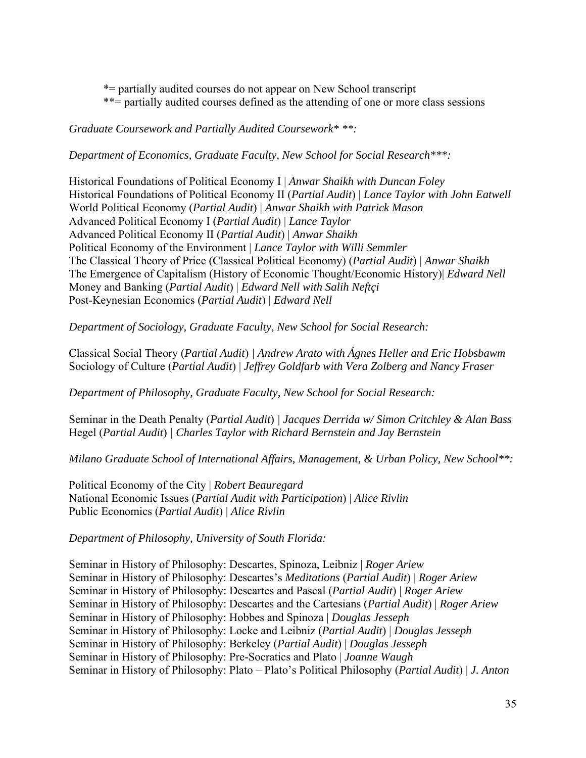\*= partially audited courses do not appear on New School transcript

\*\*= partially audited courses defined as the attending of one or more class sessions

*Graduate Coursework and Partially Audited Coursework\* \*\*:*

*Department of Economics, Graduate Faculty, New School for Social Research\*\*\*:* 

Historical Foundations of Political Economy I | *Anwar Shaikh with Duncan Foley* Historical Foundations of Political Economy II (*Partial Audit*) | *Lance Taylor with John Eatwell* World Political Economy (*Partial Audit*) | *Anwar Shaikh with Patrick Mason*  Advanced Political Economy I (*Partial Audit*) | *Lance Taylor* Advanced Political Economy II (*Partial Audit*) | *Anwar Shaikh* Political Economy of the Environment | *Lance Taylor with Willi Semmler* The Classical Theory of Price (Classical Political Economy) (*Partial Audit*) | *Anwar Shaikh* The Emergence of Capitalism (History of Economic Thought/Economic History)| *Edward Nell* Money and Banking (*Partial Audit*) | *Edward Nell with Salih Neftçi*  Post-Keynesian Economics (*Partial Audit*) | *Edward Nell* 

*Department of Sociology, Graduate Faculty, New School for Social Research:* 

Classical Social Theory (*Partial Audit*) *| Andrew Arato with Ágnes Heller and Eric Hobsbawm*  Sociology of Culture (*Partial Audit*) | *Jeffrey Goldfarb with Vera Zolberg and Nancy Fraser*

*Department of Philosophy, Graduate Faculty, New School for Social Research:* 

Seminar in the Death Penalty (*Partial Audit*) *| Jacques Derrida w/ Simon Critchley & Alan Bass*  Hegel (*Partial Audit*) *| Charles Taylor with Richard Bernstein and Jay Bernstein* 

*Milano Graduate School of International Affairs, Management, & Urban Policy, New School\*\*:* 

Political Economy of the City | *Robert Beauregard* National Economic Issues (*Partial Audit with Participation*) | *Alice Rivlin* Public Economics (*Partial Audit*) | *Alice Rivlin*

*Department of Philosophy, University of South Florida:* 

Seminar in History of Philosophy: Descartes, Spinoza, Leibniz | *Roger Ariew* Seminar in History of Philosophy: Descartes's *Meditations* (*Partial Audit*) | *Roger Ariew* Seminar in History of Philosophy: Descartes and Pascal (*Partial Audit*) | *Roger Ariew* Seminar in History of Philosophy: Descartes and the Cartesians (*Partial Audit*) | *Roger Ariew* Seminar in History of Philosophy: Hobbes and Spinoza | *Douglas Jesseph* Seminar in History of Philosophy: Locke and Leibniz (*Partial Audit*) | *Douglas Jesseph* Seminar in History of Philosophy: Berkeley (*Partial Audit*) | *Douglas Jesseph* Seminar in History of Philosophy: Pre-Socratics and Plato | *Joanne Waugh* Seminar in History of Philosophy: Plato – Plato's Political Philosophy (*Partial Audit*) | *J. Anton*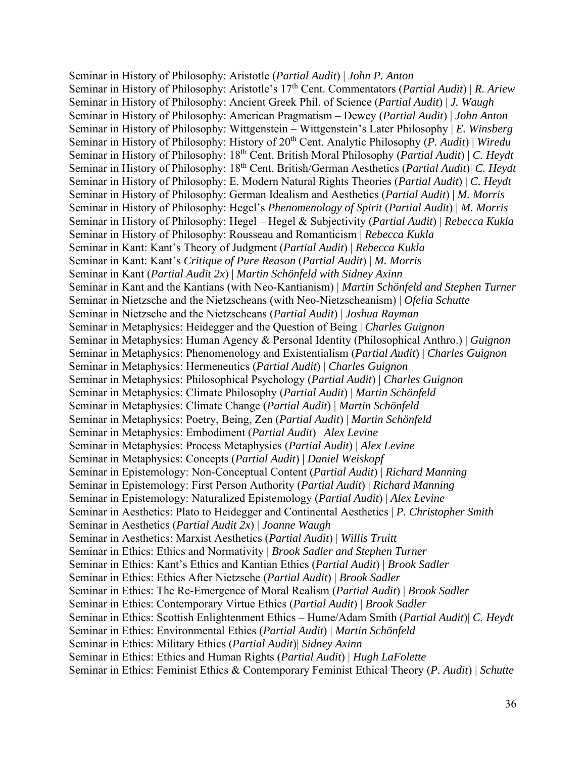Seminar in History of Philosophy: Aristotle (*Partial Audit*) | *John P. Anton* Seminar in History of Philosophy: Aristotle's 17th Cent. Commentators (*Partial Audit*) | *R. Ariew* Seminar in History of Philosophy: Ancient Greek Phil. of Science (*Partial Audit*) | *J. Waugh* Seminar in History of Philosophy: American Pragmatism – Dewey (*Partial Audit*) | *John Anton* Seminar in History of Philosophy: Wittgenstein – Wittgenstein's Later Philosophy | *E. Winsberg* Seminar in History of Philosophy: History of 20th Cent. Analytic Philosophy (*P. Audit*) | *Wiredu* Seminar in History of Philosophy: 18th Cent. British Moral Philosophy (*Partial Audit*) | *C. Heydt* Seminar in History of Philosophy: 18th Cent. British/German Aesthetics (*Partial Audit*)| *C. Heydt* Seminar in History of Philosophy: E. Modern Natural Rights Theories (*Partial Audit*) | *C. Heydt* Seminar in History of Philosophy: German Idealism and Aesthetics (*Partial Audit*) | *M. Morris* Seminar in History of Philosophy: Hegel's *Phenomenology of Spirit* (*Partial Audit*) | *M. Morris* Seminar in History of Philosophy: Hegel – Hegel & Subjectivity (*Partial Audit*) | *Rebecca Kukla* Seminar in History of Philosophy: Rousseau and Romanticism | *Rebecca Kukla* Seminar in Kant: Kant's Theory of Judgment (*Partial Audit*) | *Rebecca Kukla* Seminar in Kant: Kant's *Critique of Pure Reason* (*Partial Audit*) | *M. Morris* Seminar in Kant (*Partial Audit 2x*) | *Martin Schönfeld with Sidney Axinn* Seminar in Kant and the Kantians (with Neo-Kantianism) | *Martin Schönfeld and Stephen Turner* Seminar in Nietzsche and the Nietzscheans (with Neo-Nietzscheanism) | *Ofelia Schutte* Seminar in Nietzsche and the Nietzscheans (*Partial Audit*) | *Joshua Rayman* Seminar in Metaphysics: Heidegger and the Question of Being | *Charles Guignon* Seminar in Metaphysics: Human Agency & Personal Identity (Philosophical Anthro.) | *Guignon* Seminar in Metaphysics: Phenomenology and Existentialism (*Partial Audit*) | *Charles Guignon*  Seminar in Metaphysics: Hermeneutics (*Partial Audit*) | *Charles Guignon* Seminar in Metaphysics: Philosophical Psychology (*Partial Audit*) | *Charles Guignon* Seminar in Metaphysics: Climate Philosophy (*Partial Audit*) | *Martin Schönfeld* Seminar in Metaphysics: Climate Change (*Partial Audit*) | *Martin Schönfeld* Seminar in Metaphysics: Poetry, Being, Zen (*Partial Audit*) | *Martin Schönfeld* Seminar in Metaphysics: Embodiment (*Partial Audit*) | *Alex Levine* Seminar in Metaphysics: Process Metaphysics (*Partial Audit*) | *Alex Levine* Seminar in Metaphysics: Concepts (*Partial Audit*) | *Daniel Weiskopf* Seminar in Epistemology: Non-Conceptual Content (*Partial Audit*) | *Richard Manning* Seminar in Epistemology: First Person Authority (*Partial Audit*) | *Richard Manning* Seminar in Epistemology: Naturalized Epistemology (*Partial Audit*) | *Alex Levine* Seminar in Aesthetics: Plato to Heidegger and Continental Aesthetics | *P. Christopher Smith*  Seminar in Aesthetics (*Partial Audit 2x*) | *Joanne Waugh* Seminar in Aesthetics: Marxist Aesthetics (*Partial Audit*) | *Willis Truitt*  Seminar in Ethics: Ethics and Normativity | *Brook Sadler and Stephen Turner* Seminar in Ethics: Kant's Ethics and Kantian Ethics (*Partial Audit*) | *Brook Sadler* Seminar in Ethics: Ethics After Nietzsche (*Partial Audit*) | *Brook Sadler*  Seminar in Ethics: The Re-Emergence of Moral Realism (*Partial Audit*) | *Brook Sadler* Seminar in Ethics: Contemporary Virtue Ethics (*Partial Audit*) | *Brook Sadler* Seminar in Ethics: Scottish Enlightenment Ethics – Hume/Adam Smith (*Partial Audit*)| *C. Heydt* Seminar in Ethics: Environmental Ethics (*Partial Audit*) | *Martin Schönfeld* Seminar in Ethics: Military Ethics (*Partial Audit*)| *Sidney Axinn* Seminar in Ethics: Ethics and Human Rights (*Partial Audit*) | *Hugh LaFolette* Seminar in Ethics: Feminist Ethics & Contemporary Feminist Ethical Theory (*P. Audit*) | *Schutte*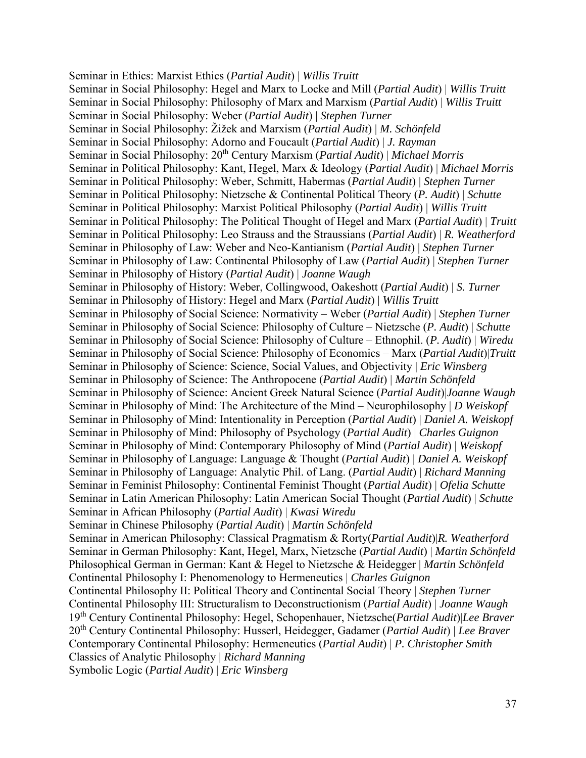Seminar in Ethics: Marxist Ethics (*Partial Audit*) | *Willis Truitt* Seminar in Social Philosophy: Hegel and Marx to Locke and Mill (*Partial Audit*) | *Willis Truitt* Seminar in Social Philosophy: Philosophy of Marx and Marxism (*Partial Audit*) | *Willis Truitt* Seminar in Social Philosophy: Weber (*Partial Audit*) | *Stephen Turner*  Seminar in Social Philosophy: Žižek and Marxism (*Partial Audit*) | *M. Schönfeld*  Seminar in Social Philosophy: Adorno and Foucault (*Partial Audit*) | *J. Rayman* Seminar in Social Philosophy: 20th Century Marxism (*Partial Audit*) | *Michael Morris* Seminar in Political Philosophy: Kant, Hegel, Marx & Ideology (*Partial Audit*) | *Michael Morris* Seminar in Political Philosophy: Weber, Schmitt, Habermas (*Partial Audit*) | *Stephen Turner* Seminar in Political Philosophy: Nietzsche & Continental Political Theory (*P. Audit*) | *Schutte* Seminar in Political Philosophy: Marxist Political Philosophy (*Partial Audit*) | *Willis Truitt* Seminar in Political Philosophy: The Political Thought of Hegel and Marx (*Partial Audit*) | *Truitt* Seminar in Political Philosophy: Leo Strauss and the Straussians (*Partial Audit*) | *R. Weatherford* Seminar in Philosophy of Law: Weber and Neo-Kantianism (*Partial Audit*) | *Stephen Turner* Seminar in Philosophy of Law: Continental Philosophy of Law (*Partial Audit*) | *Stephen Turner* Seminar in Philosophy of History (*Partial Audit*) | *Joanne Waugh* Seminar in Philosophy of History: Weber, Collingwood, Oakeshott (*Partial Audit*) | *S. Turner*  Seminar in Philosophy of History: Hegel and Marx (*Partial Audit*) | *Willis Truitt* Seminar in Philosophy of Social Science: Normativity – Weber (*Partial Audit*) | *Stephen Turner* Seminar in Philosophy of Social Science: Philosophy of Culture – Nietzsche (*P. Audit*) | *Schutte* Seminar in Philosophy of Social Science: Philosophy of Culture – Ethnophil. (*P. Audit*) | *Wiredu* Seminar in Philosophy of Social Science: Philosophy of Economics – Marx (*Partial Audit*)|*Truitt*  Seminar in Philosophy of Science: Science, Social Values, and Objectivity | *Eric Winsberg* Seminar in Philosophy of Science: The Anthropocene (*Partial Audit*) | *Martin Schönfeld* Seminar in Philosophy of Science: Ancient Greek Natural Science (*Partial Audit*)|*Joanne Waugh* Seminar in Philosophy of Mind: The Architecture of the Mind – Neurophilosophy | *D Weiskopf* Seminar in Philosophy of Mind: Intentionality in Perception (*Partial Audit*) | *Daniel A. Weiskopf* Seminar in Philosophy of Mind: Philosophy of Psychology (*Partial Audit*) | *Charles Guignon*  Seminar in Philosophy of Mind: Contemporary Philosophy of Mind (*Partial Audit*) | *Weiskopf* Seminar in Philosophy of Language: Language & Thought (*Partial Audit*) | *Daniel A. Weiskopf* Seminar in Philosophy of Language: Analytic Phil. of Lang. (*Partial Audit*) | *Richard Manning* Seminar in Feminist Philosophy: Continental Feminist Thought (*Partial Audit*) | *Ofelia Schutte* Seminar in Latin American Philosophy: Latin American Social Thought (*Partial Audit*) | *Schutte* Seminar in African Philosophy (*Partial Audit*) | *Kwasi Wiredu* Seminar in Chinese Philosophy (*Partial Audit*) | *Martin Schönfeld* Seminar in American Philosophy: Classical Pragmatism & Rorty(*Partial Audit*)|*R. Weatherford* Seminar in German Philosophy: Kant, Hegel, Marx, Nietzsche (*Partial Audit*) | *Martin Schönfeld* Philosophical German in German: Kant & Hegel to Nietzsche & Heidegger | *Martin Schönfeld* Continental Philosophy I: Phenomenology to Hermeneutics | *Charles Guignon* Continental Philosophy II: Political Theory and Continental Social Theory | *Stephen Turner* Continental Philosophy III: Structuralism to Deconstructionism (*Partial Audit*) | *Joanne Waugh* 19th Century Continental Philosophy: Hegel, Schopenhauer, Nietzsche(*Partial Audit*)|*Lee Braver* 20th Century Continental Philosophy: Husserl, Heidegger, Gadamer (*Partial Audit*) | *Lee Braver* Contemporary Continental Philosophy: Hermeneutics (*Partial Audit*) | *P. Christopher Smith* Classics of Analytic Philosophy | *Richard Manning* Symbolic Logic (*Partial Audit*) | *Eric Winsberg*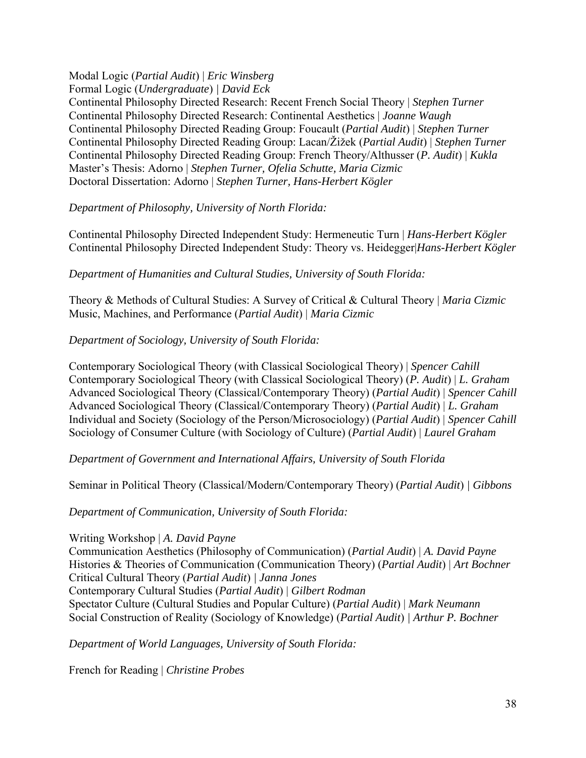# Modal Logic (*Partial Audit*) | *Eric Winsberg*

Formal Logic (*Undergraduate*) *| David Eck*  Continental Philosophy Directed Research: Recent French Social Theory | *Stephen Turner* Continental Philosophy Directed Research: Continental Aesthetics | *Joanne Waugh* Continental Philosophy Directed Reading Group: Foucault (*Partial Audit*) | *Stephen Turner* Continental Philosophy Directed Reading Group: Lacan/Žižek (*Partial Audit*) | *Stephen Turner* Continental Philosophy Directed Reading Group: French Theory/Althusser (*P. Audit*) | *Kukla* Master's Thesis: Adorno | *Stephen Turner, Ofelia Schutte, Maria Cizmic*  Doctoral Dissertation: Adorno | *Stephen Turner, Hans-Herbert Kögler* 

# *Department of Philosophy, University of North Florida:*

Continental Philosophy Directed Independent Study: Hermeneutic Turn | *Hans-Herbert Kögler* Continental Philosophy Directed Independent Study: Theory vs. Heidegger|*Hans-Herbert Kögler*

### *Department of Humanities and Cultural Studies, University of South Florida:*

Theory & Methods of Cultural Studies: A Survey of Critical & Cultural Theory | *Maria Cizmic*  Music, Machines, and Performance (*Partial Audit*) | *Maria Cizmic*

# *Department of Sociology, University of South Florida:*

Contemporary Sociological Theory (with Classical Sociological Theory) | *Spencer Cahill* Contemporary Sociological Theory (with Classical Sociological Theory) (*P. Audit*) | *L. Graham* Advanced Sociological Theory (Classical/Contemporary Theory) (*Partial Audit*) | *Spencer Cahill* Advanced Sociological Theory (Classical/Contemporary Theory) (*Partial Audit*) | *L. Graham* Individual and Society (Sociology of the Person/Microsociology) (*Partial Audit*) | *Spencer Cahill*  Sociology of Consumer Culture (with Sociology of Culture) (*Partial Audit*) | *Laurel Graham*

*Department of Government and International Affairs, University of South Florida* 

Seminar in Political Theory (Classical/Modern/Contemporary Theory) (*Partial Audit*) *| Gibbons* 

*Department of Communication, University of South Florida:* 

Writing Workshop | *A. David Payne* 

Communication Aesthetics (Philosophy of Communication) (*Partial Audit*) | *A. David Payne* Histories & Theories of Communication (Communication Theory) (*Partial Audit*) | *Art Bochner* Critical Cultural Theory (*Partial Audit*) *| Janna Jones*  Contemporary Cultural Studies (*Partial Audit*) | *Gilbert Rodman* Spectator Culture (Cultural Studies and Popular Culture) (*Partial Audit*) | *Mark Neumann*  Social Construction of Reality (Sociology of Knowledge) (*Partial Audit*) *| Arthur P. Bochner* 

*Department of World Languages, University of South Florida:* 

French for Reading | *Christine Probes*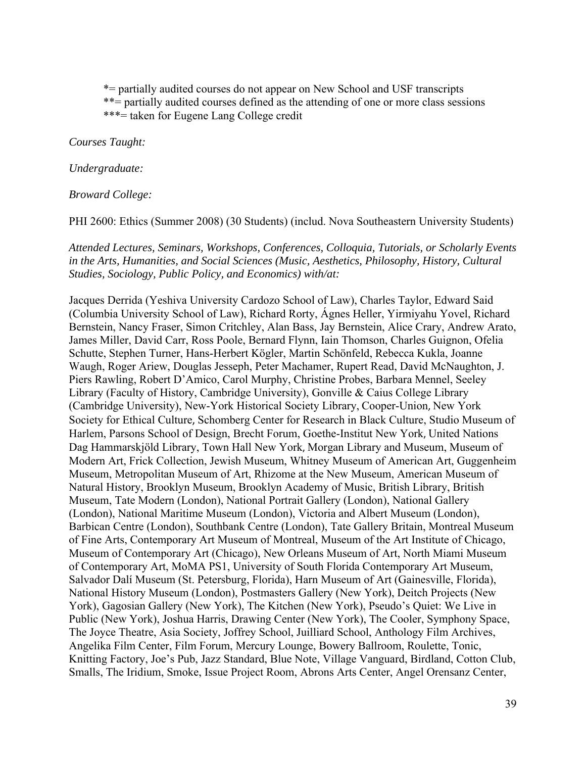\*= partially audited courses do not appear on New School and USF transcripts

\*\*= partially audited courses defined as the attending of one or more class sessions

\*\*\*= taken for Eugene Lang College credit

*Courses Taught:* 

*Undergraduate:* 

*Broward College:* 

PHI 2600: Ethics (Summer 2008) (30 Students) (includ. Nova Southeastern University Students)

*Attended Lectures, Seminars, Workshops, Conferences, Colloquia, Tutorials, or Scholarly Events in the Arts, Humanities, and Social Sciences (Music, Aesthetics, Philosophy, History, Cultural Studies, Sociology, Public Policy, and Economics) with/at:* 

Jacques Derrida (Yeshiva University Cardozo School of Law), Charles Taylor, Edward Said (Columbia University School of Law), Richard Rorty, Ágnes Heller, Yirmiyahu Yovel, Richard Bernstein, Nancy Fraser, Simon Critchley, Alan Bass, Jay Bernstein, Alice Crary, Andrew Arato, James Miller, David Carr, Ross Poole, Bernard Flynn, Iain Thomson, Charles Guignon, Ofelia Schutte, Stephen Turner, Hans-Herbert Kögler, Martin Schönfeld, Rebecca Kukla, Joanne Waugh, Roger Ariew, Douglas Jesseph, Peter Machamer, Rupert Read, David McNaughton, J. Piers Rawling, Robert D'Amico, Carol Murphy, Christine Probes, Barbara Mennel, Seeley Library (Faculty of History, Cambridge University), Gonville & Caius College Library (Cambridge University), New-York Historical Society Library, Cooper-Union, New York Society for Ethical Culture, Schomberg Center for Research in Black Culture, Studio Museum of Harlem, Parsons School of Design, Brecht Forum, Goethe-Institut New York, United Nations Dag Hammarskjöld Library, Town Hall New York, Morgan Library and Museum, Museum of Modern Art, Frick Collection, Jewish Museum, Whitney Museum of American Art, Guggenheim Museum, Metropolitan Museum of Art, Rhizome at the New Museum, American Museum of Natural History, Brooklyn Museum, Brooklyn Academy of Music, British Library, British Museum, Tate Modern (London), National Portrait Gallery (London), National Gallery (London), National Maritime Museum (London), Victoria and Albert Museum (London), Barbican Centre (London), Southbank Centre (London), Tate Gallery Britain, Montreal Museum of Fine Arts, Contemporary Art Museum of Montreal, Museum of the Art Institute of Chicago, Museum of Contemporary Art (Chicago), New Orleans Museum of Art, North Miami Museum of Contemporary Art, MoMA PS1, University of South Florida Contemporary Art Museum, Salvador Dalí Museum (St. Petersburg, Florida), Harn Museum of Art (Gainesville, Florida), National History Museum (London), Postmasters Gallery (New York), Deitch Projects (New York), Gagosian Gallery (New York), The Kitchen (New York), Pseudo's Quiet: We Live in Public (New York), Joshua Harris, Drawing Center (New York), The Cooler, Symphony Space, The Joyce Theatre, Asia Society, Joffrey School, Juilliard School, Anthology Film Archives, Angelika Film Center, Film Forum, Mercury Lounge, Bowery Ballroom, Roulette, Tonic, Knitting Factory, Joe's Pub, Jazz Standard, Blue Note, Village Vanguard, Birdland, Cotton Club, Smalls, The Iridium, Smoke, Issue Project Room, Abrons Arts Center, Angel Orensanz Center,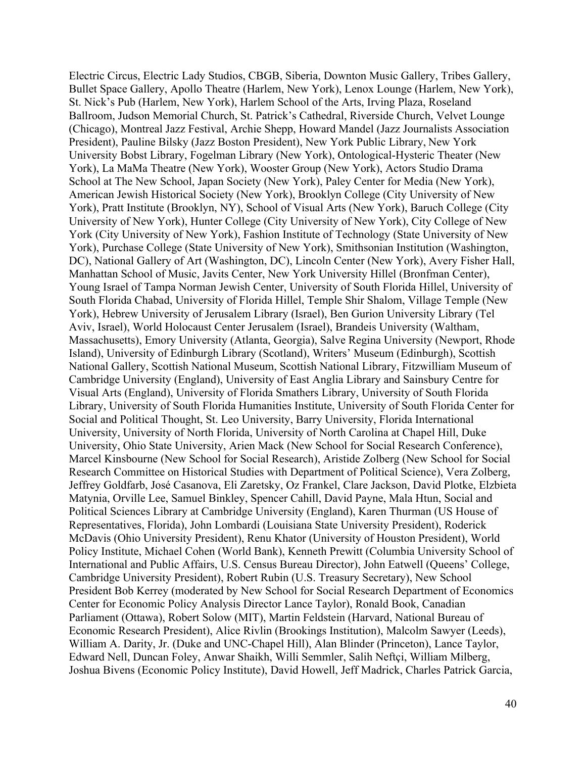Electric Circus, Electric Lady Studios, CBGB, Siberia, Downton Music Gallery, Tribes Gallery, Bullet Space Gallery, Apollo Theatre (Harlem, New York), Lenox Lounge (Harlem, New York), St. Nick's Pub (Harlem, New York), Harlem School of the Arts, Irving Plaza, Roseland Ballroom, Judson Memorial Church, St. Patrick's Cathedral, Riverside Church, Velvet Lounge (Chicago), Montreal Jazz Festival, Archie Shepp, Howard Mandel (Jazz Journalists Association President), Pauline Bilsky (Jazz Boston President), New York Public Library, New York University Bobst Library, Fogelman Library (New York), Ontological-Hysteric Theater (New York), La MaMa Theatre (New York), Wooster Group (New York), Actors Studio Drama School at The New School, Japan Society (New York), Paley Center for Media (New York), American Jewish Historical Society (New York), Brooklyn College (City University of New York), Pratt Institute (Brooklyn, NY), School of Visual Arts (New York), Baruch College (City University of New York), Hunter College (City University of New York), City College of New York (City University of New York), Fashion Institute of Technology (State University of New York), Purchase College (State University of New York), Smithsonian Institution (Washington, DC), National Gallery of Art (Washington, DC), Lincoln Center (New York), Avery Fisher Hall, Manhattan School of Music, Javits Center, New York University Hillel (Bronfman Center), Young Israel of Tampa Norman Jewish Center, University of South Florida Hillel, University of South Florida Chabad, University of Florida Hillel, Temple Shir Shalom, Village Temple (New York), Hebrew University of Jerusalem Library (Israel), Ben Gurion University Library (Tel Aviv, Israel), World Holocaust Center Jerusalem (Israel), Brandeis University (Waltham, Massachusetts), Emory University (Atlanta, Georgia), Salve Regina University (Newport, Rhode Island), University of Edinburgh Library (Scotland), Writers' Museum (Edinburgh), Scottish National Gallery, Scottish National Museum, Scottish National Library, Fitzwilliam Museum of Cambridge University (England), University of East Anglia Library and Sainsbury Centre for Visual Arts (England), University of Florida Smathers Library, University of South Florida Library, University of South Florida Humanities Institute, University of South Florida Center for Social and Political Thought, St. Leo University, Barry University, Florida International University, University of North Florida, University of North Carolina at Chapel Hill, Duke University, Ohio State University, Arien Mack (New School for Social Research Conference), Marcel Kinsbourne (New School for Social Research), Aristide Zolberg (New School for Social Research Committee on Historical Studies with Department of Political Science), Vera Zolberg, Jeffrey Goldfarb, José Casanova, Eli Zaretsky, Oz Frankel, Clare Jackson, David Plotke, Elzbieta Matynia, Orville Lee, Samuel Binkley, Spencer Cahill, David Payne, Mala Htun, Social and Political Sciences Library at Cambridge University (England), Karen Thurman (US House of Representatives, Florida), John Lombardi (Louisiana State University President), Roderick McDavis (Ohio University President), Renu Khator (University of Houston President), World Policy Institute, Michael Cohen (World Bank), Kenneth Prewitt (Columbia University School of International and Public Affairs, U.S. Census Bureau Director), John Eatwell (Queens' College, Cambridge University President), Robert Rubin (U.S. Treasury Secretary), New School President Bob Kerrey (moderated by New School for Social Research Department of Economics Center for Economic Policy Analysis Director Lance Taylor), Ronald Book, Canadian Parliament (Ottawa), Robert Solow (MIT), Martin Feldstein (Harvard, National Bureau of Economic Research President), Alice Rivlin (Brookings Institution), Malcolm Sawyer (Leeds), William A. Darity, Jr. (Duke and UNC-Chapel Hill), Alan Blinder (Princeton), Lance Taylor, Edward Nell, Duncan Foley, Anwar Shaikh, Willi Semmler, Salih Neftçi, William Milberg, Joshua Bivens (Economic Policy Institute), David Howell, Jeff Madrick, Charles Patrick Garcia,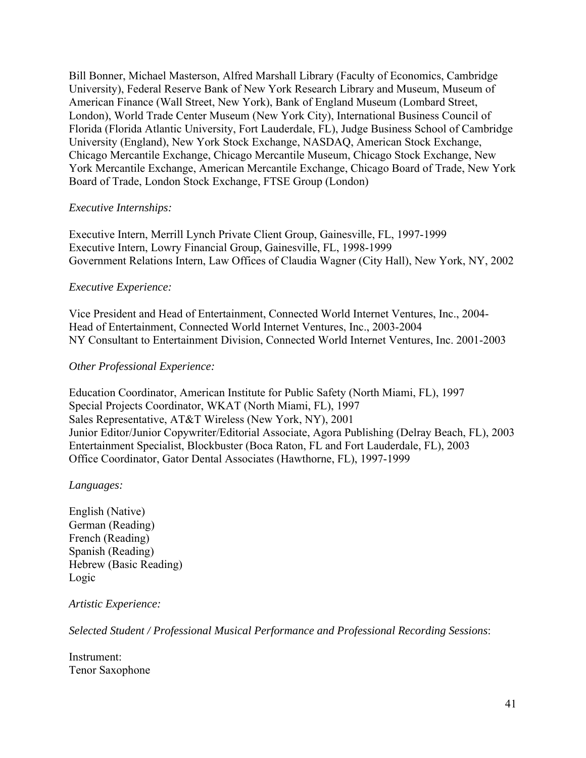Bill Bonner, Michael Masterson, Alfred Marshall Library (Faculty of Economics, Cambridge University), Federal Reserve Bank of New York Research Library and Museum, Museum of American Finance (Wall Street, New York), Bank of England Museum (Lombard Street, London), World Trade Center Museum (New York City), International Business Council of Florida (Florida Atlantic University, Fort Lauderdale, FL), Judge Business School of Cambridge University (England), New York Stock Exchange, NASDAQ, American Stock Exchange, Chicago Mercantile Exchange, Chicago Mercantile Museum, Chicago Stock Exchange, New York Mercantile Exchange, American Mercantile Exchange, Chicago Board of Trade, New York Board of Trade, London Stock Exchange, FTSE Group (London)

# *Executive Internships:*

Executive Intern, Merrill Lynch Private Client Group, Gainesville, FL, 1997-1999 Executive Intern, Lowry Financial Group, Gainesville, FL, 1998-1999 Government Relations Intern, Law Offices of Claudia Wagner (City Hall), New York, NY, 2002

# *Executive Experience:*

Vice President and Head of Entertainment, Connected World Internet Ventures, Inc., 2004- Head of Entertainment, Connected World Internet Ventures, Inc., 2003-2004 NY Consultant to Entertainment Division, Connected World Internet Ventures, Inc. 2001-2003

# *Other Professional Experience:*

Education Coordinator, American Institute for Public Safety (North Miami, FL), 1997 Special Projects Coordinator, WKAT (North Miami, FL), 1997 Sales Representative, AT&T Wireless (New York, NY), 2001 Junior Editor/Junior Copywriter/Editorial Associate, Agora Publishing (Delray Beach, FL), 2003 Entertainment Specialist, Blockbuster (Boca Raton, FL and Fort Lauderdale, FL), 2003 Office Coordinator, Gator Dental Associates (Hawthorne, FL), 1997-1999

### *Languages:*

English (Native) German (Reading) French (Reading) Spanish (Reading) Hebrew (Basic Reading) Logic

### *Artistic Experience:*

*Selected Student / Professional Musical Performance and Professional Recording Sessions*:

Instrument: Tenor Saxophone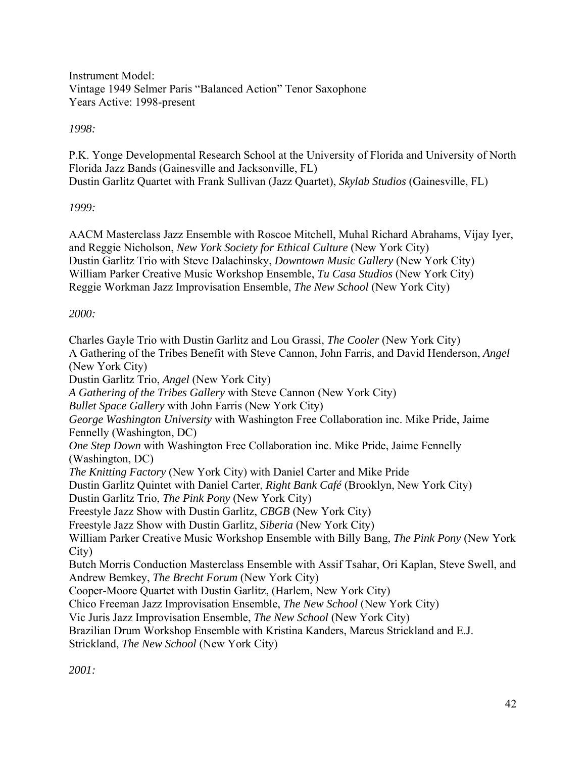Instrument Model: Vintage 1949 Selmer Paris "Balanced Action" Tenor Saxophone Years Active: 1998-present

*1998:* 

P.K. Yonge Developmental Research School at the University of Florida and University of North Florida Jazz Bands (Gainesville and Jacksonville, FL) Dustin Garlitz Quartet with Frank Sullivan (Jazz Quartet), *Skylab Studios* (Gainesville, FL)

# *1999:*

AACM Masterclass Jazz Ensemble with Roscoe Mitchell, Muhal Richard Abrahams, Vijay Iyer, and Reggie Nicholson, *New York Society for Ethical Culture* (New York City) Dustin Garlitz Trio with Steve Dalachinsky, *Downtown Music Gallery* (New York City) William Parker Creative Music Workshop Ensemble, *Tu Casa Studios* (New York City) Reggie Workman Jazz Improvisation Ensemble, *The New School* (New York City)

# *2000:*

Charles Gayle Trio with Dustin Garlitz and Lou Grassi, *The Cooler* (New York City) A Gathering of the Tribes Benefit with Steve Cannon, John Farris, and David Henderson, *Angel* (New York City) Dustin Garlitz Trio, *Angel* (New York City) *A Gathering of the Tribes Gallery* with Steve Cannon (New York City) *Bullet Space Gallery* with John Farris (New York City) *George Washington University* with Washington Free Collaboration inc. Mike Pride, Jaime Fennelly (Washington, DC) *One Step Down* with Washington Free Collaboration inc. Mike Pride, Jaime Fennelly (Washington, DC) *The Knitting Factory* (New York City) with Daniel Carter and Mike Pride Dustin Garlitz Quintet with Daniel Carter, *Right Bank Café* (Brooklyn, New York City) Dustin Garlitz Trio, *The Pink Pony* (New York City) Freestyle Jazz Show with Dustin Garlitz, *CBGB* (New York City) Freestyle Jazz Show with Dustin Garlitz, *Siberia* (New York City) William Parker Creative Music Workshop Ensemble with Billy Bang, *The Pink Pony* (New York City) Butch Morris Conduction Masterclass Ensemble with Assif Tsahar, Ori Kaplan, Steve Swell, and Andrew Bemkey, *The Brecht Forum* (New York City) Cooper-Moore Quartet with Dustin Garlitz, (Harlem, New York City) Chico Freeman Jazz Improvisation Ensemble, *The New School* (New York City) Vic Juris Jazz Improvisation Ensemble, *The New School* (New York City) Brazilian Drum Workshop Ensemble with Kristina Kanders, Marcus Strickland and E.J. Strickland, *The New School* (New York City)

*2001:*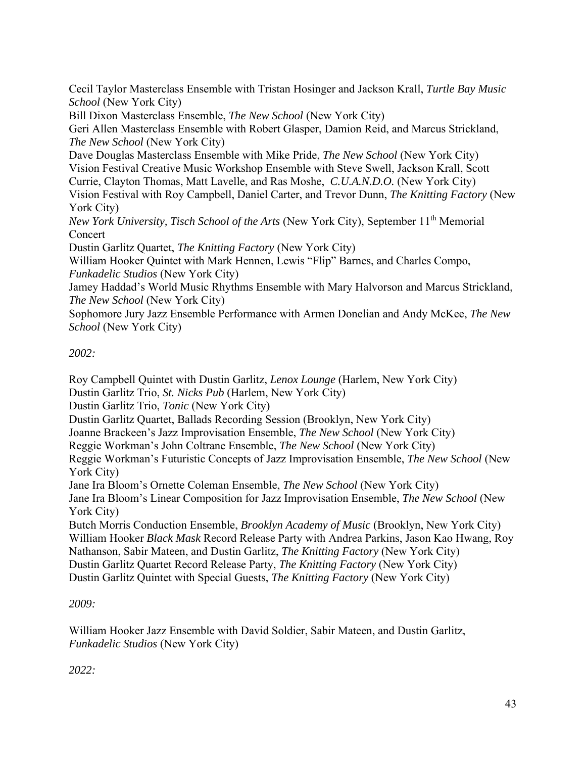Cecil Taylor Masterclass Ensemble with Tristan Hosinger and Jackson Krall, *Turtle Bay Music School* (New York City)

Bill Dixon Masterclass Ensemble, *The New School* (New York City)

Geri Allen Masterclass Ensemble with Robert Glasper, Damion Reid, and Marcus Strickland, *The New School* (New York City)

Dave Douglas Masterclass Ensemble with Mike Pride, *The New School* (New York City) Vision Festival Creative Music Workshop Ensemble with Steve Swell, Jackson Krall, Scott Currie, Clayton Thomas, Matt Lavelle, and Ras Moshe, *C.U.A.N.D.O.* (New York City)

Vision Festival with Roy Campbell, Daniel Carter, and Trevor Dunn, *The Knitting Factory* (New York City)

*New York University, Tisch School of the Arts* (New York City), September 11<sup>th</sup> Memorial Concert

Dustin Garlitz Quartet, *The Knitting Factory* (New York City)

William Hooker Quintet with Mark Hennen, Lewis "Flip" Barnes, and Charles Compo, *Funkadelic Studios* (New York City)

Jamey Haddad's World Music Rhythms Ensemble with Mary Halvorson and Marcus Strickland, *The New School* (New York City)

Sophomore Jury Jazz Ensemble Performance with Armen Donelian and Andy McKee, *The New School* (New York City)

# *2002:*

Roy Campbell Quintet with Dustin Garlitz, *Lenox Lounge* (Harlem, New York City)

Dustin Garlitz Trio, *St. Nicks Pub* (Harlem, New York City)

Dustin Garlitz Trio, *Tonic* (New York City)

Dustin Garlitz Quartet, Ballads Recording Session (Brooklyn, New York City)

Joanne Brackeen's Jazz Improvisation Ensemble, *The New School* (New York City)

Reggie Workman's John Coltrane Ensemble, *The New School* (New York City)

Reggie Workman's Futuristic Concepts of Jazz Improvisation Ensemble, *The New School* (New York City)

Jane Ira Bloom's Ornette Coleman Ensemble, *The New School* (New York City)

Jane Ira Bloom's Linear Composition for Jazz Improvisation Ensemble, *The New School* (New York City)

Butch Morris Conduction Ensemble, *Brooklyn Academy of Music* (Brooklyn, New York City) William Hooker *Black Mask* Record Release Party with Andrea Parkins, Jason Kao Hwang, Roy Nathanson, Sabir Mateen, and Dustin Garlitz, *The Knitting Factory* (New York City) Dustin Garlitz Quartet Record Release Party, *The Knitting Factory* (New York City) Dustin Garlitz Quintet with Special Guests, *The Knitting Factory* (New York City)

*2009:* 

William Hooker Jazz Ensemble with David Soldier, Sabir Mateen, and Dustin Garlitz, *Funkadelic Studios* (New York City)

*2022:*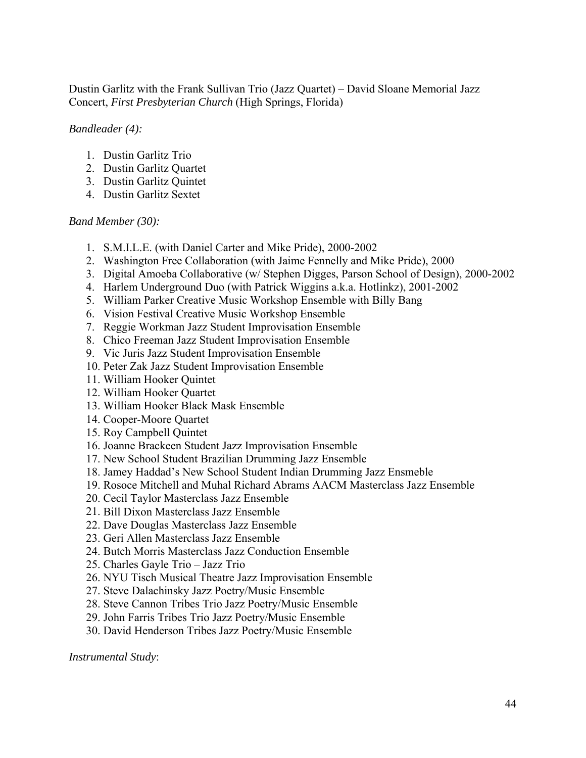Dustin Garlitz with the Frank Sullivan Trio (Jazz Quartet) – David Sloane Memorial Jazz Concert, *First Presbyterian Church* (High Springs, Florida)

*Bandleader (4):* 

- 1. Dustin Garlitz Trio
- 2. Dustin Garlitz Quartet
- 3. Dustin Garlitz Quintet
- 4. Dustin Garlitz Sextet

*Band Member (30):* 

- 1. S.M.I.L.E. (with Daniel Carter and Mike Pride), 2000-2002
- 2. Washington Free Collaboration (with Jaime Fennelly and Mike Pride), 2000
- 3. Digital Amoeba Collaborative (w/ Stephen Digges, Parson School of Design), 2000-2002
- 4. Harlem Underground Duo (with Patrick Wiggins a.k.a. Hotlinkz), 2001-2002
- 5. William Parker Creative Music Workshop Ensemble with Billy Bang
- 6. Vision Festival Creative Music Workshop Ensemble
- 7. Reggie Workman Jazz Student Improvisation Ensemble
- 8. Chico Freeman Jazz Student Improvisation Ensemble
- 9. Vic Juris Jazz Student Improvisation Ensemble
- 10. Peter Zak Jazz Student Improvisation Ensemble
- 11. William Hooker Quintet
- 12. William Hooker Quartet
- 13. William Hooker Black Mask Ensemble
- 14. Cooper-Moore Quartet
- 15. Roy Campbell Quintet
- 16. Joanne Brackeen Student Jazz Improvisation Ensemble
- 17. New School Student Brazilian Drumming Jazz Ensemble
- 18. Jamey Haddad's New School Student Indian Drumming Jazz Ensmeble
- 19. Rosoce Mitchell and Muhal Richard Abrams AACM Masterclass Jazz Ensemble
- 20. Cecil Taylor Masterclass Jazz Ensemble
- 21. Bill Dixon Masterclass Jazz Ensemble
- 22. Dave Douglas Masterclass Jazz Ensemble
- 23. Geri Allen Masterclass Jazz Ensemble
- 24. Butch Morris Masterclass Jazz Conduction Ensemble
- 25. Charles Gayle Trio Jazz Trio
- 26. NYU Tisch Musical Theatre Jazz Improvisation Ensemble
- 27. Steve Dalachinsky Jazz Poetry/Music Ensemble
- 28. Steve Cannon Tribes Trio Jazz Poetry/Music Ensemble
- 29. John Farris Tribes Trio Jazz Poetry/Music Ensemble
- 30. David Henderson Tribes Jazz Poetry/Music Ensemble

*Instrumental Study*: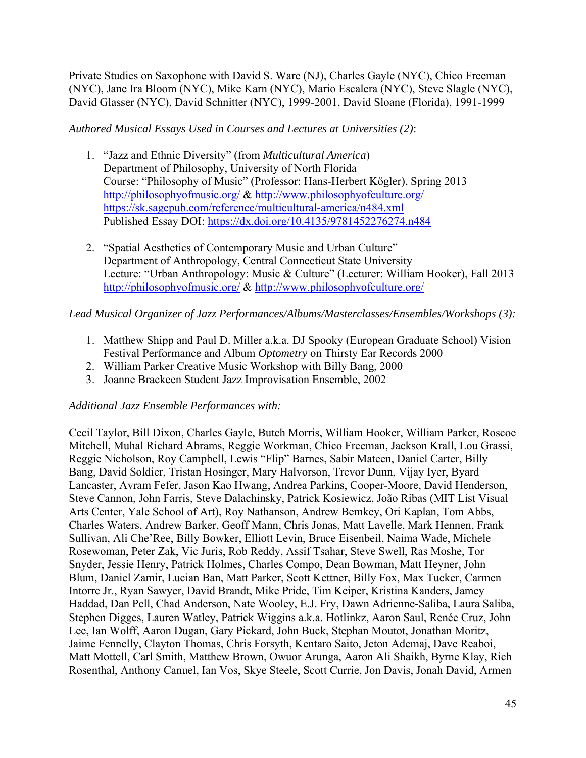Private Studies on Saxophone with David S. Ware (NJ), Charles Gayle (NYC), Chico Freeman (NYC), Jane Ira Bloom (NYC), Mike Karn (NYC), Mario Escalera (NYC), Steve Slagle (NYC), David Glasser (NYC), David Schnitter (NYC), 1999-2001, David Sloane (Florida), 1991-1999

*Authored Musical Essays Used in Courses and Lectures at Universities (2)*:

- 1. "Jazz and Ethnic Diversity" (from *Multicultural America*) Department of Philosophy, University of North Florida Course: "Philosophy of Music" (Professor: Hans-Herbert Kögler), Spring 2013 http://philosophyofmusic.org/ & http://www.philosophyofculture.org/ https://sk.sagepub.com/reference/multicultural-america/n484.xml Published Essay DOI: https://dx.doi.org/10.4135/9781452276274.n484
- 2. "Spatial Aesthetics of Contemporary Music and Urban Culture" Department of Anthropology, Central Connecticut State University Lecture: "Urban Anthropology: Music & Culture" (Lecturer: William Hooker), Fall 2013 http://philosophyofmusic.org/ & http://www.philosophyofculture.org/

# *Lead Musical Organizer of Jazz Performances/Albums/Masterclasses/Ensembles/Workshops (3):*

- 1. Matthew Shipp and Paul D. Miller a.k.a. DJ Spooky (European Graduate School) Vision Festival Performance and Album *Optometry* on Thirsty Ear Records 2000
- 2. William Parker Creative Music Workshop with Billy Bang, 2000
- 3. Joanne Brackeen Student Jazz Improvisation Ensemble, 2002

# *Additional Jazz Ensemble Performances with:*

Cecil Taylor, Bill Dixon, Charles Gayle, Butch Morris, William Hooker, William Parker, Roscoe Mitchell, Muhal Richard Abrams, Reggie Workman, Chico Freeman, Jackson Krall, Lou Grassi, Reggie Nicholson, Roy Campbell, Lewis "Flip" Barnes, Sabir Mateen, Daniel Carter, Billy Bang, David Soldier, Tristan Hosinger, Mary Halvorson, Trevor Dunn, Vijay Iyer, Byard Lancaster, Avram Fefer, Jason Kao Hwang, Andrea Parkins, Cooper-Moore, David Henderson, Steve Cannon, John Farris, Steve Dalachinsky, Patrick Kosiewicz, João Ribas (MIT List Visual Arts Center, Yale School of Art), Roy Nathanson, Andrew Bemkey, Ori Kaplan, Tom Abbs, Charles Waters, Andrew Barker, Geoff Mann, Chris Jonas, Matt Lavelle, Mark Hennen, Frank Sullivan, Ali Che'Ree, Billy Bowker, Elliott Levin, Bruce Eisenbeil, Naima Wade, Michele Rosewoman, Peter Zak, Vic Juris, Rob Reddy, Assif Tsahar, Steve Swell, Ras Moshe, Tor Snyder, Jessie Henry, Patrick Holmes, Charles Compo, Dean Bowman, Matt Heyner, John Blum, Daniel Zamir, Lucian Ban, Matt Parker, Scott Kettner, Billy Fox, Max Tucker, Carmen Intorre Jr., Ryan Sawyer, David Brandt, Mike Pride, Tim Keiper, Kristina Kanders, Jamey Haddad, Dan Pell, Chad Anderson, Nate Wooley, E.J. Fry, Dawn Adrienne-Saliba, Laura Saliba, Stephen Digges, Lauren Watley, Patrick Wiggins a.k.a. Hotlinkz, Aaron Saul, Renée Cruz, John Lee, Ian Wolff, Aaron Dugan, Gary Pickard, John Buck, Stephan Moutot, Jonathan Moritz, Jaime Fennelly, Clayton Thomas, Chris Forsyth, Kentaro Saito, Jeton Ademaj, Dave Reaboi, Matt Mottell, Carl Smith, Matthew Brown, Owuor Arunga, Aaron Ali Shaikh, Byrne Klay, Rich Rosenthal, Anthony Canuel, Ian Vos, Skye Steele, Scott Currie, Jon Davis, Jonah David, Armen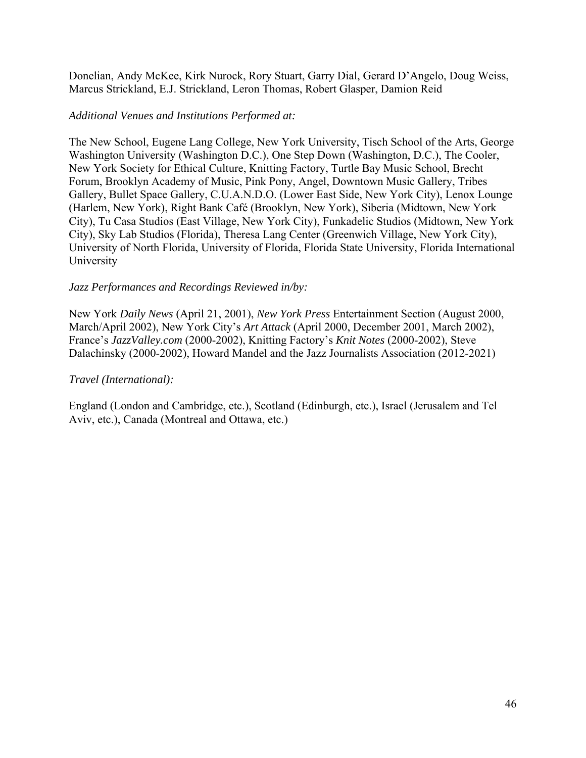Donelian, Andy McKee, Kirk Nurock, Rory Stuart, Garry Dial, Gerard D'Angelo, Doug Weiss, Marcus Strickland, E.J. Strickland, Leron Thomas, Robert Glasper, Damion Reid

# *Additional Venues and Institutions Performed at:*

The New School, Eugene Lang College, New York University, Tisch School of the Arts, George Washington University (Washington D.C.), One Step Down (Washington, D.C.), The Cooler, New York Society for Ethical Culture, Knitting Factory, Turtle Bay Music School, Brecht Forum, Brooklyn Academy of Music, Pink Pony, Angel, Downtown Music Gallery, Tribes Gallery, Bullet Space Gallery, C.U.A.N.D.O. (Lower East Side, New York City), Lenox Lounge (Harlem, New York), Right Bank Café (Brooklyn, New York), Siberia (Midtown, New York City), Tu Casa Studios (East Village, New York City), Funkadelic Studios (Midtown, New York City), Sky Lab Studios (Florida), Theresa Lang Center (Greenwich Village, New York City), University of North Florida, University of Florida, Florida State University, Florida International University

# *Jazz Performances and Recordings Reviewed in/by:*

New York *Daily News* (April 21, 2001), *New York Press* Entertainment Section (August 2000, March/April 2002), New York City's *Art Attack* (April 2000, December 2001, March 2002), France's *JazzValley.com* (2000-2002), Knitting Factory's *Knit Notes* (2000-2002), Steve Dalachinsky (2000-2002), Howard Mandel and the Jazz Journalists Association (2012-2021)

# *Travel (International):*

England (London and Cambridge, etc.), Scotland (Edinburgh, etc.), Israel (Jerusalem and Tel Aviv, etc.), Canada (Montreal and Ottawa, etc.)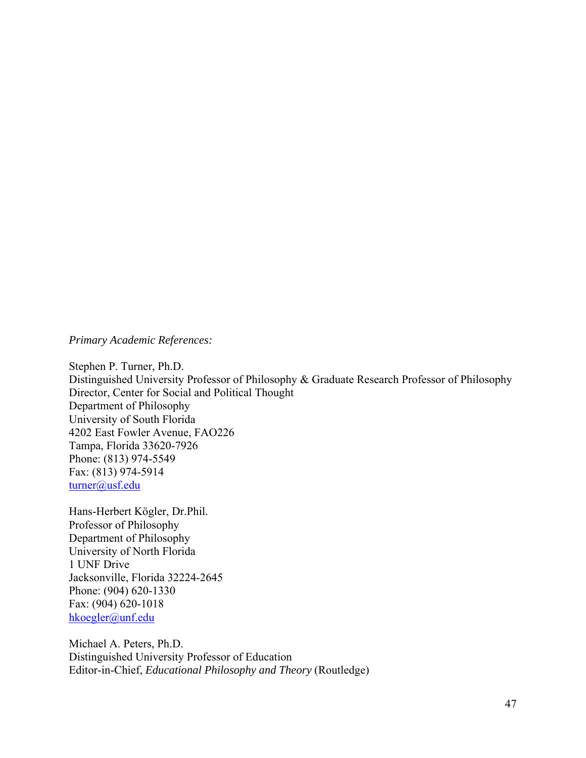*Primary Academic References:*

Stephen P. Turner, Ph.D. Distinguished University Professor of Philosophy & Graduate Research Professor of Philosophy Director, Center for Social and Political Thought Department of Philosophy University of South Florida 4202 East Fowler Avenue, FAO226 Tampa, Florida 33620-7926 Phone: (813) 974-5549 Fax: (813) 974-5914 turner@usf.edu

Hans-Herbert Kögler, Dr.Phil. Professor of Philosophy Department of Philosophy University of North Florida 1 UNF Drive Jacksonville, Florida 32224-2645 Phone: (904) 620-1330 Fax: (904) 620-1018 hkoegler@unf.edu

Michael A. Peters, Ph.D. Distinguished University Professor of Education Editor-in-Chief, *Educational Philosophy and Theory* (Routledge)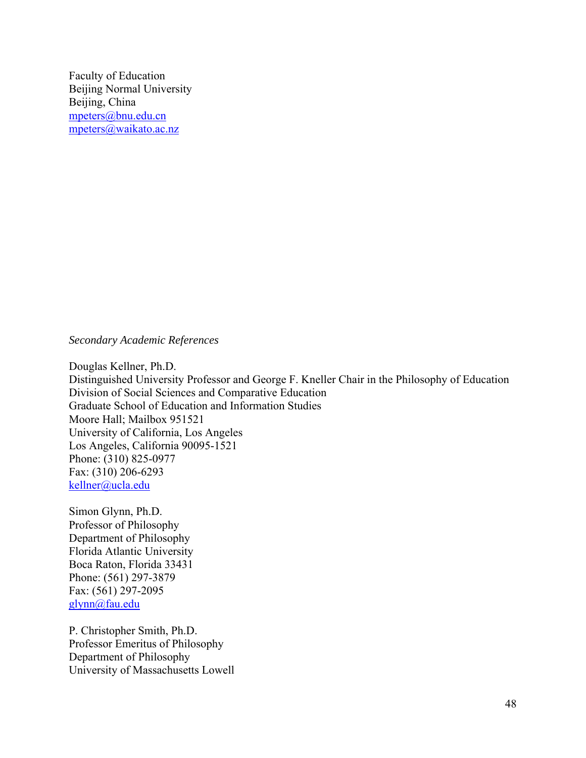Faculty of Education Beijing Normal University Beijing, China mpeters@bnu.edu.cn mpeters@waikato.ac.nz

*Secondary Academic References* 

Douglas Kellner, Ph.D. Distinguished University Professor and George F. Kneller Chair in the Philosophy of Education Division of Social Sciences and Comparative Education Graduate School of Education and Information Studies Moore Hall; Mailbox 951521 University of California, Los Angeles Los Angeles, California 90095-1521 Phone: (310) 825-0977 Fax: (310) 206-6293 kellner@ucla.edu

Simon Glynn, Ph.D. Professor of Philosophy Department of Philosophy Florida Atlantic University Boca Raton, Florida 33431 Phone: (561) 297-3879 Fax: (561) 297-2095 glynn@fau.edu

P. Christopher Smith, Ph.D. Professor Emeritus of Philosophy Department of Philosophy University of Massachusetts Lowell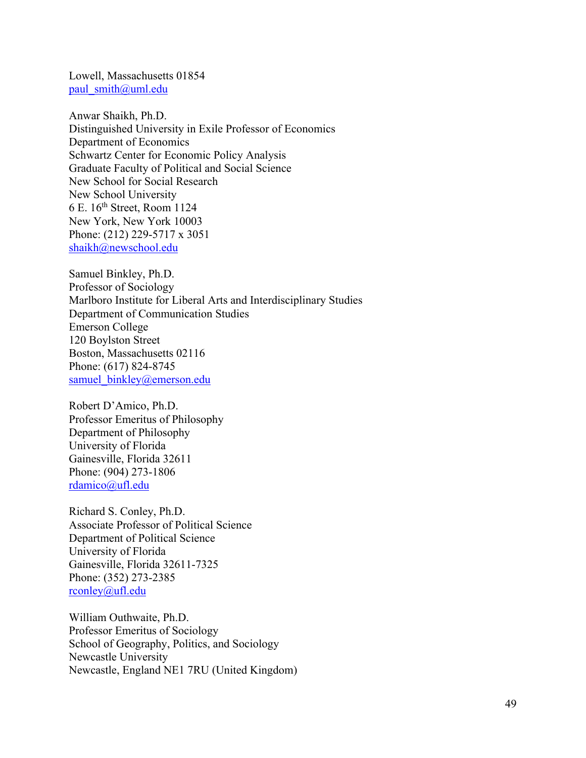Lowell, Massachusetts 01854 paul\_smith@uml.edu

Anwar Shaikh, Ph.D. Distinguished University in Exile Professor of Economics Department of Economics Schwartz Center for Economic Policy Analysis Graduate Faculty of Political and Social Science New School for Social Research New School University 6 E. 16th Street, Room 1124 New York, New York 10003 Phone: (212) 229-5717 x 3051 shaikh@newschool.edu

Samuel Binkley, Ph.D. Professor of Sociology Marlboro Institute for Liberal Arts and Interdisciplinary Studies Department of Communication Studies Emerson College 120 Boylston Street Boston, Massachusetts 02116 Phone: (617) 824-8745 samuel binkley@emerson.edu

Robert D'Amico, Ph.D. Professor Emeritus of Philosophy Department of Philosophy University of Florida Gainesville, Florida 32611 Phone: (904) 273-1806 rdamico@ufl.edu

Richard S. Conley, Ph.D. Associate Professor of Political Science Department of Political Science University of Florida Gainesville, Florida 32611-7325 Phone: (352) 273-2385 rconley@ufl.edu

William Outhwaite, Ph.D. Professor Emeritus of Sociology School of Geography, Politics, and Sociology Newcastle University Newcastle, England NE1 7RU (United Kingdom)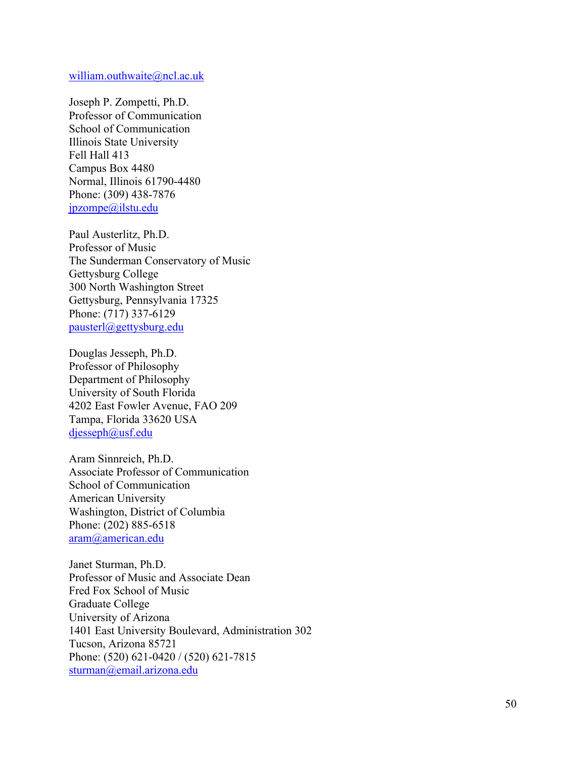### william.outhwaite@ncl.ac.uk

Joseph P. Zompetti, Ph.D. Professor of Communication School of Communication Illinois State University Fell Hall 413 Campus Box 4480 Normal, Illinois 61790-4480 Phone: (309) 438-7876 jpzompe@ilstu.edu

Paul Austerlitz, Ph.D. Professor of Music The Sunderman Conservatory of Music Gettysburg College 300 North Washington Street Gettysburg, Pennsylvania 17325 Phone: (717) 337-6129 pausterl@gettysburg.edu

Douglas Jesseph, Ph.D. Professor of Philosophy Department of Philosophy University of South Florida 4202 East Fowler Avenue, FAO 209 Tampa, Florida 33620 USA djesseph@usf.edu

Aram Sinnreich, Ph.D. Associate Professor of Communication School of Communication American University Washington, District of Columbia Phone: (202) 885-6518 aram@american.edu

Janet Sturman, Ph.D. Professor of Music and Associate Dean Fred Fox School of Music Graduate College University of Arizona 1401 East University Boulevard, Administration 302 Tucson, Arizona 85721 Phone: (520) 621-0420 / (520) 621-7815 sturman@email.arizona.edu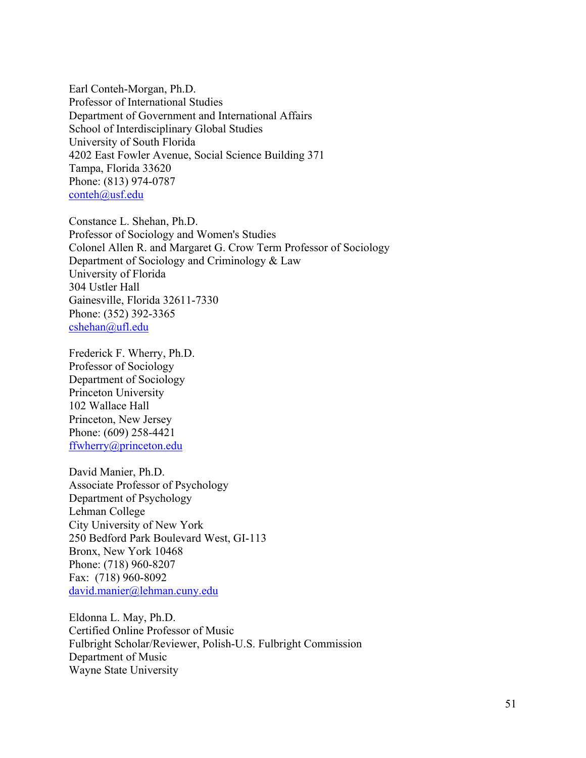Earl Conteh-Morgan, Ph.D. Professor of International Studies Department of Government and International Affairs School of Interdisciplinary Global Studies University of South Florida 4202 East Fowler Avenue, Social Science Building 371 Tampa, Florida 33620 Phone: (813) 974-0787 conteh@usf.edu

Constance L. Shehan, Ph.D. Professor of Sociology and Women's Studies Colonel Allen R. and Margaret G. Crow Term Professor of Sociology Department of Sociology and Criminology & Law University of Florida 304 Ustler Hall Gainesville, Florida 32611-7330 Phone: (352) 392-3365 cshehan@ufl.edu

Frederick F. Wherry, Ph.D. Professor of Sociology Department of Sociology Princeton University 102 Wallace Hall Princeton, New Jersey Phone: (609) 258-4421 ffwherry@princeton.edu

David Manier, Ph.D. Associate Professor of Psychology Department of Psychology Lehman College City University of New York 250 Bedford Park Boulevard West, GI-113 Bronx, New York 10468 Phone: (718) 960-8207 Fax: (718) 960-8092 david.manier@lehman.cuny.edu

Eldonna L. May, Ph.D. Certified Online Professor of Music Fulbright Scholar/Reviewer, Polish-U.S. Fulbright Commission Department of Music Wayne State University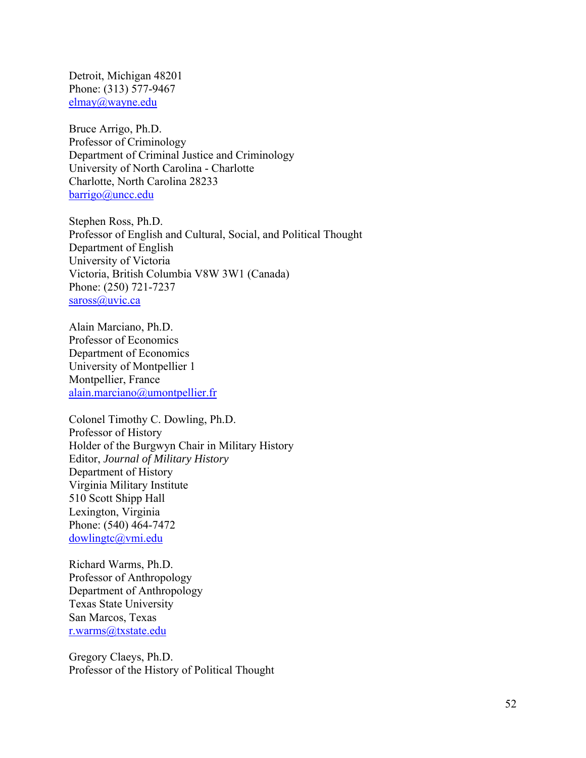Detroit, Michigan 48201 Phone: (313) 577-9467 elmay@wayne.edu

Bruce Arrigo, Ph.D. Professor of Criminology Department of Criminal Justice and Criminology University of North Carolina - Charlotte Charlotte, North Carolina 28233 barrigo@uncc.edu

Stephen Ross, Ph.D. Professor of English and Cultural, Social, and Political Thought Department of English University of Victoria Victoria, British Columbia V8W 3W1 (Canada) Phone: (250) 721-7237 saross@uvic.ca

Alain Marciano, Ph.D. Professor of Economics Department of Economics University of Montpellier 1 Montpellier, France alain.marciano@umontpellier.fr

Colonel Timothy C. Dowling, Ph.D. Professor of History Holder of the Burgwyn Chair in Military History Editor, *Journal of Military History* Department of History Virginia Military Institute 510 Scott Shipp Hall Lexington, Virginia Phone: (540) 464-7472 dowlingtc@vmi.edu

Richard Warms, Ph.D. Professor of Anthropology Department of Anthropology Texas State University San Marcos, Texas r.warms@txstate.edu

Gregory Claeys, Ph.D. Professor of the History of Political Thought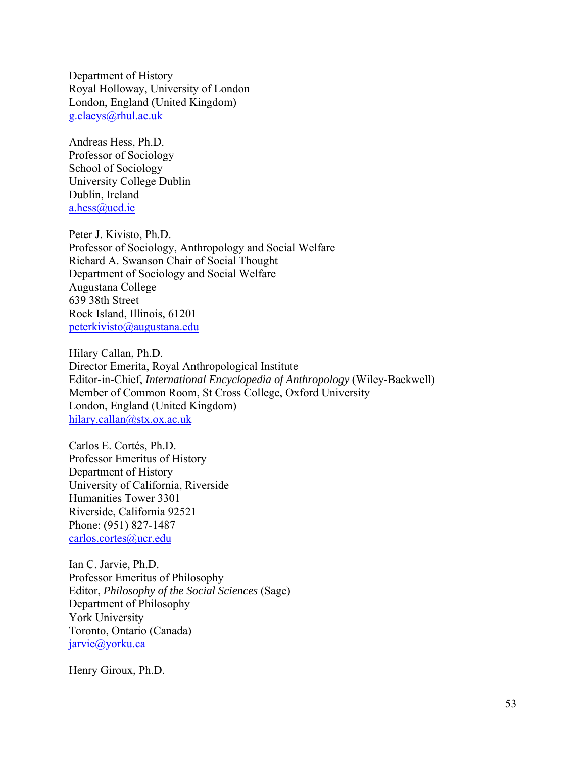Department of History Royal Holloway, University of London London, England (United Kingdom) g.claeys@rhul.ac.uk

Andreas Hess, Ph.D. Professor of Sociology School of Sociology University College Dublin Dublin, Ireland a.hess@ucd.ie

Peter J. Kivisto, Ph.D. Professor of Sociology, Anthropology and Social Welfare Richard A. Swanson Chair of Social Thought Department of Sociology and Social Welfare Augustana College 639 38th Street Rock Island, Illinois, 61201 peterkivisto@augustana.edu

Hilary Callan, Ph.D. Director Emerita, Royal Anthropological Institute Editor-in-Chief, *International Encyclopedia of Anthropology* (Wiley-Backwell) Member of Common Room, St Cross College, Oxford University London, England (United Kingdom) hilary.callan@stx.ox.ac.uk

Carlos E. Cortés, Ph.D. Professor Emeritus of History Department of History University of California, Riverside Humanities Tower 3301 Riverside, California 92521 Phone: (951) 827-1487 carlos.cortes@ucr.edu

Ian C. Jarvie, Ph.D. Professor Emeritus of Philosophy Editor, *Philosophy of the Social Sciences* (Sage) Department of Philosophy York University Toronto, Ontario (Canada) jarvie@yorku.ca

Henry Giroux, Ph.D.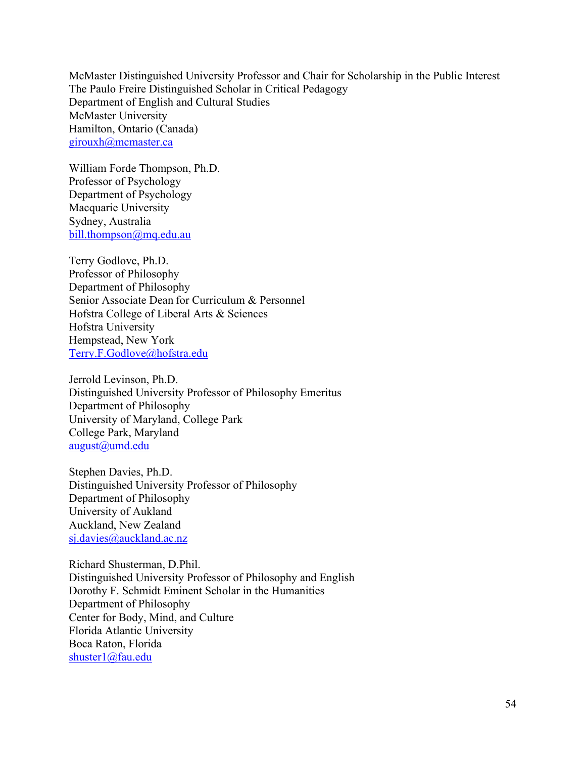McMaster Distinguished University Professor and Chair for Scholarship in the Public Interest The Paulo Freire Distinguished Scholar in Critical Pedagogy Department of English and Cultural Studies McMaster University Hamilton, Ontario (Canada) girouxh@mcmaster.ca

William Forde Thompson, Ph.D. Professor of Psychology Department of Psychology Macquarie University Sydney, Australia bill.thompson@mq.edu.au

Terry Godlove, Ph.D. Professor of Philosophy Department of Philosophy Senior Associate Dean for Curriculum & Personnel Hofstra College of Liberal Arts & Sciences Hofstra University Hempstead, New York Terry.F.Godlove@hofstra.edu

Jerrold Levinson, Ph.D. Distinguished University Professor of Philosophy Emeritus Department of Philosophy University of Maryland, College Park College Park, Maryland august@umd.edu

Stephen Davies, Ph.D. Distinguished University Professor of Philosophy Department of Philosophy University of Aukland Auckland, New Zealand sj.davies@auckland.ac.nz

Richard Shusterman, D.Phil. Distinguished University Professor of Philosophy and English Dorothy F. Schmidt Eminent Scholar in the Humanities Department of Philosophy Center for Body, Mind, and Culture Florida Atlantic University Boca Raton, Florida shuster1@fau.edu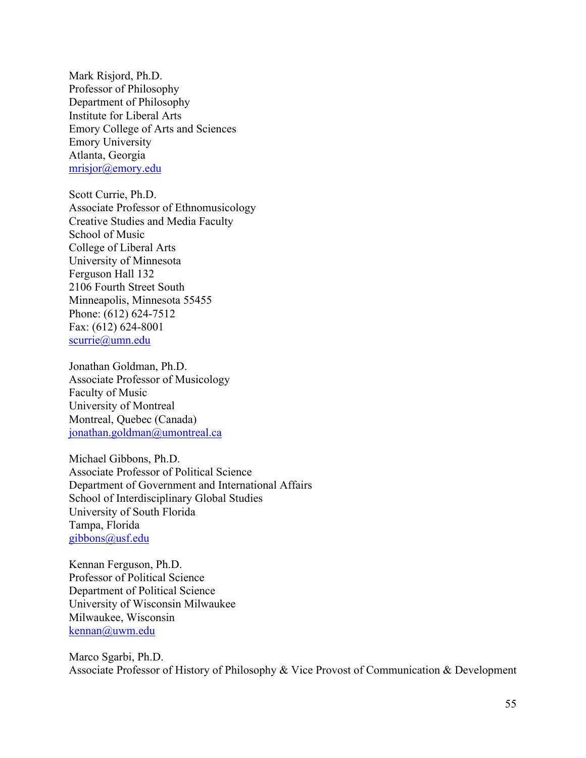Mark Risjord, Ph.D. Professor of Philosophy Department of Philosophy Institute for Liberal Arts Emory College of Arts and Sciences Emory University Atlanta, Georgia mrisjor@emory.edu

Scott Currie, Ph.D. Associate Professor of Ethnomusicology Creative Studies and Media Faculty School of Music College of Liberal Arts University of Minnesota Ferguson Hall 132 2106 Fourth Street South Minneapolis, Minnesota 55455 Phone: (612) 624-7512 Fax: (612) 624-8001 scurrie@umn.edu

Jonathan Goldman, Ph.D. Associate Professor of Musicology Faculty of Music University of Montreal Montreal, Quebec (Canada) jonathan.goldman@umontreal.ca

Michael Gibbons, Ph.D. Associate Professor of Political Science Department of Government and International Affairs School of Interdisciplinary Global Studies University of South Florida Tampa, Florida gibbons@usf.edu

Kennan Ferguson, Ph.D. Professor of Political Science Department of Political Science University of Wisconsin Milwaukee Milwaukee, Wisconsin kennan@uwm.edu

Marco Sgarbi, Ph.D. Associate Professor of History of Philosophy & Vice Provost of Communication & Development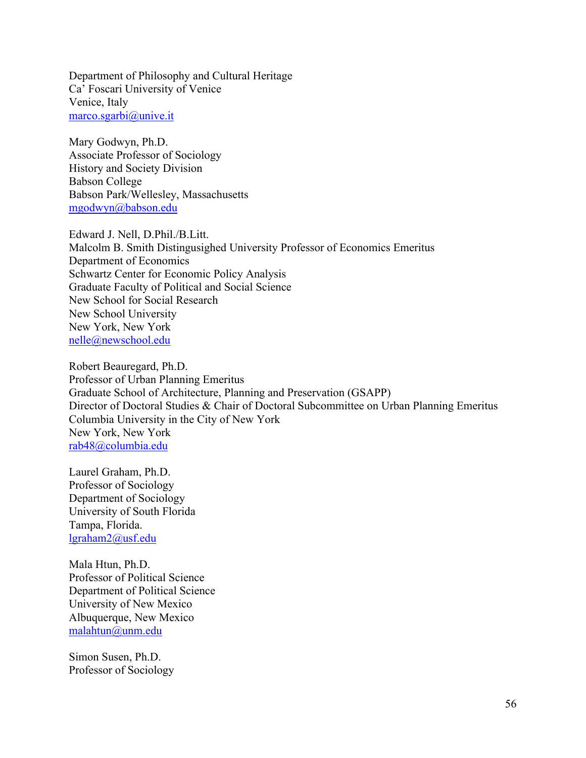Department of Philosophy and Cultural Heritage Ca' Foscari University of Venice Venice, Italy marco.sgarbi@unive.it

Mary Godwyn, Ph.D. Associate Professor of Sociology History and Society Division Babson College Babson Park/Wellesley, Massachusetts mgodwyn@babson.edu

Edward J. Nell, D.Phil./B.Litt. Malcolm B. Smith Distingusighed University Professor of Economics Emeritus Department of Economics Schwartz Center for Economic Policy Analysis Graduate Faculty of Political and Social Science New School for Social Research New School University New York, New York nelle@newschool.edu

Robert Beauregard, Ph.D. Professor of Urban Planning Emeritus Graduate School of Architecture, Planning and Preservation (GSAPP) Director of Doctoral Studies & Chair of Doctoral Subcommittee on Urban Planning Emeritus Columbia University in the City of New York New York, New York rab48@columbia.edu

Laurel Graham, Ph.D. Professor of Sociology Department of Sociology University of South Florida Tampa, Florida. lgraham2@usf.edu

Mala Htun, Ph.D. Professor of Political Science Department of Political Science University of New Mexico Albuquerque, New Mexico malahtun@unm.edu

Simon Susen, Ph.D. Professor of Sociology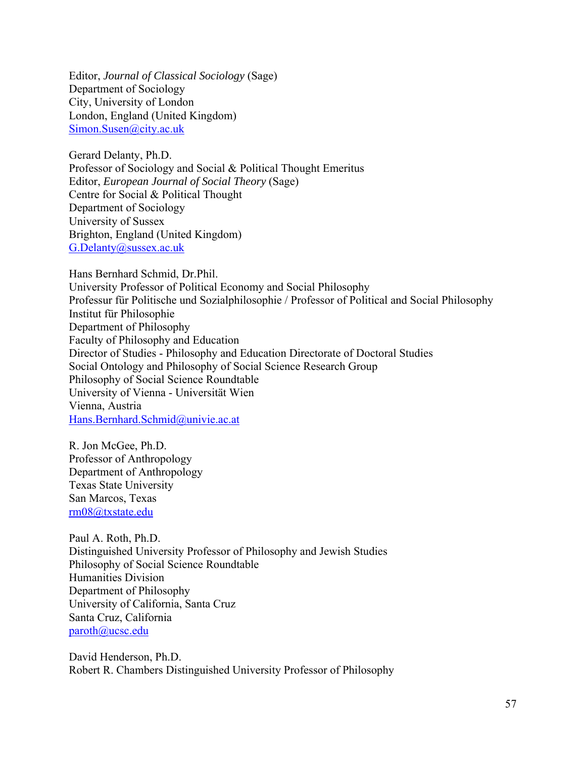Editor, *Journal of Classical Sociology* (Sage) Department of Sociology City, University of London London, England (United Kingdom) Simon.Susen@city.ac.uk

Gerard Delanty, Ph.D. Professor of Sociology and Social & Political Thought Emeritus Editor, *European Journal of Social Theory* (Sage) Centre for Social & Political Thought Department of Sociology University of Sussex Brighton, England (United Kingdom) G.Delanty@sussex.ac.uk

Hans Bernhard Schmid, Dr.Phil. University Professor of Political Economy and Social Philosophy Professur für Politische und Sozialphilosophie / Professor of Political and Social Philosophy Institut für Philosophie Department of Philosophy Faculty of Philosophy and Education Director of Studies - Philosophy and Education Directorate of Doctoral Studies Social Ontology and Philosophy of Social Science Research Group Philosophy of Social Science Roundtable University of Vienna - Universität Wien Vienna, Austria Hans.Bernhard.Schmid@univie.ac.at

R. Jon McGee, Ph.D. Professor of Anthropology Department of Anthropology Texas State University San Marcos, Texas rm08@txstate.edu

Paul A. Roth, Ph.D. Distinguished University Professor of Philosophy and Jewish Studies Philosophy of Social Science Roundtable Humanities Division Department of Philosophy University of California, Santa Cruz Santa Cruz, California paroth@ucsc.edu

David Henderson, Ph.D. Robert R. Chambers Distinguished University Professor of Philosophy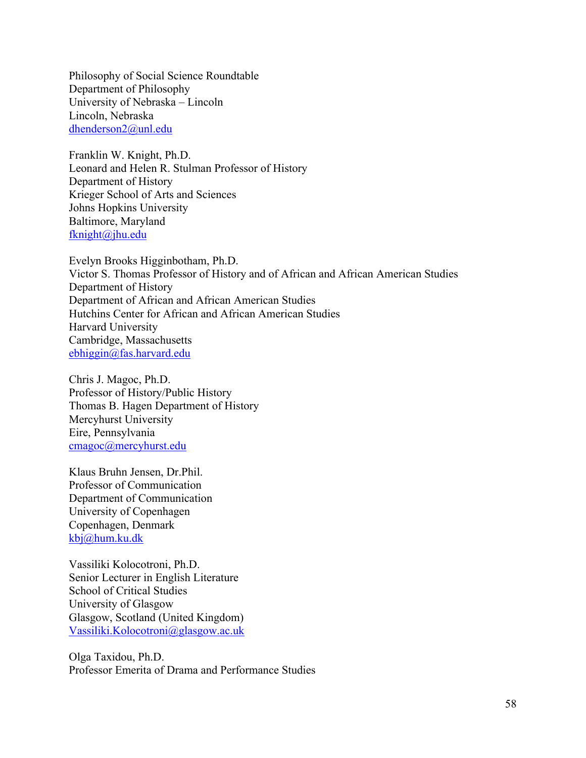Philosophy of Social Science Roundtable Department of Philosophy University of Nebraska – Lincoln Lincoln, Nebraska dhenderson2@unl.edu

Franklin W. Knight, Ph.D. Leonard and Helen R. Stulman Professor of History Department of History Krieger School of Arts and Sciences Johns Hopkins University Baltimore, Maryland fknight@jhu.edu

Evelyn Brooks Higginbotham, Ph.D. Victor S. Thomas Professor of History and of African and African American Studies Department of History Department of African and African American Studies Hutchins Center for African and African American Studies Harvard University Cambridge, Massachusetts ebhiggin@fas.harvard.edu

Chris J. Magoc, Ph.D. Professor of History/Public History Thomas B. Hagen Department of History Mercyhurst University Eire, Pennsylvania cmagoc@mercyhurst.edu

Klaus Bruhn Jensen, Dr.Phil. Professor of Communication Department of Communication University of Copenhagen Copenhagen, Denmark kbj@hum.ku.dk

Vassiliki Kolocotroni, Ph.D. Senior Lecturer in English Literature School of Critical Studies University of Glasgow Glasgow, Scotland (United Kingdom) Vassiliki.Kolocotroni@glasgow.ac.uk

Olga Taxidou, Ph.D. Professor Emerita of Drama and Performance Studies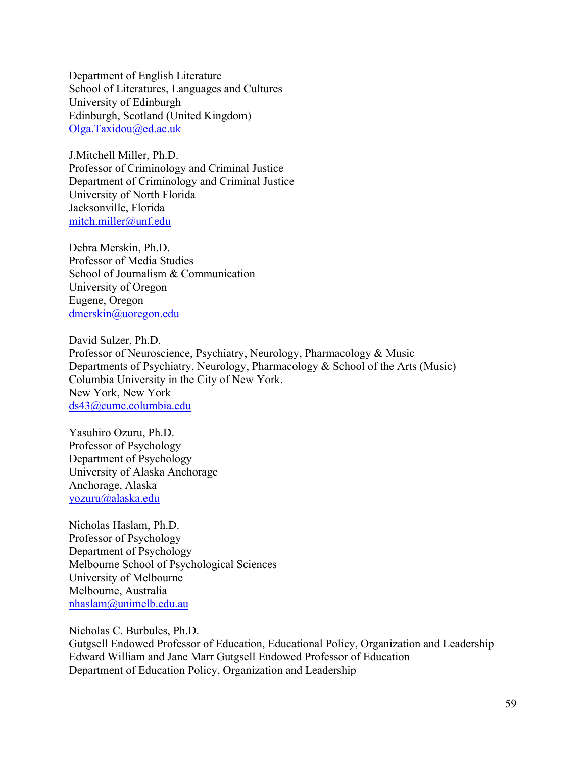Department of English Literature School of Literatures, Languages and Cultures University of Edinburgh Edinburgh, Scotland (United Kingdom) Olga.Taxidou@ed.ac.uk

J.Mitchell Miller, Ph.D. Professor of Criminology and Criminal Justice Department of Criminology and Criminal Justice University of North Florida Jacksonville, Florida mitch.miller@unf.edu

Debra Merskin, Ph.D. Professor of Media Studies School of Journalism & Communication University of Oregon Eugene, Oregon dmerskin@uoregon.edu

David Sulzer, Ph.D. Professor of Neuroscience, Psychiatry, Neurology, Pharmacology & Music Departments of Psychiatry, Neurology, Pharmacology & School of the Arts (Music) Columbia University in the City of New York. New York, New York ds43@cumc.columbia.edu

Yasuhiro Ozuru, Ph.D. Professor of Psychology Department of Psychology University of Alaska Anchorage Anchorage, Alaska yozuru@alaska.edu

Nicholas Haslam, Ph.D. Professor of Psychology Department of Psychology Melbourne School of Psychological Sciences University of Melbourne Melbourne, Australia nhaslam@unimelb.edu.au

Nicholas C. Burbules, Ph.D. Gutgsell Endowed Professor of Education, Educational Policy, Organization and Leadership Edward William and Jane Marr Gutgsell Endowed Professor of Education Department of Education Policy, Organization and Leadership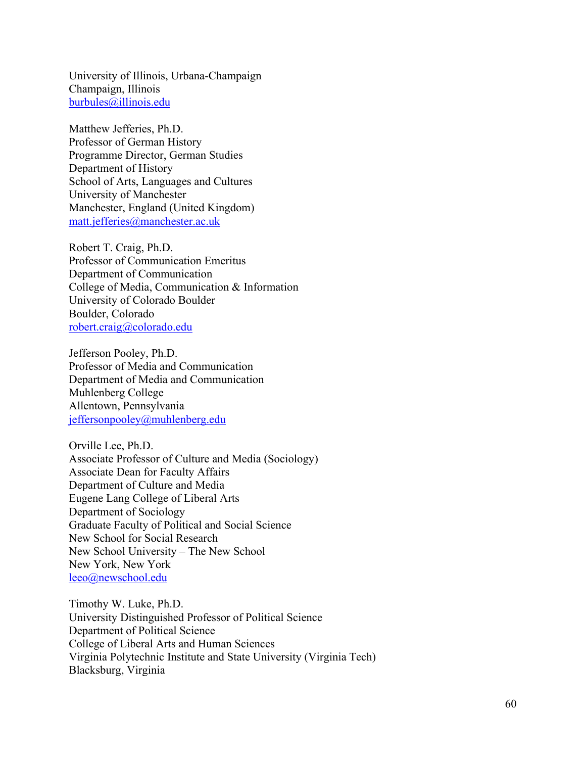University of Illinois, Urbana-Champaign Champaign, Illinois burbules@illinois.edu

Matthew Jefferies, Ph.D. Professor of German History Programme Director, German Studies Department of History School of Arts, Languages and Cultures University of Manchester Manchester, England (United Kingdom) matt.jefferies@manchester.ac.uk

Robert T. Craig, Ph.D. Professor of Communication Emeritus Department of Communication College of Media, Communication & Information University of Colorado Boulder Boulder, Colorado robert.craig@colorado.edu

Jefferson Pooley, Ph.D. Professor of Media and Communication Department of Media and Communication Muhlenberg College Allentown, Pennsylvania jeffersonpooley@muhlenberg.edu

Orville Lee, Ph.D. Associate Professor of Culture and Media (Sociology) Associate Dean for Faculty Affairs Department of Culture and Media Eugene Lang College of Liberal Arts Department of Sociology Graduate Faculty of Political and Social Science New School for Social Research New School University – The New School New York, New York leeo@newschool.edu

Timothy W. Luke, Ph.D. University Distinguished Professor of Political Science Department of Political Science College of Liberal Arts and Human Sciences Virginia Polytechnic Institute and State University (Virginia Tech) Blacksburg, Virginia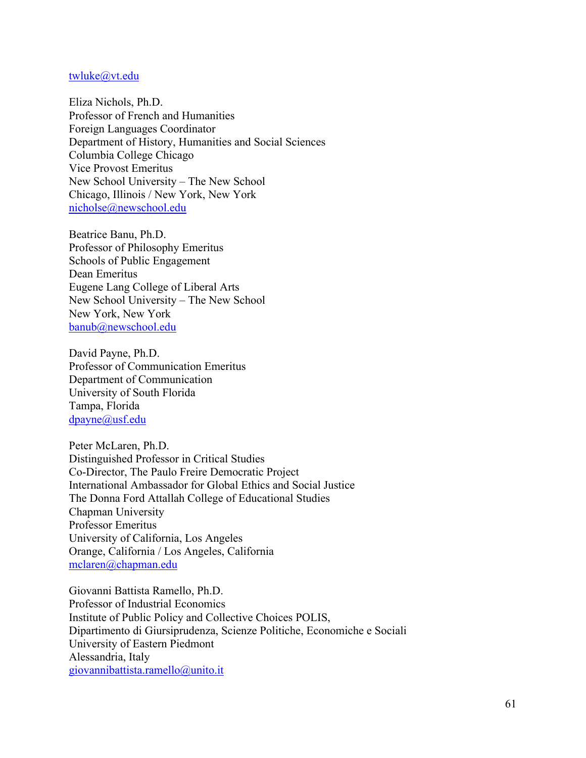#### twluke@vt.edu

Eliza Nichols, Ph.D. Professor of French and Humanities Foreign Languages Coordinator Department of History, Humanities and Social Sciences Columbia College Chicago Vice Provost Emeritus New School University – The New School Chicago, Illinois / New York, New York nicholse@newschool.edu

Beatrice Banu, Ph.D. Professor of Philosophy Emeritus Schools of Public Engagement Dean Emeritus Eugene Lang College of Liberal Arts New School University – The New School New York, New York banub@newschool.edu

David Payne, Ph.D. Professor of Communication Emeritus Department of Communication University of South Florida Tampa, Florida dpayne@usf.edu

Peter McLaren, Ph.D. Distinguished Professor in Critical Studies Co-Director, The Paulo Freire Democratic Project International Ambassador for Global Ethics and Social Justice The Donna Ford Attallah College of Educational Studies Chapman University Professor Emeritus University of California, Los Angeles Orange, California / Los Angeles, California mclaren@chapman.edu

Giovanni Battista Ramello, Ph.D. Professor of Industrial Economics Institute of Public Policy and Collective Choices POLIS, Dipartimento di Giursiprudenza, Scienze Politiche, Economiche e Sociali University of Eastern Piedmont Alessandria, Italy giovannibattista.ramello@unito.it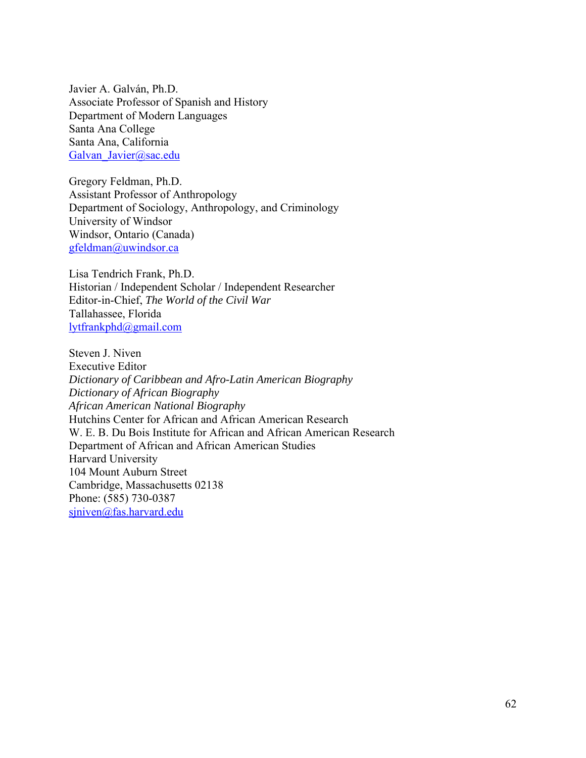Javier A. Galván, Ph.D. Associate Professor of Spanish and History Department of Modern Languages Santa Ana College Santa Ana, California Galvan Javier@sac.edu

Gregory Feldman, Ph.D. Assistant Professor of Anthropology Department of Sociology, Anthropology, and Criminology University of Windsor Windsor, Ontario (Canada) gfeldman@uwindsor.ca

Lisa Tendrich Frank, Ph.D. Historian / Independent Scholar / Independent Researcher Editor-in-Chief, *The World of the Civil War* Tallahassee, Florida lytfrankphd@gmail.com

Steven J. Niven Executive Editor *Dictionary of Caribbean and Afro-Latin American Biography Dictionary of African Biography African American National Biography* Hutchins Center for African and African American Research W. E. B. Du Bois Institute for African and African American Research Department of African and African American Studies Harvard University 104 Mount Auburn Street Cambridge, Massachusetts 02138 Phone: (585) 730-0387 sjniven@fas.harvard.edu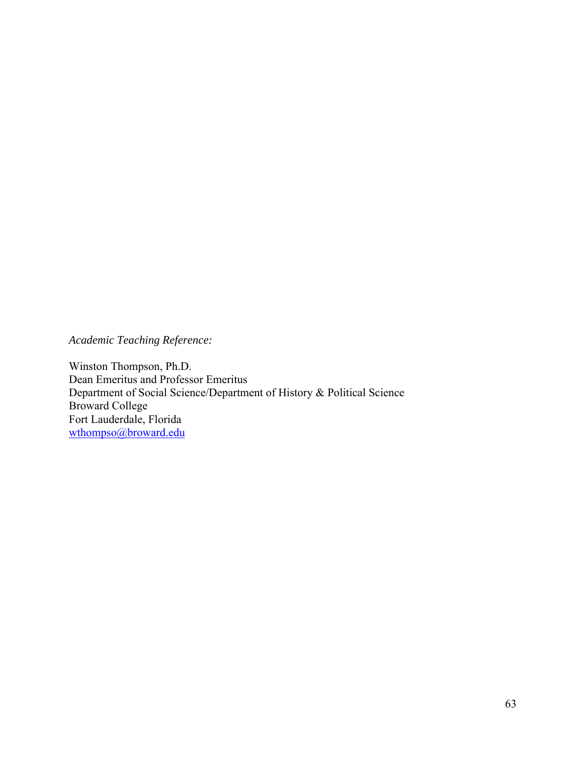*Academic Teaching Reference:* 

Winston Thompson, Ph.D. Dean Emeritus and Professor Emeritus Department of Social Science/Department of History & Political Science Broward College Fort Lauderdale, Florida wthompso@broward.edu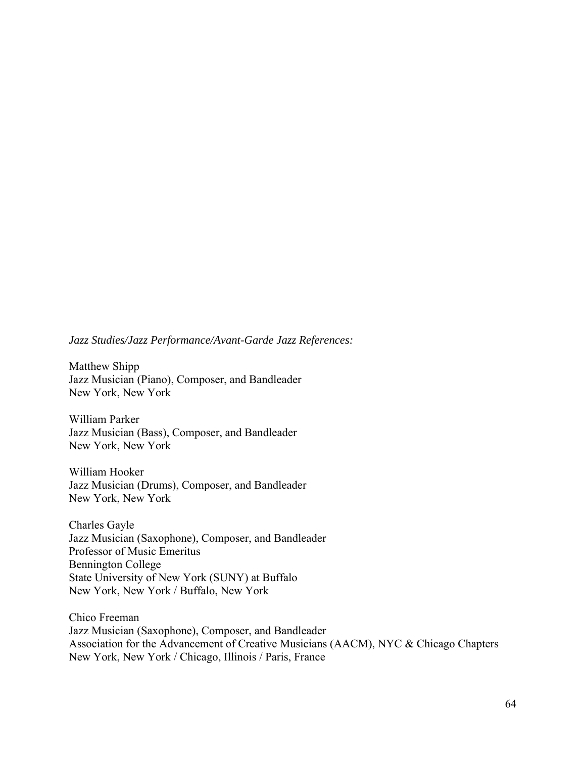### *Jazz Studies/Jazz Performance/Avant-Garde Jazz References:*

Matthew Shipp Jazz Musician (Piano), Composer, and Bandleader New York, New York

William Parker Jazz Musician (Bass), Composer, and Bandleader New York, New York

William Hooker Jazz Musician (Drums), Composer, and Bandleader New York, New York

Charles Gayle Jazz Musician (Saxophone), Composer, and Bandleader Professor of Music Emeritus Bennington College State University of New York (SUNY) at Buffalo New York, New York / Buffalo, New York

Chico Freeman Jazz Musician (Saxophone), Composer, and Bandleader Association for the Advancement of Creative Musicians (AACM), NYC & Chicago Chapters New York, New York / Chicago, Illinois / Paris, France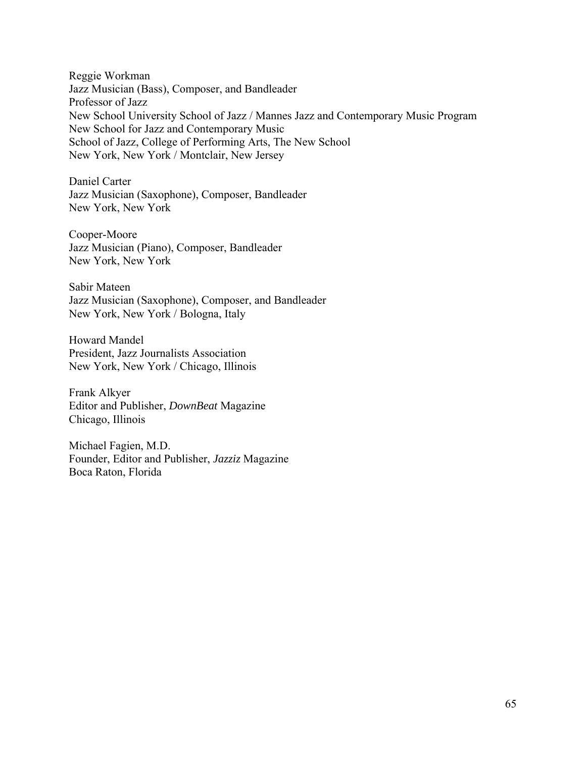Reggie Workman Jazz Musician (Bass), Composer, and Bandleader Professor of Jazz New School University School of Jazz / Mannes Jazz and Contemporary Music Program New School for Jazz and Contemporary Music School of Jazz, College of Performing Arts, The New School New York, New York / Montclair, New Jersey

Daniel Carter Jazz Musician (Saxophone), Composer, Bandleader New York, New York

Cooper-Moore Jazz Musician (Piano), Composer, Bandleader New York, New York

Sabir Mateen Jazz Musician (Saxophone), Composer, and Bandleader New York, New York / Bologna, Italy

Howard Mandel President, Jazz Journalists Association New York, New York / Chicago, Illinois

Frank Alkyer Editor and Publisher, *DownBeat* Magazine Chicago, Illinois

Michael Fagien, M.D. Founder, Editor and Publisher, *Jazziz* Magazine Boca Raton, Florida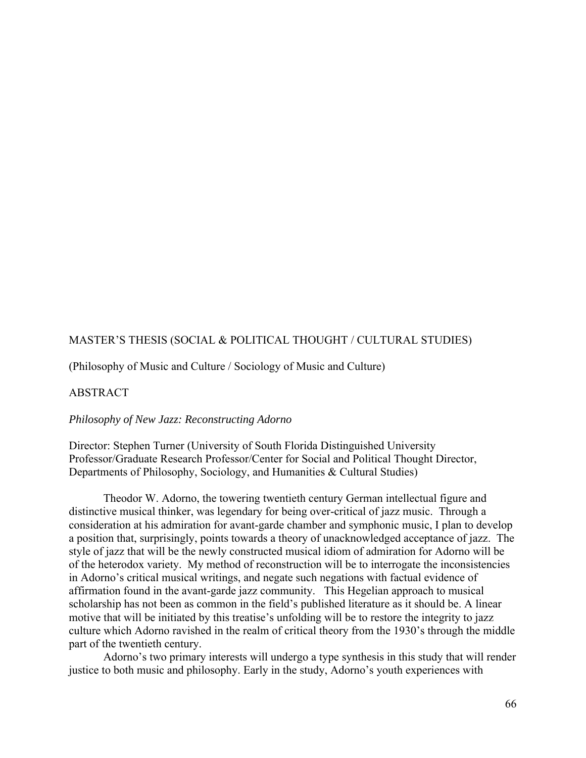# MASTER'S THESIS (SOCIAL & POLITICAL THOUGHT / CULTURAL STUDIES)

(Philosophy of Music and Culture / Sociology of Music and Culture)

### ABSTRACT

### *Philosophy of New Jazz: Reconstructing Adorno*

Director: Stephen Turner (University of South Florida Distinguished University Professor/Graduate Research Professor/Center for Social and Political Thought Director, Departments of Philosophy, Sociology, and Humanities & Cultural Studies)

Theodor W. Adorno, the towering twentieth century German intellectual figure and distinctive musical thinker, was legendary for being over-critical of jazz music. Through a consideration at his admiration for avant-garde chamber and symphonic music, I plan to develop a position that, surprisingly, points towards a theory of unacknowledged acceptance of jazz. The style of jazz that will be the newly constructed musical idiom of admiration for Adorno will be of the heterodox variety. My method of reconstruction will be to interrogate the inconsistencies in Adorno's critical musical writings, and negate such negations with factual evidence of affirmation found in the avant-garde jazz community. This Hegelian approach to musical scholarship has not been as common in the field's published literature as it should be. A linear motive that will be initiated by this treatise's unfolding will be to restore the integrity to jazz culture which Adorno ravished in the realm of critical theory from the 1930's through the middle part of the twentieth century.

 Adorno's two primary interests will undergo a type synthesis in this study that will render justice to both music and philosophy. Early in the study, Adorno's youth experiences with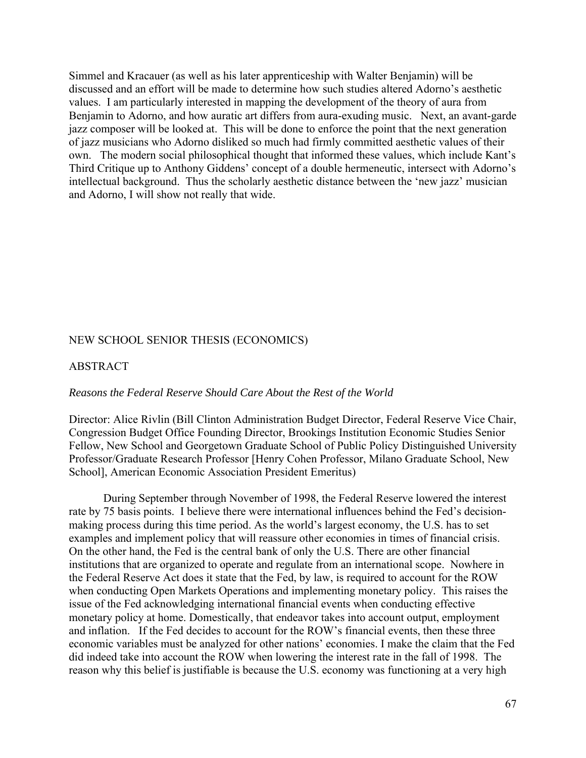Simmel and Kracauer (as well as his later apprenticeship with Walter Benjamin) will be discussed and an effort will be made to determine how such studies altered Adorno's aesthetic values. I am particularly interested in mapping the development of the theory of aura from Benjamin to Adorno, and how auratic art differs from aura-exuding music. Next, an avant-garde jazz composer will be looked at. This will be done to enforce the point that the next generation of jazz musicians who Adorno disliked so much had firmly committed aesthetic values of their own. The modern social philosophical thought that informed these values, which include Kant's Third Critique up to Anthony Giddens' concept of a double hermeneutic, intersect with Adorno's intellectual background. Thus the scholarly aesthetic distance between the 'new jazz' musician and Adorno, I will show not really that wide.

### NEW SCHOOL SENIOR THESIS (ECONOMICS)

### ABSTRACT

#### *Reasons the Federal Reserve Should Care About the Rest of the World*

Director: Alice Rivlin (Bill Clinton Administration Budget Director, Federal Reserve Vice Chair, Congression Budget Office Founding Director, Brookings Institution Economic Studies Senior Fellow, New School and Georgetown Graduate School of Public Policy Distinguished University Professor/Graduate Research Professor [Henry Cohen Professor, Milano Graduate School, New School], American Economic Association President Emeritus)

During September through November of 1998, the Federal Reserve lowered the interest rate by 75 basis points. I believe there were international influences behind the Fed's decisionmaking process during this time period. As the world's largest economy, the U.S. has to set examples and implement policy that will reassure other economies in times of financial crisis. On the other hand, the Fed is the central bank of only the U.S. There are other financial institutions that are organized to operate and regulate from an international scope. Nowhere in the Federal Reserve Act does it state that the Fed, by law, is required to account for the ROW when conducting Open Markets Operations and implementing monetary policy. This raises the issue of the Fed acknowledging international financial events when conducting effective monetary policy at home. Domestically, that endeavor takes into account output, employment and inflation. If the Fed decides to account for the ROW's financial events, then these three economic variables must be analyzed for other nations' economies. I make the claim that the Fed did indeed take into account the ROW when lowering the interest rate in the fall of 1998. The reason why this belief is justifiable is because the U.S. economy was functioning at a very high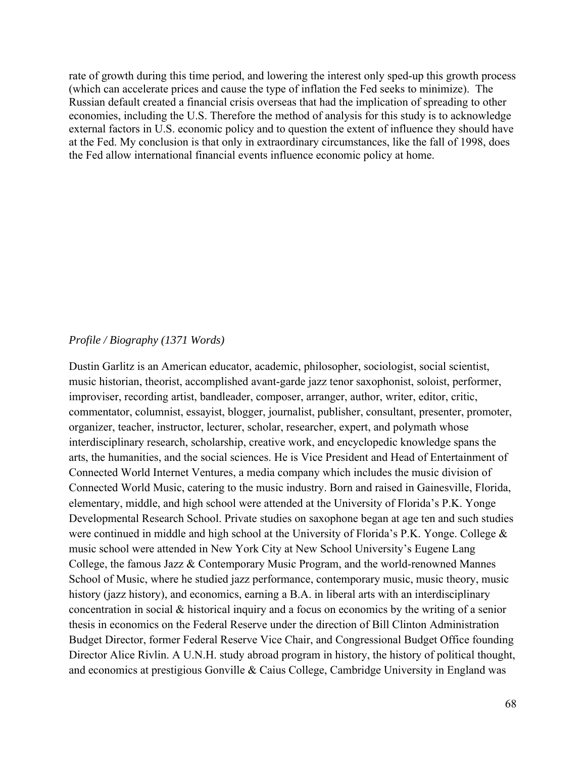rate of growth during this time period, and lowering the interest only sped-up this growth process (which can accelerate prices and cause the type of inflation the Fed seeks to minimize). The Russian default created a financial crisis overseas that had the implication of spreading to other economies, including the U.S. Therefore the method of analysis for this study is to acknowledge external factors in U.S. economic policy and to question the extent of influence they should have at the Fed. My conclusion is that only in extraordinary circumstances, like the fall of 1998, does the Fed allow international financial events influence economic policy at home.

### *Profile / Biography (1371 Words)*

Dustin Garlitz is an American educator, academic, philosopher, sociologist, social scientist, music historian, theorist, accomplished avant-garde jazz tenor saxophonist, soloist, performer, improviser, recording artist, bandleader, composer, arranger, author, writer, editor, critic, commentator, columnist, essayist, blogger, journalist, publisher, consultant, presenter, promoter, organizer, teacher, instructor, lecturer, scholar, researcher, expert, and polymath whose interdisciplinary research, scholarship, creative work, and encyclopedic knowledge spans the arts, the humanities, and the social sciences. He is Vice President and Head of Entertainment of Connected World Internet Ventures, a media company which includes the music division of Connected World Music, catering to the music industry. Born and raised in Gainesville, Florida, elementary, middle, and high school were attended at the University of Florida's P.K. Yonge Developmental Research School. Private studies on saxophone began at age ten and such studies were continued in middle and high school at the University of Florida's P.K. Yonge. College & music school were attended in New York City at New School University's Eugene Lang College, the famous Jazz & Contemporary Music Program, and the world-renowned Mannes School of Music, where he studied jazz performance, contemporary music, music theory, music history (jazz history), and economics, earning a B.A. in liberal arts with an interdisciplinary concentration in social & historical inquiry and a focus on economics by the writing of a senior thesis in economics on the Federal Reserve under the direction of Bill Clinton Administration Budget Director, former Federal Reserve Vice Chair, and Congressional Budget Office founding Director Alice Rivlin. A U.N.H. study abroad program in history, the history of political thought, and economics at prestigious Gonville & Caius College, Cambridge University in England was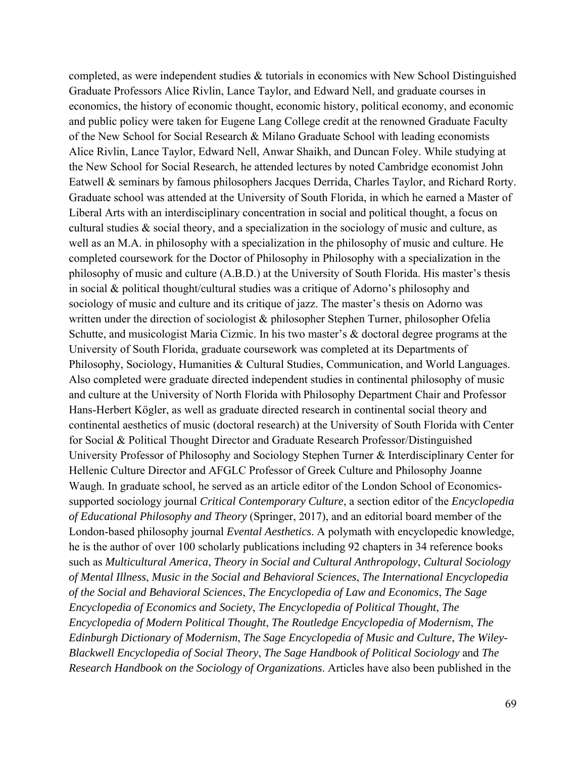completed, as were independent studies & tutorials in economics with New School Distinguished Graduate Professors Alice Rivlin, Lance Taylor, and Edward Nell, and graduate courses in economics, the history of economic thought, economic history, political economy, and economic and public policy were taken for Eugene Lang College credit at the renowned Graduate Faculty of the New School for Social Research & Milano Graduate School with leading economists Alice Rivlin, Lance Taylor, Edward Nell, Anwar Shaikh, and Duncan Foley. While studying at the New School for Social Research, he attended lectures by noted Cambridge economist John Eatwell & seminars by famous philosophers Jacques Derrida, Charles Taylor, and Richard Rorty. Graduate school was attended at the University of South Florida, in which he earned a Master of Liberal Arts with an interdisciplinary concentration in social and political thought, a focus on cultural studies  $\&$  social theory, and a specialization in the sociology of music and culture, as well as an M.A. in philosophy with a specialization in the philosophy of music and culture. He completed coursework for the Doctor of Philosophy in Philosophy with a specialization in the philosophy of music and culture (A.B.D.) at the University of South Florida. His master's thesis in social & political thought/cultural studies was a critique of Adorno's philosophy and sociology of music and culture and its critique of jazz. The master's thesis on Adorno was written under the direction of sociologist & philosopher Stephen Turner, philosopher Ofelia Schutte, and musicologist Maria Cizmic. In his two master's & doctoral degree programs at the University of South Florida, graduate coursework was completed at its Departments of Philosophy, Sociology, Humanities & Cultural Studies, Communication, and World Languages. Also completed were graduate directed independent studies in continental philosophy of music and culture at the University of North Florida with Philosophy Department Chair and Professor Hans-Herbert Kögler, as well as graduate directed research in continental social theory and continental aesthetics of music (doctoral research) at the University of South Florida with Center for Social & Political Thought Director and Graduate Research Professor/Distinguished University Professor of Philosophy and Sociology Stephen Turner & Interdisciplinary Center for Hellenic Culture Director and AFGLC Professor of Greek Culture and Philosophy Joanne Waugh. In graduate school, he served as an article editor of the London School of Economicssupported sociology journal *Critical Contemporary Culture*, a section editor of the *Encyclopedia of Educational Philosophy and Theory* (Springer, 2017), and an editorial board member of the London-based philosophy journal *Evental Aesthetics*. A polymath with encyclopedic knowledge, he is the author of over 100 scholarly publications including 92 chapters in 34 reference books such as *Multicultural America*, *Theory in Social and Cultural Anthropology*, *Cultural Sociology of Mental Illness*, *Music in the Social and Behavioral Sciences*, *The International Encyclopedia of the Social and Behavioral Sciences*, *The Encyclopedia of Law and Economics*, *The Sage Encyclopedia of Economics and Society*, *The Encyclopedia of Political Thought*, *The Encyclopedia of Modern Political Thought*, *The Routledge Encyclopedia of Modernism*, *The Edinburgh Dictionary of Modernism*, *The Sage Encyclopedia of Music and Culture*, *The Wiley-Blackwell Encyclopedia of Social Theory*, *The Sage Handbook of Political Sociology* and *The Research Handbook on the Sociology of Organizations*. Articles have also been published in the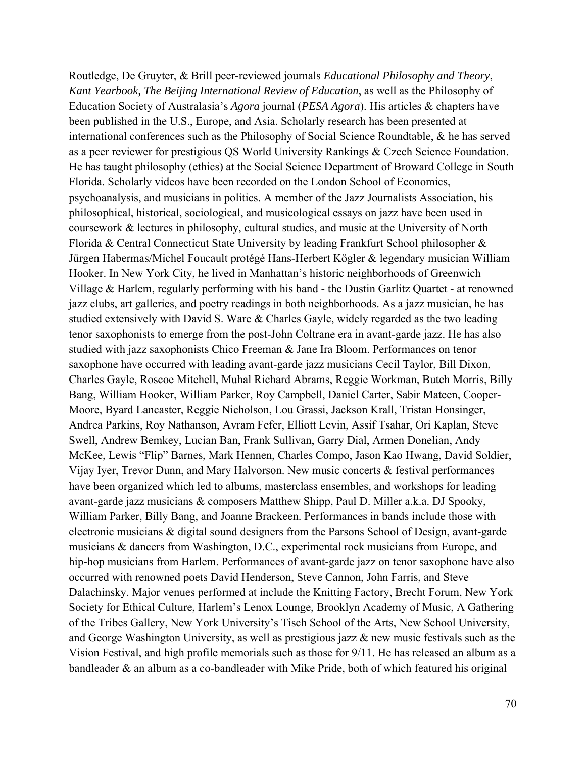Routledge, De Gruyter, & Brill peer-reviewed journals *Educational Philosophy and Theory*, *Kant Yearbook, The Beijing International Review of Education*, as well as the Philosophy of Education Society of Australasia's *Agora* journal (*PESA Agora*). His articles & chapters have been published in the U.S., Europe, and Asia. Scholarly research has been presented at international conferences such as the Philosophy of Social Science Roundtable, & he has served as a peer reviewer for prestigious QS World University Rankings & Czech Science Foundation. He has taught philosophy (ethics) at the Social Science Department of Broward College in South Florida. Scholarly videos have been recorded on the London School of Economics, psychoanalysis, and musicians in politics. A member of the Jazz Journalists Association, his philosophical, historical, sociological, and musicological essays on jazz have been used in coursework & lectures in philosophy, cultural studies, and music at the University of North Florida & Central Connecticut State University by leading Frankfurt School philosopher & Jürgen Habermas/Michel Foucault protégé Hans-Herbert Kögler & legendary musician William Hooker. In New York City, he lived in Manhattan's historic neighborhoods of Greenwich Village & Harlem, regularly performing with his band - the Dustin Garlitz Quartet - at renowned jazz clubs, art galleries, and poetry readings in both neighborhoods. As a jazz musician, he has studied extensively with David S. Ware & Charles Gayle, widely regarded as the two leading tenor saxophonists to emerge from the post-John Coltrane era in avant-garde jazz. He has also studied with jazz saxophonists Chico Freeman & Jane Ira Bloom. Performances on tenor saxophone have occurred with leading avant-garde jazz musicians Cecil Taylor, Bill Dixon, Charles Gayle, Roscoe Mitchell, Muhal Richard Abrams, Reggie Workman, Butch Morris, Billy Bang, William Hooker, William Parker, Roy Campbell, Daniel Carter, Sabir Mateen, Cooper-Moore, Byard Lancaster, Reggie Nicholson, Lou Grassi, Jackson Krall, Tristan Honsinger, Andrea Parkins, Roy Nathanson, Avram Fefer, Elliott Levin, Assif Tsahar, Ori Kaplan, Steve Swell, Andrew Bemkey, Lucian Ban, Frank Sullivan, Garry Dial, Armen Donelian, Andy McKee, Lewis "Flip" Barnes, Mark Hennen, Charles Compo, Jason Kao Hwang, David Soldier, Vijay Iyer, Trevor Dunn, and Mary Halvorson. New music concerts & festival performances have been organized which led to albums, masterclass ensembles, and workshops for leading avant-garde jazz musicians & composers Matthew Shipp, Paul D. Miller a.k.a. DJ Spooky, William Parker, Billy Bang, and Joanne Brackeen. Performances in bands include those with electronic musicians & digital sound designers from the Parsons School of Design, avant-garde musicians & dancers from Washington, D.C., experimental rock musicians from Europe, and hip-hop musicians from Harlem. Performances of avant-garde jazz on tenor saxophone have also occurred with renowned poets David Henderson, Steve Cannon, John Farris, and Steve Dalachinsky. Major venues performed at include the Knitting Factory, Brecht Forum, New York Society for Ethical Culture, Harlem's Lenox Lounge, Brooklyn Academy of Music, A Gathering of the Tribes Gallery, New York University's Tisch School of the Arts, New School University, and George Washington University, as well as prestigious jazz & new music festivals such as the Vision Festival, and high profile memorials such as those for 9/11. He has released an album as a bandleader & an album as a co-bandleader with Mike Pride, both of which featured his original